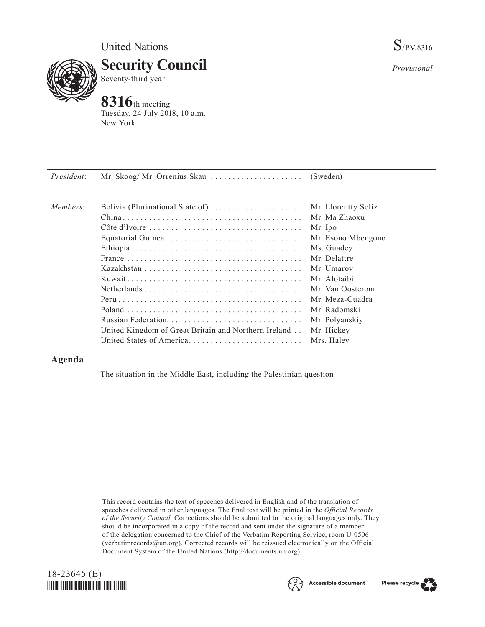

**Security Council** Seventy-third year

## **8316**th meeting

Tuesday, 24 July 2018, 10 a.m. New York

| President: |                                                      |                     |
|------------|------------------------------------------------------|---------------------|
| Members:   | Bolivia (Plurinational State of)                     | Mr. Llorentty Solíz |
|            |                                                      | Mr. Ma Zhaoxu       |
|            |                                                      | Mr. Ipo             |
|            |                                                      | Mr. Esono Mbengono  |
|            |                                                      | Ms. Guadey          |
|            |                                                      | Mr. Delattre        |
|            |                                                      | Mr. Umarov          |
|            |                                                      | Mr. Alotaibi        |
|            |                                                      | Mr. Van Oosterom    |
|            |                                                      | Mr. Meza-Cuadra     |
|            |                                                      | Mr. Radomski        |
|            |                                                      | Mr. Polyanskiy      |
|            | United Kingdom of Great Britain and Northern Ireland | Mr. Hickey          |
|            | United States of America                             | Mrs. Haley          |

## **Agenda**

The situation in the Middle East, including the Palestinian question

This record contains the text of speeches delivered in English and of the translation of speeches delivered in other languages. The final text will be printed in the *Official Records of the Security Council.* Corrections should be submitted to the original languages only. They should be incorporated in a copy of the record and sent under the signature of a member of the delegation concerned to the Chief of the Verbatim Reporting Service, room U-0506 (verbatimrecords $@un.org$ ). Corrected records will be reissued electronically on the Official Document System of the United Nations [\(http://documents.un.org\)](http://documents.un.org).





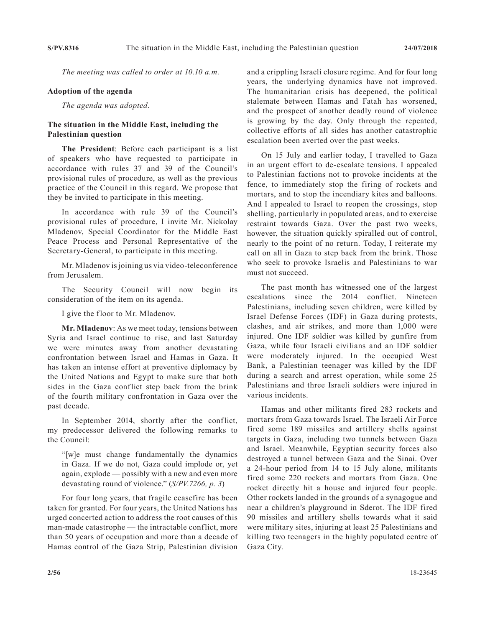*The meeting was called to order at 10.10 a.m.*

## **Adoption of the agenda**

*The agenda was adopted.*

## **The situation in the Middle East, including the Palestinian question**

**The President**: Before each participant is a list of speakers who have requested to participate in accordance with rules 37 and 39 of the Council's provisional rules of procedure, as well as the previous practice of the Council in this regard. We propose that they be invited to participate in this meeting.

In accordance with rule 39 of the Council's provisional rules of procedure, I invite Mr. Nickolay Mladenov, Special Coordinator for the Middle East Peace Process and Personal Representative of the Secretary-General, to participate in this meeting.

Mr. Mladenov is joining us via video-teleconference from Jerusalem.

The Security Council will now begin its consideration of the item on its agenda.

I give the floor to Mr. Mladenov.

**Mr. Mladenov**: As we meet today, tensions between Syria and Israel continue to rise, and last Saturday we were minutes away from another devastating confrontation between Israel and Hamas in Gaza. It has taken an intense effort at preventive diplomacy by the United Nations and Egypt to make sure that both sides in the Gaza conflict step back from the brink of the fourth military confrontation in Gaza over the past decade.

In September 2014, shortly after the conflict, my predecessor delivered the following remarks to the Council:

"[w]e must change fundamentally the dynamics in Gaza. If we do not, Gaza could implode or, yet again, explode — possibly with a new and even more devastating round of violence." (*S/PV.7266, p. 3*)

For four long years, that fragile ceasefire has been taken for granted. For four years, the United Nations has urged concerted action to address the root causes of this man-made catastrophe — the intractable conflict, more than 50 years of occupation and more than a decade of Hamas control of the Gaza Strip, Palestinian division

and a crippling Israeli closure regime. And for four long years, the underlying dynamics have not improved. The humanitarian crisis has deepened, the political stalemate between Hamas and Fatah has worsened, and the prospect of another deadly round of violence is growing by the day. Only through the repeated, collective efforts of all sides has another catastrophic escalation been averted over the past weeks.

On 15 July and earlier today, I travelled to Gaza in an urgent effort to de-escalate tensions. I appealed to Palestinian factions not to provoke incidents at the fence, to immediately stop the firing of rockets and mortars, and to stop the incendiary kites and balloons. And I appealed to Israel to reopen the crossings, stop shelling, particularly in populated areas, and to exercise restraint towards Gaza. Over the past two weeks, however, the situation quickly spiralled out of control, nearly to the point of no return. Today, I reiterate my call on all in Gaza to step back from the brink. Those who seek to provoke Israelis and Palestinians to war must not succeed.

The past month has witnessed one of the largest escalations since the 2014 conflict. Nineteen Palestinians, including seven children, were killed by Israel Defense Forces (IDF) in Gaza during protests, clashes, and air strikes, and more than 1,000 were injured. One IDF soldier was killed by gunfire from Gaza, while four Israeli civilians and an IDF soldier were moderately injured. In the occupied West Bank, a Palestinian teenager was killed by the IDF during a search and arrest operation, while some 25 Palestinians and three Israeli soldiers were injured in various incidents.

Hamas and other militants fired 283 rockets and mortars from Gaza towards Israel. The Israeli Air Force fired some 189 missiles and artillery shells against targets in Gaza, including two tunnels between Gaza and Israel. Meanwhile, Egyptian security forces also destroyed a tunnel between Gaza and the Sinai. Over a 24-hour period from 14 to 15 July alone, militants fired some 220 rockets and mortars from Gaza. One rocket directly hit a house and injured four people. Other rockets landed in the grounds of a synagogue and near a children's playground in Sderot. The IDF fired 90 missiles and artillery shells towards what it said were military sites, injuring at least 25 Palestinians and killing two teenagers in the highly populated centre of Gaza City.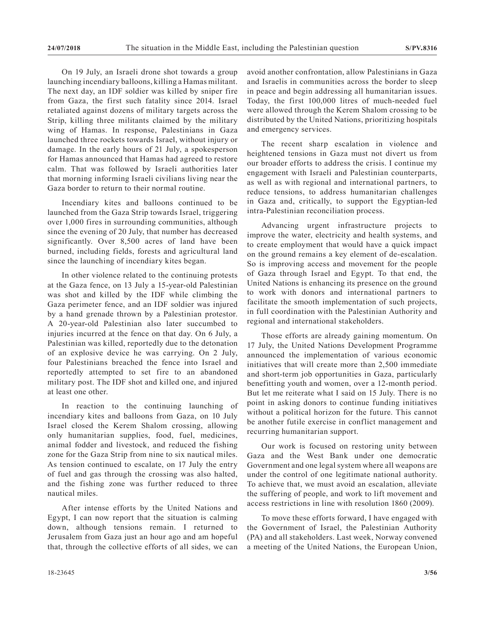On 19 July, an Israeli drone shot towards a group launching incendiary balloons, killing a Hamas militant. The next day, an IDF soldier was killed by sniper fire from Gaza, the first such fatality since 2014. Israel retaliated against dozens of military targets across the Strip, killing three militants claimed by the military wing of Hamas. In response, Palestinians in Gaza launched three rockets towards Israel, without injury or damage. In the early hours of 21 July, a spokesperson for Hamas announced that Hamas had agreed to restore calm. That was followed by Israeli authorities later that morning informing Israeli civilians living near the Gaza border to return to their normal routine.

Incendiary kites and balloons continued to be launched from the Gaza Strip towards Israel, triggering over 1,000 fires in surrounding communities, although since the evening of 20 July, that number has decreased significantly. Over 8,500 acres of land have been burned, including fields, forests and agricultural land since the launching of incendiary kites began.

In other violence related to the continuing protests at the Gaza fence, on 13 July a 15-year-old Palestinian was shot and killed by the IDF while climbing the Gaza perimeter fence, and an IDF soldier was injured by a hand grenade thrown by a Palestinian protestor. A 20-year-old Palestinian also later succumbed to injuries incurred at the fence on that day. On 6 July, a Palestinian was killed, reportedly due to the detonation of an explosive device he was carrying. On 2 July, four Palestinians breached the fence into Israel and reportedly attempted to set fire to an abandoned military post. The IDF shot and killed one, and injured at least one other.

In reaction to the continuing launching of incendiary kites and balloons from Gaza, on 10 July Israel closed the Kerem Shalom crossing, allowing only humanitarian supplies, food, fuel, medicines, animal fodder and livestock, and reduced the fishing zone for the Gaza Strip from nine to six nautical miles. As tension continued to escalate, on 17 July the entry of fuel and gas through the crossing was also halted, and the fishing zone was further reduced to three nautical miles.

After intense efforts by the United Nations and Egypt, I can now report that the situation is calming down, although tensions remain. I returned to Jerusalem from Gaza just an hour ago and am hopeful that, through the collective efforts of all sides, we can avoid another confrontation, allow Palestinians in Gaza and Israelis in communities across the border to sleep in peace and begin addressing all humanitarian issues. Today, the first 100,000 litres of much-needed fuel were allowed through the Kerem Shalom crossing to be distributed by the United Nations, prioritizing hospitals and emergency services.

The recent sharp escalation in violence and heightened tensions in Gaza must not divert us from our broader efforts to address the crisis. I continue my engagement with Israeli and Palestinian counterparts, as well as with regional and international partners, to reduce tensions, to address humanitarian challenges in Gaza and, critically, to support the Egyptian-led intra-Palestinian reconciliation process.

Advancing urgent infrastructure projects to improve the water, electricity and health systems, and to create employment that would have a quick impact on the ground remains a key element of de-escalation. So is improving access and movement for the people of Gaza through Israel and Egypt. To that end, the United Nations is enhancing its presence on the ground to work with donors and international partners to facilitate the smooth implementation of such projects, in full coordination with the Palestinian Authority and regional and international stakeholders.

Those efforts are already gaining momentum. On 17 July, the United Nations Development Programme announced the implementation of various economic initiatives that will create more than 2,500 immediate and short-term job opportunities in Gaza, particularly benefitting youth and women, over a 12-month period. But let me reiterate what I said on 15 July. There is no point in asking donors to continue funding initiatives without a political horizon for the future. This cannot be another futile exercise in conflict management and recurring humanitarian support.

Our work is focused on restoring unity between Gaza and the West Bank under one democratic Government and one legal system where all weapons are under the control of one legitimate national authority. To achieve that, we must avoid an escalation, alleviate the suffering of people, and work to lift movement and access restrictions in line with resolution 1860 (2009).

To move these efforts forward, I have engaged with the Government of Israel, the Palestinian Authority (PA) and all stakeholders. Last week, Norway convened a meeting of the United Nations, the European Union,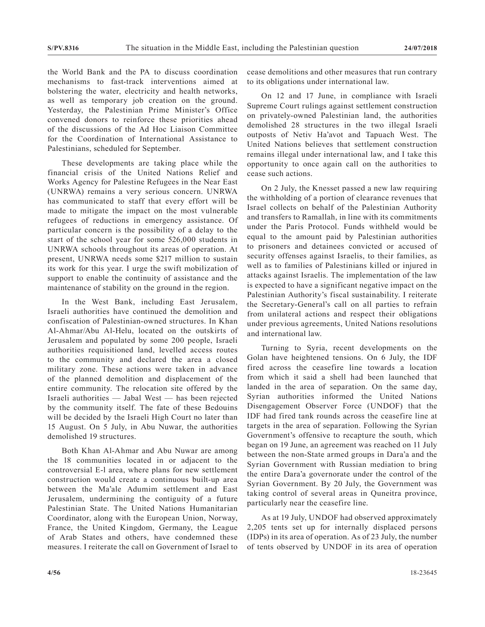the World Bank and the PA to discuss coordination mechanisms to fast-track interventions aimed at bolstering the water, electricity and health networks, as well as temporary job creation on the ground. Yesterday, the Palestinian Prime Minister's Office convened donors to reinforce these priorities ahead of the discussions of the Ad Hoc Liaison Committee for the Coordination of International Assistance to Palestinians, scheduled for September.

These developments are taking place while the financial crisis of the United Nations Relief and Works Agency for Palestine Refugees in the Near East (UNRWA) remains a very serious concern. UNRWA has communicated to staff that every effort will be made to mitigate the impact on the most vulnerable refugees of reductions in emergency assistance. Of particular concern is the possibility of a delay to the start of the school year for some 526,000 students in UNRWA schools throughout its areas of operation. At present, UNRWA needs some \$217 million to sustain its work for this year. I urge the swift mobilization of support to enable the continuity of assistance and the maintenance of stability on the ground in the region.

In the West Bank, including East Jerusalem, Israeli authorities have continued the demolition and confiscation of Palestinian-owned structures. In Khan Al-Ahmar/Abu Al-Helu, located on the outskirts of Jerusalem and populated by some 200 people, Israeli authorities requisitioned land, levelled access routes to the community and declared the area a closed military zone. These actions were taken in advance of the planned demolition and displacement of the entire community. The relocation site offered by the Israeli authorities — Jabal West — has been rejected by the community itself. The fate of these Bedouins will be decided by the Israeli High Court no later than 15 August. On 5 July, in Abu Nuwar, the authorities demolished 19 structures.

Both Khan Al-Ahmar and Abu Nuwar are among the 18 communities located in or adjacent to the controversial E-l area, where plans for new settlement construction would create a continuous built-up area between the Ma'ale Adumim settlement and East Jerusalem, undermining the contiguity of a future Palestinian State. The United Nations Humanitarian Coordinator, along with the European Union, Norway, France, the United Kingdom, Germany, the League of Arab States and others, have condemned these measures. I reiterate the call on Government of Israel to

cease demolitions and other measures that run contrary to its obligations under international law.

On 12 and 17 June, in compliance with Israeli Supreme Court rulings against settlement construction on privately-owned Palestinian land, the authorities demolished 28 structures in the two illegal Israeli outposts of Netiv Ha'avot and Tapuach West. The United Nations believes that settlement construction remains illegal under international law, and I take this opportunity to once again call on the authorities to cease such actions.

On 2 July, the Knesset passed a new law requiring the withholding of a portion of clearance revenues that Israel collects on behalf of the Palestinian Authority and transfers to Ramallah, in line with its commitments under the Paris Protocol. Funds withheld would be equal to the amount paid by Palestinian authorities to prisoners and detainees convicted or accused of security offenses against Israelis, to their families, as well as to families of Palestinians killed or injured in attacks against Israelis. The implementation of the law is expected to have a significant negative impact on the Palestinian Authority's fiscal sustainability. I reiterate the Secretary-General's call on all parties to refrain from unilateral actions and respect their obligations under previous agreements, United Nations resolutions and international law.

Turning to Syria, recent developments on the Golan have heightened tensions. On 6 July, the IDF fired across the ceasefire line towards a location from which it said a shell had been launched that landed in the area of separation. On the same day, Syrian authorities informed the United Nations Disengagement Observer Force (UNDOF) that the IDF had fired tank rounds across the ceasefire line at targets in the area of separation. Following the Syrian Government's offensive to recapture the south, which began on 19 June, an agreement was reached on 11 July between the non-State armed groups in Dara'a and the Syrian Government with Russian mediation to bring the entire Dara'a governorate under the control of the Syrian Government. By 20 July, the Government was taking control of several areas in Quneitra province, particularly near the ceasefire line.

As at 19 July, UNDOF had observed approximately 2,205 tents set up for internally displaced persons (IDPs) in its area of operation. As of 23 July, the number of tents observed by UNDOF in its area of operation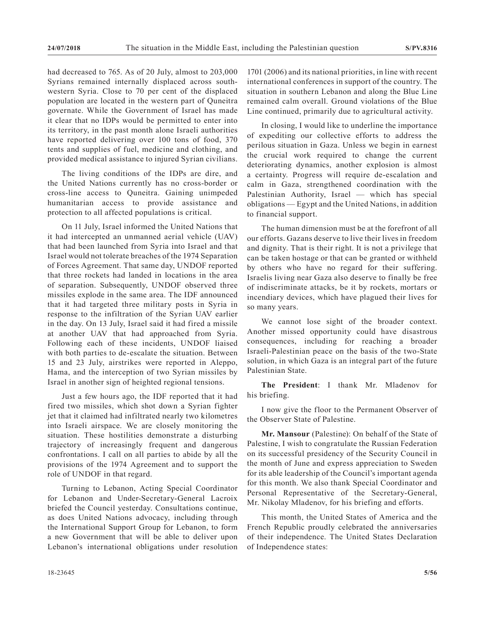had decreased to 765. As of 20 July, almost to 203,000 Syrians remained internally displaced across southwestern Syria. Close to 70 per cent of the displaced population are located in the western part of Quneitra governate. While the Government of Israel has made it clear that no IDPs would be permitted to enter into its territory, in the past month alone Israeli authorities have reported delivering over 100 tons of food, 370 tents and supplies of fuel, medicine and clothing, and provided medical assistance to injured Syrian civilians.

The living conditions of the IDPs are dire, and the United Nations currently has no cross-border or cross-line access to Quneitra. Gaining unimpeded humanitarian access to provide assistance and protection to all affected populations is critical.

On 11 July, Israel informed the United Nations that it had intercepted an unmanned aerial vehicle (UAV) that had been launched from Syria into Israel and that Israel would not tolerate breaches of the 1974 Separation of Forces Agreement. That same day, UNDOF reported that three rockets had landed in locations in the area of separation. Subsequently, UNDOF observed three missiles explode in the same area. The IDF announced that it had targeted three military posts in Syria in response to the infiltration of the Syrian UAV earlier in the day. On 13 July, Israel said it had fired a missile at another UAV that had approached from Syria. Following each of these incidents, UNDOF liaised with both parties to de-escalate the situation. Between 15 and 23 July, airstrikes were reported in Aleppo, Hama, and the interception of two Syrian missiles by Israel in another sign of heighted regional tensions.

Just a few hours ago, the IDF reported that it had fired two missiles, which shot down a Syrian fighter jet that it claimed had infiltrated nearly two kilometres into Israeli airspace. We are closely monitoring the situation. These hostilities demonstrate a disturbing trajectory of increasingly frequent and dangerous confrontations. I call on all parties to abide by all the provisions of the 1974 Agreement and to support the role of UNDOF in that regard.

Turning to Lebanon, Acting Special Coordinator for Lebanon and Under-Secretary-General Lacroix briefed the Council yesterday. Consultations continue, as does United Nations advocacy, including through the International Support Group for Lebanon, to form a new Government that will be able to deliver upon Lebanon's international obligations under resolution

1701 (2006) and its national priorities, in line with recent international conferences in support of the country. The situation in southern Lebanon and along the Blue Line remained calm overall. Ground violations of the Blue Line continued, primarily due to agricultural activity.

In closing, I would like to underline the importance of expediting our collective efforts to address the perilous situation in Gaza. Unless we begin in earnest the crucial work required to change the current deteriorating dynamics, another explosion is almost a certainty. Progress will require de-escalation and calm in Gaza, strengthened coordination with the Palestinian Authority, Israel — which has special obligations — Egypt and the United Nations, in addition to financial support.

The human dimension must be at the forefront of all our efforts. Gazans deserve to live their lives in freedom and dignity. That is their right. It is not a privilege that can be taken hostage or that can be granted or withheld by others who have no regard for their suffering. Israelis living near Gaza also deserve to finally be free of indiscriminate attacks, be it by rockets, mortars or incendiary devices, which have plagued their lives for so many years.

We cannot lose sight of the broader context. Another missed opportunity could have disastrous consequences, including for reaching a broader Israeli-Palestinian peace on the basis of the two-State solution, in which Gaza is an integral part of the future Palestinian State.

**The President**: I thank Mr. Mladenov for his briefing.

I now give the floor to the Permanent Observer of the Observer State of Palestine.

**Mr. Mansour** (Palestine): On behalf of the State of Palestine, I wish to congratulate the Russian Federation on its successful presidency of the Security Council in the month of June and express appreciation to Sweden for its able leadership of the Council's important agenda for this month. We also thank Special Coordinator and Personal Representative of the Secretary-General, Mr. Nikolay Mladenov, for his briefing and efforts.

This month, the United States of America and the French Republic proudly celebrated the anniversaries of their independence. The United States Declaration of Independence states: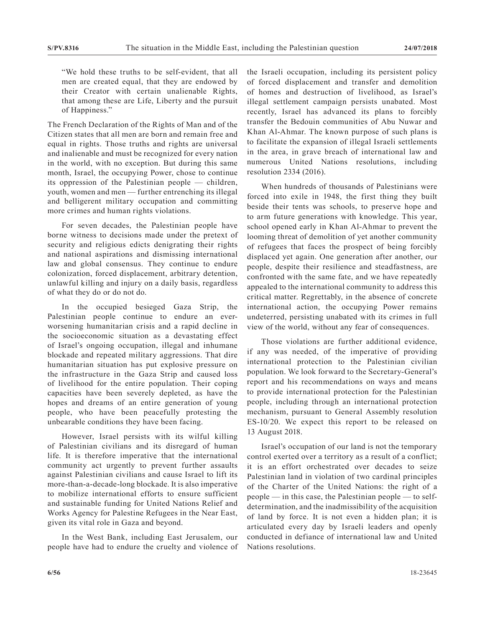"We hold these truths to be self-evident, that all men are created equal, that they are endowed by their Creator with certain unalienable Rights, that among these are Life, Liberty and the pursuit of Happiness."

The French Declaration of the Rights of Man and of the Citizen states that all men are born and remain free and equal in rights. Those truths and rights are universal and inalienable and must be recognized for every nation in the world, with no exception. But during this same month, Israel, the occupying Power, chose to continue its oppression of the Palestinian people — children, youth, women and men — further entrenching its illegal and belligerent military occupation and committing more crimes and human rights violations.

For seven decades, the Palestinian people have borne witness to decisions made under the pretext of security and religious edicts denigrating their rights and national aspirations and dismissing international law and global consensus. They continue to endure colonization, forced displacement, arbitrary detention, unlawful killing and injury on a daily basis, regardless of what they do or do not do.

In the occupied besieged Gaza Strip, the Palestinian people continue to endure an everworsening humanitarian crisis and a rapid decline in the socioeconomic situation as a devastating effect of Israel's ongoing occupation, illegal and inhumane blockade and repeated military aggressions. That dire humanitarian situation has put explosive pressure on the infrastructure in the Gaza Strip and caused loss of livelihood for the entire population. Their coping capacities have been severely depleted, as have the hopes and dreams of an entire generation of young people, who have been peacefully protesting the unbearable conditions they have been facing.

However, Israel persists with its wilful killing of Palestinian civilians and its disregard of human life. It is therefore imperative that the international community act urgently to prevent further assaults against Palestinian civilians and cause Israel to lift its more-than-a-decade-long blockade. It is also imperative to mobilize international efforts to ensure sufficient and sustainable funding for United Nations Relief and Works Agency for Palestine Refugees in the Near East, given its vital role in Gaza and beyond.

In the West Bank, including East Jerusalem, our people have had to endure the cruelty and violence of the Israeli occupation, including its persistent policy of forced displacement and transfer and demolition of homes and destruction of livelihood, as Israel's illegal settlement campaign persists unabated. Most recently, Israel has advanced its plans to forcibly transfer the Bedouin communities of Abu Nuwar and Khan Al-Ahmar. The known purpose of such plans is to facilitate the expansion of illegal Israeli settlements in the area, in grave breach of international law and numerous United Nations resolutions, including resolution 2334 (2016).

When hundreds of thousands of Palestinians were forced into exile in 1948, the first thing they built beside their tents was schools, to preserve hope and to arm future generations with knowledge. This year, school opened early in Khan Al-Ahmar to prevent the looming threat of demolition of yet another community of refugees that faces the prospect of being forcibly displaced yet again. One generation after another, our people, despite their resilience and steadfastness, are confronted with the same fate, and we have repeatedly appealed to the international community to address this critical matter. Regrettably, in the absence of concrete international action, the occupying Power remains undeterred, persisting unabated with its crimes in full view of the world, without any fear of consequences.

Those violations are further additional evidence, if any was needed, of the imperative of providing international protection to the Palestinian civilian population. We look forward to the Secretary-General's report and his recommendations on ways and means to provide international protection for the Palestinian people, including through an international protection mechanism, pursuant to General Assembly resolution ES-10/20. We expect this report to be released on 13 August 2018.

Israel's occupation of our land is not the temporary control exerted over a territory as a result of a conflict; it is an effort orchestrated over decades to seize Palestinian land in violation of two cardinal principles of the Charter of the United Nations: the right of a people — in this case, the Palestinian people — to selfdetermination, and the inadmissibility of the acquisition of land by force. It is not even a hidden plan; it is articulated every day by Israeli leaders and openly conducted in defiance of international law and United Nations resolutions.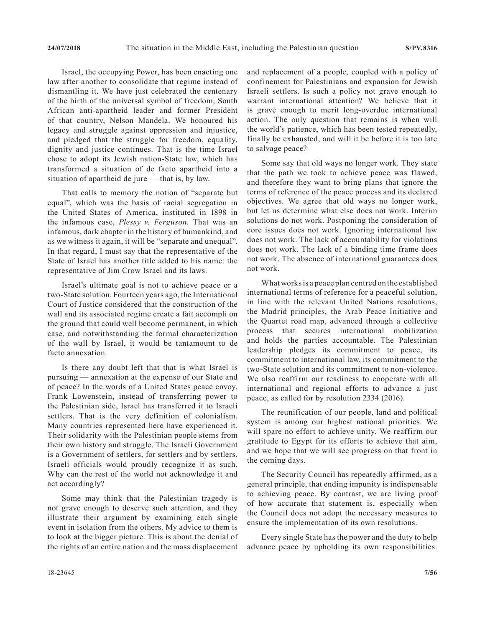Israel, the occupying Power, has been enacting one law after another to consolidate that regime instead of dismantling it. We have just celebrated the centenary of the birth of the universal symbol of freedom, South African anti-apartheid leader and former President of that country, Nelson Mandela. We honoured his legacy and struggle against oppression and injustice, and pledged that the struggle for freedom, equality, dignity and justice continues. That is the time Israel chose to adopt its Jewish nation-State law, which has transformed a situation of de facto apartheid into a situation of apartheid de jure — that is, by law.

That calls to memory the notion of "separate but equal", which was the basis of racial segregation in the United States of America, instituted in 1898 in the infamous case, *Plessy v. Ferguson*. That was an infamous, dark chapter in the history of humankind, and as we witness it again, it will be "separate and unequal". In that regard, I must say that the representative of the State of Israel has another title added to his name: the representative of Jim Crow Israel and its laws.

Israel's ultimate goal is not to achieve peace or a two-State solution. Fourteen years ago, the International Court of Justice considered that the construction of the wall and its associated regime create a fait accompli on the ground that could well become permanent, in which case, and notwithstanding the formal characterization of the wall by Israel, it would be tantamount to de facto annexation.

Is there any doubt left that that is what Israel is pursuing — annexation at the expense of our State and of peace? In the words of a United States peace envoy, Frank Lowenstein, instead of transferring power to the Palestinian side, Israel has transferred it to Israeli settlers. That is the very definition of colonialism. Many countries represented here have experienced it. Their solidarity with the Palestinian people stems from their own history and struggle. The Israeli Government is a Government of settlers, for settlers and by settlers. Israeli officials would proudly recognize it as such. Why can the rest of the world not acknowledge it and act accordingly?

Some may think that the Palestinian tragedy is not grave enough to deserve such attention, and they illustrate their argument by examining each single event in isolation from the others. My advice to them is to look at the bigger picture. This is about the denial of the rights of an entire nation and the mass displacement

and replacement of a people, coupled with a policy of confinement for Palestinians and expansion for Jewish Israeli settlers. Is such a policy not grave enough to warrant international attention? We believe that it is grave enough to merit long-overdue international action. The only question that remains is when will the world's patience, which has been tested repeatedly, finally be exhausted, and will it be before it is too late to salvage peace?

Some say that old ways no longer work. They state that the path we took to achieve peace was flawed, and therefore they want to bring plans that ignore the terms of reference of the peace process and its declared objectives. We agree that old ways no longer work, but let us determine what else does not work. Interim solutions do not work. Postponing the consideration of core issues does not work. Ignoring international law does not work. The lack of accountability for violations does not work. The lack of a binding time frame does not work. The absence of international guarantees does not work.

What works is a peace plan centred on the established international terms of reference for a peaceful solution, in line with the relevant United Nations resolutions, the Madrid principles, the Arab Peace Initiative and the Quartet road map, advanced through a collective process that secures international mobilization and holds the parties accountable. The Palestinian leadership pledges its commitment to peace, its commitment to international law, its commitment to the two-State solution and its commitment to non-violence. We also reaffirm our readiness to cooperate with all international and regional efforts to advance a just peace, as called for by resolution 2334 (2016).

The reunification of our people, land and political system is among our highest national priorities. We will spare no effort to achieve unity. We reaffirm our gratitude to Egypt for its efforts to achieve that aim, and we hope that we will see progress on that front in the coming days.

The Security Council has repeatedly affirmed, as a general principle, that ending impunity is indispensable to achieving peace. By contrast, we are living proof of how accurate that statement is, especially when the Council does not adopt the necessary measures to ensure the implementation of its own resolutions.

Every single State has the power and the duty to help advance peace by upholding its own responsibilities.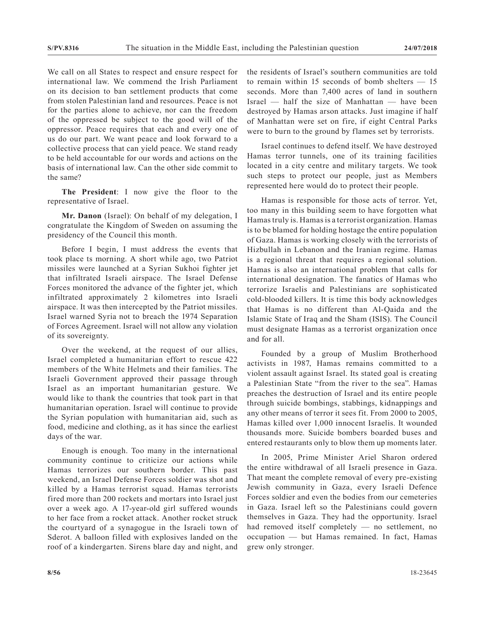We call on all States to respect and ensure respect for international law. We commend the Irish Parliament on its decision to ban settlement products that come from stolen Palestinian land and resources. Peace is not for the parties alone to achieve, nor can the freedom of the oppressed be subject to the good will of the oppressor. Peace requires that each and every one of us do our part. We want peace and look forward to a collective process that can yield peace. We stand ready to be held accountable for our words and actions on the basis of international law. Can the other side commit to the same?

**The President**: I now give the floor to the representative of Israel.

**Mr. Danon** (Israel): On behalf of my delegation, I congratulate the Kingdom of Sweden on assuming the presidency of the Council this month.

Before I begin, I must address the events that took place ts morning. A short while ago, two Patriot missiles were launched at a Syrian Sukhoi fighter jet that infiltrated Israeli airspace. The Israel Defense Forces monitored the advance of the fighter jet, which infiltrated approximately 2 kilometres into Israeli airspace. It was then intercepted by the Patriot missiles. Israel warned Syria not to breach the 1974 Separation of Forces Agreement. Israel will not allow any violation of its sovereignty.

Over the weekend, at the request of our allies, Israel completed a humanitarian effort to rescue 422 members of the White Helmets and their families. The Israeli Government approved their passage through Israel as an important humanitarian gesture. We would like to thank the countries that took part in that humanitarian operation. Israel will continue to provide the Syrian population with humanitarian aid, such as food, medicine and clothing, as it has since the earliest days of the war.

Enough is enough. Too many in the international community continue to criticize our actions while Hamas terrorizes our southern border. This past weekend, an Israel Defense Forces soldier was shot and killed by a Hamas terrorist squad. Hamas terrorists fired more than 200 rockets and mortars into Israel just over a week ago. A 17-year-old girl suffered wounds to her face from a rocket attack. Another rocket struck the courtyard of a synagogue in the Israeli town of Sderot. A balloon filled with explosives landed on the roof of a kindergarten. Sirens blare day and night, and

the residents of Israel's southern communities are told to remain within 15 seconds of bomb shelters — 15 seconds. More than 7,400 acres of land in southern Israel — half the size of Manhattan — have been destroyed by Hamas arson attacks. Just imagine if half of Manhattan were set on fire, if eight Central Parks were to burn to the ground by flames set by terrorists.

Israel continues to defend itself. We have destroyed Hamas terror tunnels, one of its training facilities located in a city centre and military targets. We took such steps to protect our people, just as Members represented here would do to protect their people.

Hamas is responsible for those acts of terror. Yet, too many in this building seem to have forgotten what Hamas truly is. Hamas is a terrorist organization. Hamas is to be blamed for holding hostage the entire population of Gaza. Hamas is working closely with the terrorists of Hizbullah in Lebanon and the Iranian regime. Hamas is a regional threat that requires a regional solution. Hamas is also an international problem that calls for international designation. The fanatics of Hamas who terrorize Israelis and Palestinians are sophisticated cold-blooded killers. It is time this body acknowledges that Hamas is no different than Al-Qaida and the Islamic State of Iraq and the Sham (ISIS). The Council must designate Hamas as a terrorist organization once and for all.

Founded by a group of Muslim Brotherhood activists in 1987, Hamas remains committed to a violent assault against Israel. Its stated goal is creating a Palestinian State "from the river to the sea". Hamas preaches the destruction of Israel and its entire people through suicide bombings, stabbings, kidnappings and any other means of terror it sees fit. From 2000 to 2005, Hamas killed over 1,000 innocent Israelis. It wounded thousands more. Suicide bombers boarded buses and entered restaurants only to blow them up moments later.

In 2005, Prime Minister Ariel Sharon ordered the entire withdrawal of all Israeli presence in Gaza. That meant the complete removal of every pre-existing Jewish community in Gaza, every Israeli Defence Forces soldier and even the bodies from our cemeteries in Gaza. Israel left so the Palestinians could govern themselves in Gaza. They had the opportunity. Israel had removed itself completely — no settlement, no occupation — but Hamas remained. In fact, Hamas grew only stronger.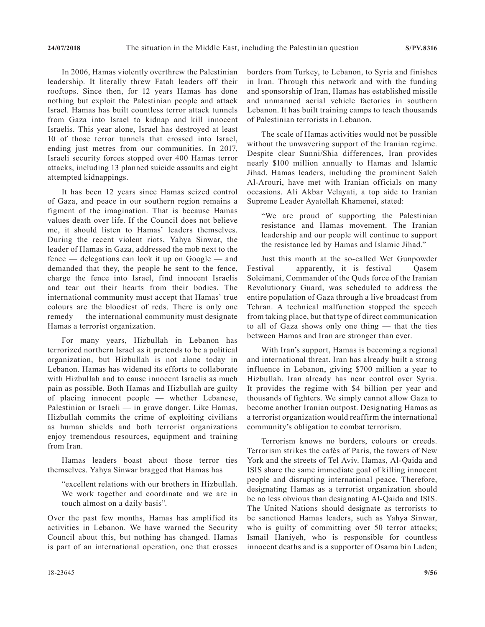In 2006, Hamas violently overthrew the Palestinian leadership. It literally threw Fatah leaders off their rooftops. Since then, for 12 years Hamas has done nothing but exploit the Palestinian people and attack Israel. Hamas has built countless terror attack tunnels from Gaza into Israel to kidnap and kill innocent Israelis. This year alone, Israel has destroyed at least 10 of those terror tunnels that crossed into Israel, ending just metres from our communities. In 2017, Israeli security forces stopped over 400 Hamas terror attacks, including 13 planned suicide assaults and eight attempted kidnappings.

It has been 12 years since Hamas seized control of Gaza, and peace in our southern region remains a figment of the imagination. That is because Hamas values death over life. If the Council does not believe me, it should listen to Hamas' leaders themselves. During the recent violent riots, Yahya Sinwar, the leader of Hamas in Gaza, addressed the mob next to the fence — delegations can look it up on Google — and demanded that they, the people he sent to the fence, charge the fence into Israel, find innocent Israelis and tear out their hearts from their bodies. The international community must accept that Hamas' true colours are the bloodiest of reds. There is only one remedy — the international community must designate Hamas a terrorist organization.

For many years, Hizbullah in Lebanon has terrorized northern Israel as it pretends to be a political organization, but Hizbullah is not alone today in Lebanon. Hamas has widened its efforts to collaborate with Hizbullah and to cause innocent Israelis as much pain as possible. Both Hamas and Hizbullah are guilty of placing innocent people — whether Lebanese, Palestinian or Israeli — in grave danger. Like Hamas, Hizbullah commits the crime of exploiting civilians as human shields and both terrorist organizations enjoy tremendous resources, equipment and training from Iran.

Hamas leaders boast about those terror ties themselves. Yahya Sinwar bragged that Hamas has

"excellent relations with our brothers in Hizbullah. We work together and coordinate and we are in touch almost on a daily basis".

Over the past few months, Hamas has amplified its activities in Lebanon. We have warned the Security Council about this, but nothing has changed. Hamas is part of an international operation, one that crosses borders from Turkey, to Lebanon, to Syria and finishes in Iran. Through this network and with the funding and sponsorship of Iran, Hamas has established missile and unmanned aerial vehicle factories in southern Lebanon. It has built training camps to teach thousands of Palestinian terrorists in Lebanon.

The scale of Hamas activities would not be possible without the unwavering support of the Iranian regime. Despite clear Sunni/Shia differences, Iran provides nearly \$100 million annually to Hamas and Islamic Jihad. Hamas leaders, including the prominent Saleh Al-Arouri, have met with Iranian officials on many occasions. Ali Akbar Velayati, a top aide to Iranian Supreme Leader Ayatollah Khamenei, stated:

"We are proud of supporting the Palestinian resistance and Hamas movement. The Iranian leadership and our people will continue to support the resistance led by Hamas and Islamic Jihad."

Just this month at the so-called Wet Gunpowder Festival — apparently, it is festival — Qasem Soleimani, Commander of the Quds force of the Iranian Revolutionary Guard, was scheduled to address the entire population of Gaza through a live broadcast from Tehran. A technical malfunction stopped the speech from taking place, but that type of direct communication to all of Gaza shows only one thing — that the ties between Hamas and Iran are stronger than ever.

With Iran's support, Hamas is becoming a regional and international threat. Iran has already built a strong influence in Lebanon, giving \$700 million a year to Hizbullah. Iran already has near control over Syria. It provides the regime with \$4 billion per year and thousands of fighters. We simply cannot allow Gaza to become another Iranian outpost. Designating Hamas as a terrorist organization would reaffirm the international community's obligation to combat terrorism.

Terrorism knows no borders, colours or creeds. Terrorism strikes the cafés of Paris, the towers of New York and the streets of Tel Aviv. Hamas, Al-Qaida and ISIS share the same immediate goal of killing innocent people and disrupting international peace. Therefore, designating Hamas as a terrorist organization should be no less obvious than designating Al-Qaida and ISIS. The United Nations should designate as terrorists to be sanctioned Hamas leaders, such as Yahya Sinwar, who is guilty of committing over 50 terror attacks; Ismail Haniyeh, who is responsible for countless innocent deaths and is a supporter of Osama bin Laden;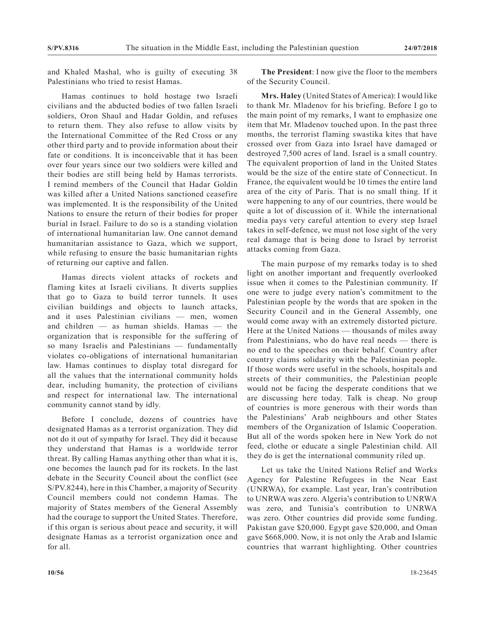and Khaled Mashal, who is guilty of executing 38 Palestinians who tried to resist Hamas.

Hamas continues to hold hostage two Israeli civilians and the abducted bodies of two fallen Israeli soldiers, Oron Shaul and Hadar Goldin, and refuses to return them. They also refuse to allow visits by the International Committee of the Red Cross or any other third party and to provide information about their fate or conditions. It is inconceivable that it has been over four years since our two soldiers were killed and their bodies are still being held by Hamas terrorists. I remind members of the Council that Hadar Goldin was killed after a United Nations sanctioned ceasefire was implemented. It is the responsibility of the United Nations to ensure the return of their bodies for proper burial in Israel. Failure to do so is a standing violation of international humanitarian law. One cannot demand humanitarian assistance to Gaza, which we support, while refusing to ensure the basic humanitarian rights of returning our captive and fallen.

Hamas directs violent attacks of rockets and flaming kites at Israeli civilians. It diverts supplies that go to Gaza to build terror tunnels. It uses civilian buildings and objects to launch attacks, and it uses Palestinian civilians — men, women and children — as human shields. Hamas — the organization that is responsible for the suffering of so many Israelis and Palestinians — fundamentally violates co-obligations of international humanitarian law. Hamas continues to display total disregard for all the values that the international community holds dear, including humanity, the protection of civilians and respect for international law. The international community cannot stand by idly.

Before I conclude, dozens of countries have designated Hamas as a terrorist organization. They did not do it out of sympathy for Israel. They did it because they understand that Hamas is a worldwide terror threat. By calling Hamas anything other than what it is, one becomes the launch pad for its rockets. In the last debate in the Security Council about the conflict (see S/PV.8244), here in this Chamber, a majority of Security Council members could not condemn Hamas. The majority of States members of the General Assembly had the courage to support the United States. Therefore, if this organ is serious about peace and security, it will designate Hamas as a terrorist organization once and for all.

**The President**: I now give the floor to the members of the Security Council.

**Mrs. Haley** (United States of America): I would like to thank Mr. Mladenov for his briefing. Before I go to the main point of my remarks, I want to emphasize one item that Mr. Mladenov touched upon. In the past three months, the terrorist flaming swastika kites that have crossed over from Gaza into Israel have damaged or destroyed 7,500 acres of land. Israel is a small country. The equivalent proportion of land in the United States would be the size of the entire state of Connecticut. In France, the equivalent would be 10 times the entire land area of the city of Paris. That is no small thing. If it were happening to any of our countries, there would be quite a lot of discussion of it. While the international media pays very careful attention to every step Israel takes in self-defence, we must not lose sight of the very real damage that is being done to Israel by terrorist attacks coming from Gaza.

The main purpose of my remarks today is to shed light on another important and frequently overlooked issue when it comes to the Palestinian community. If one were to judge every nation's commitment to the Palestinian people by the words that are spoken in the Security Council and in the General Assembly, one would come away with an extremely distorted picture. Here at the United Nations — thousands of miles away from Palestinians, who do have real needs — there is no end to the speeches on their behalf. Country after country claims solidarity with the Palestinian people. If those words were useful in the schools, hospitals and streets of their communities, the Palestinian people would not be facing the desperate conditions that we are discussing here today. Talk is cheap. No group of countries is more generous with their words than the Palestinians' Arab neighbours and other States members of the Organization of Islamic Cooperation. But all of the words spoken here in New York do not feed, clothe or educate a single Palestinian child. All they do is get the international community riled up.

Let us take the United Nations Relief and Works Agency for Palestine Refugees in the Near East (UNRWA), for example. Last year, Iran's contribution to UNRWA was zero. Algeria's contribution to UNRWA was zero, and Tunisia's contribution to UNRWA was zero. Other countries did provide some funding. Pakistan gave \$20,000. Egypt gave \$20,000, and Oman gave \$668,000. Now, it is not only the Arab and Islamic countries that warrant highlighting. Other countries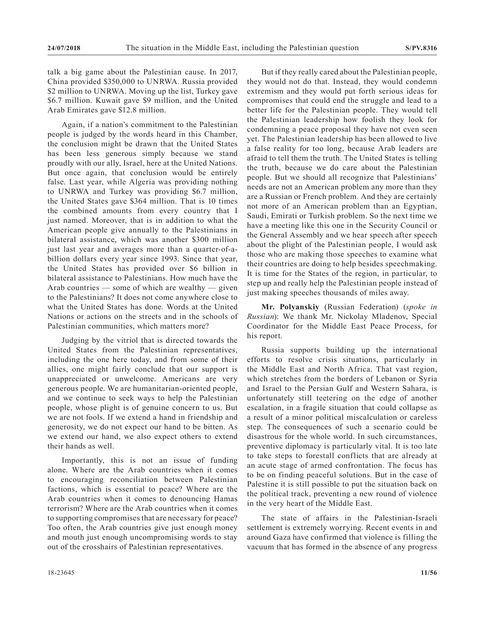talk a big game about the Palestinian cause. In 2017, China provided \$350,000 to UNRWA. Russia provided \$2 million to UNRWA. Moving up the list, Turkey gave \$6.7 million. Kuwait gave \$9 million, and the United Arab Emirates gave \$12.8 million.

Again, if a nation's commitment to the Palestinian people is judged by the words heard in this Chamber, the conclusion might be drawn that the United States has been less generous simply because we stand proudly with our ally, Israel, here at the United Nations. But once again, that conclusion would be entirely false. Last year, while Algeria was providing nothing to UNRWA and Turkey was providing \$6.7 million, the United States gave \$364 million. That is 10 times the combined amounts from every country that I just named. Moreover, that is in addition to what the American people give annually to the Palestinians in bilateral assistance, which was another \$300 million just last year and averages more than a quarter-of-abillion dollars every year since 1993. Since that year, the United States has provided over \$6 billion in bilateral assistance to Palestinians. How much have the Arab countries — some of which are wealthy — given to the Palestinians? It does not come anywhere close to what the United States has done. Words at the United Nations or actions on the streets and in the schools of Palestinian communities, which matters more?

Judging by the vitriol that is directed towards the United States from the Palestinian representatives, including the one here today, and from some of their allies, one might fairly conclude that our support is unappreciated or unwelcome. Americans are very generous people. We are humanitarian-oriented people, and we continue to seek ways to help the Palestinian people, whose plight is of genuine concern to us. But we are not fools. If we extend a hand in friendship and generosity, we do not expect our hand to be bitten. As we extend our hand, we also expect others to extend their hands as well.

Importantly, this is not an issue of funding alone. Where are the Arab countries when it comes to encouraging reconciliation between Palestinian factions, which is essential to peace? Where are the Arab countries when it comes to denouncing Hamas terrorism? Where are the Arab countries when it comes to supporting compromises that are necessary for peace? Too often, the Arab countries give just enough money and mouth just enough uncompromising words to stay out of the crosshairs of Palestinian representatives.

But if they really cared about the Palestinian people, they would not do that. Instead, they would condemn extremism and they would put forth serious ideas for compromises that could end the struggle and lead to a better life for the Palestinian people. They would tell the Palestinian leadership how foolish they look for condemning a peace proposal they have not even seen yet. The Palestinian leadership has been allowed to live a false reality for too long, because Arab leaders are afraid to tell them the truth. The United States is telling the truth, because we do care about the Palestinian people. But we should all recognize that Palestinians' needs are not an American problem any more than they are a Russian or French problem. And they are certainly not more of an American problem than an Egyptian, Saudi, Emirati or Turkish problem. So the next time we have a meeting like this one in the Security Council or the General Assembly and we hear speech after speech about the plight of the Palestinian people, I would ask those who are making those speeches to examine what their countries are doing to help besides speechmaking. It is time for the States of the region, in particular, to step up and really help the Palestinian people instead of just making speeches thousands of miles away.

**Mr. Polyanskiy** (Russian Federation) (*spoke in Russian*): We thank Mr. Nickolay Mladenov, Special Coordinator for the Middle East Peace Process, for his report.

Russia supports building up the international efforts to resolve crisis situations, particularly in the Middle East and North Africa. That vast region, which stretches from the borders of Lebanon or Syria and Israel to the Persian Gulf and Western Sahara, is unfortunately still teetering on the edge of another escalation, in a fragile situation that could collapse as a result of a minor political miscalculation or careless step. The consequences of such a scenario could be disastrous for the whole world. In such circumstances, preventive diplomacy is particularly vital. It is too late to take steps to forestall conflicts that are already at an acute stage of armed confrontation. The focus has to be on finding peaceful solutions. But in the case of Palestine it is still possible to put the situation back on the political track, preventing a new round of violence in the very heart of the Middle East.

The state of affairs in the Palestinian-Israeli settlement is extremely worrying. Recent events in and around Gaza have confirmed that violence is filling the vacuum that has formed in the absence of any progress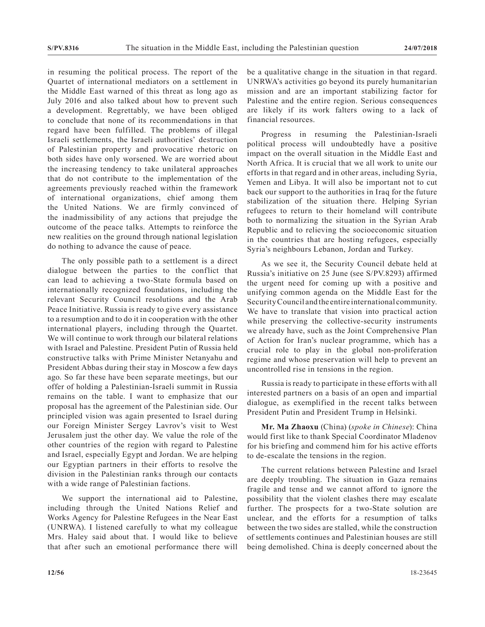in resuming the political process. The report of the Quartet of international mediators on a settlement in the Middle East warned of this threat as long ago as July 2016 and also talked about how to prevent such a development. Regrettably, we have been obliged to conclude that none of its recommendations in that regard have been fulfilled. The problems of illegal Israeli settlements, the Israeli authorities' destruction of Palestinian property and provocative rhetoric on both sides have only worsened. We are worried about the increasing tendency to take unilateral approaches that do not contribute to the implementation of the agreements previously reached within the framework of international organizations, chief among them the United Nations. We are firmly convinced of the inadmissibility of any actions that prejudge the outcome of the peace talks. Attempts to reinforce the new realities on the ground through national legislation do nothing to advance the cause of peace.

The only possible path to a settlement is a direct dialogue between the parties to the conflict that can lead to achieving a two-State formula based on internationally recognized foundations, including the relevant Security Council resolutions and the Arab Peace Initiative. Russia is ready to give every assistance to a resumption and to do it in cooperation with the other international players, including through the Quartet. We will continue to work through our bilateral relations with Israel and Palestine. President Putin of Russia held constructive talks with Prime Minister Netanyahu and President Abbas during their stay in Moscow a few days ago. So far these have been separate meetings, but our offer of holding a Palestinian-Israeli summit in Russia remains on the table. I want to emphasize that our proposal has the agreement of the Palestinian side. Our principled vision was again presented to Israel during our Foreign Minister Sergey Lavrov's visit to West Jerusalem just the other day. We value the role of the other countries of the region with regard to Palestine and Israel, especially Egypt and Jordan. We are helping our Egyptian partners in their efforts to resolve the division in the Palestinian ranks through our contacts with a wide range of Palestinian factions.

We support the international aid to Palestine, including through the United Nations Relief and Works Agency for Palestine Refugees in the Near East (UNRWA). I listened carefully to what my colleague Mrs. Haley said about that. I would like to believe that after such an emotional performance there will be a qualitative change in the situation in that regard. UNRWA's activities go beyond its purely humanitarian mission and are an important stabilizing factor for Palestine and the entire region. Serious consequences are likely if its work falters owing to a lack of financial resources.

Progress in resuming the Palestinian-Israeli political process will undoubtedly have a positive impact on the overall situation in the Middle East and North Africa. It is crucial that we all work to unite our efforts in that regard and in other areas, including Syria, Yemen and Libya. It will also be important not to cut back our support to the authorities in Iraq for the future stabilization of the situation there. Helping Syrian refugees to return to their homeland will contribute both to normalizing the situation in the Syrian Arab Republic and to relieving the socioeconomic situation in the countries that are hosting refugees, especially Syria's neighbours Lebanon, Jordan and Turkey.

As we see it, the Security Council debate held at Russia's initiative on 25 June (see S/PV.8293) affirmed the urgent need for coming up with a positive and unifying common agenda on the Middle East for the Security Council and the entire international community. We have to translate that vision into practical action while preserving the collective-security instruments we already have, such as the Joint Comprehensive Plan of Action for Iran's nuclear programme, which has a crucial role to play in the global non-proliferation regime and whose preservation will help to prevent an uncontrolled rise in tensions in the region.

Russia is ready to participate in these efforts with all interested partners on a basis of an open and impartial dialogue, as exemplified in the recent talks between President Putin and President Trump in Helsinki.

**Mr. Ma Zhaoxu** (China) (*spoke in Chinese*): China would first like to thank Special Coordinator Mladenov for his briefing and commend him for his active efforts to de-escalate the tensions in the region.

The current relations between Palestine and Israel are deeply troubling. The situation in Gaza remains fragile and tense and we cannot afford to ignore the possibility that the violent clashes there may escalate further. The prospects for a two-State solution are unclear, and the efforts for a resumption of talks between the two sides are stalled, while the construction of settlements continues and Palestinian houses are still being demolished. China is deeply concerned about the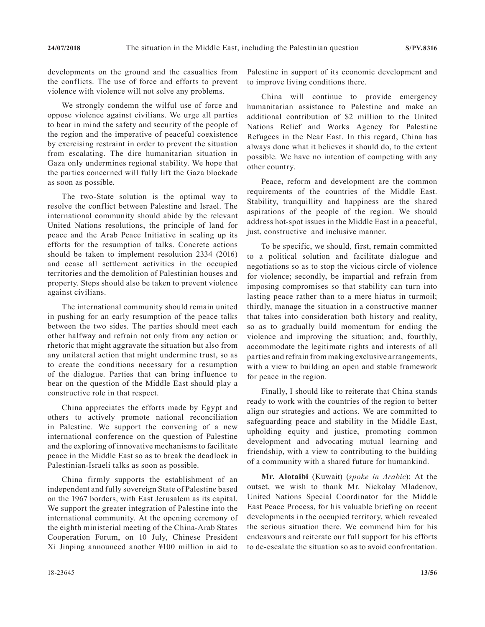developments on the ground and the casualties from the conflicts. The use of force and efforts to prevent violence with violence will not solve any problems.

We strongly condemn the wilful use of force and oppose violence against civilians. We urge all parties to bear in mind the safety and security of the people of the region and the imperative of peaceful coexistence by exercising restraint in order to prevent the situation from escalating. The dire humanitarian situation in Gaza only undermines regional stability. We hope that the parties concerned will fully lift the Gaza blockade as soon as possible.

The two-State solution is the optimal way to resolve the conflict between Palestine and Israel. The international community should abide by the relevant United Nations resolutions, the principle of land for peace and the Arab Peace Initiative in scaling up its efforts for the resumption of talks. Concrete actions should be taken to implement resolution 2334 (2016) and cease all settlement activities in the occupied territories and the demolition of Palestinian houses and property. Steps should also be taken to prevent violence against civilians.

The international community should remain united in pushing for an early resumption of the peace talks between the two sides. The parties should meet each other halfway and refrain not only from any action or rhetoric that might aggravate the situation but also from any unilateral action that might undermine trust, so as to create the conditions necessary for a resumption of the dialogue. Parties that can bring influence to bear on the question of the Middle East should play a constructive role in that respect.

China appreciates the efforts made by Egypt and others to actively promote national reconciliation in Palestine. We support the convening of a new international conference on the question of Palestine and the exploring of innovative mechanisms to facilitate peace in the Middle East so as to break the deadlock in Palestinian-Israeli talks as soon as possible.

China firmly supports the establishment of an independent and fully sovereign State of Palestine based on the 1967 borders, with East Jerusalem as its capital. We support the greater integration of Palestine into the international community. At the opening ceremony of the eighth ministerial meeting of the China-Arab States Cooperation Forum, on 10 July, Chinese President Xi Jinping announced another ¥100 million in aid to

Palestine in support of its economic development and to improve living conditions there.

China will continue to provide emergency humanitarian assistance to Palestine and make an additional contribution of \$2 million to the United Nations Relief and Works Agency for Palestine Refugees in the Near East. In this regard, China has always done what it believes it should do, to the extent possible. We have no intention of competing with any other country.

Peace, reform and development are the common requirements of the countries of the Middle East. Stability, tranquillity and happiness are the shared aspirations of the people of the region. We should address hot-spot issues in the Middle East in a peaceful, just, constructive and inclusive manner.

To be specific, we should, first, remain committed to a political solution and facilitate dialogue and negotiations so as to stop the vicious circle of violence for violence; secondly, be impartial and refrain from imposing compromises so that stability can turn into lasting peace rather than to a mere hiatus in turmoil; thirdly, manage the situation in a constructive manner that takes into consideration both history and reality, so as to gradually build momentum for ending the violence and improving the situation; and, fourthly, accommodate the legitimate rights and interests of all parties and refrain from making exclusive arrangements, with a view to building an open and stable framework for peace in the region.

Finally, I should like to reiterate that China stands ready to work with the countries of the region to better align our strategies and actions. We are committed to safeguarding peace and stability in the Middle East, upholding equity and justice, promoting common development and advocating mutual learning and friendship, with a view to contributing to the building of a community with a shared future for humankind.

**Mr. Alotaibi** (Kuwait) (*spoke in Arabic*): At the outset, we wish to thank Mr. Nickolay Mladenov, United Nations Special Coordinator for the Middle East Peace Process, for his valuable briefing on recent developments in the occupied territory, which revealed the serious situation there. We commend him for his endeavours and reiterate our full support for his efforts to de-escalate the situation so as to avoid confrontation.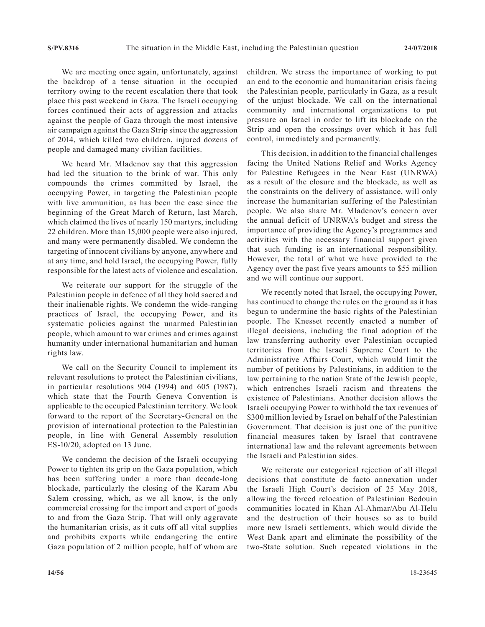We are meeting once again, unfortunately, against the backdrop of a tense situation in the occupied territory owing to the recent escalation there that took place this past weekend in Gaza. The Israeli occupying forces continued their acts of aggression and attacks against the people of Gaza through the most intensive air campaign against the Gaza Strip since the aggression of 2014, which killed two children, injured dozens of people and damaged many civilian facilities.

We heard Mr. Mladenov say that this aggression had led the situation to the brink of war. This only compounds the crimes committed by Israel, the occupying Power, in targeting the Palestinian people with live ammunition, as has been the case since the beginning of the Great March of Return, last March, which claimed the lives of nearly 150 martyrs, including 22 children. More than 15,000 people were also injured, and many were permanently disabled. We condemn the targeting of innocent civilians by anyone, anywhere and at any time, and hold Israel, the occupying Power, fully responsible for the latest acts of violence and escalation.

We reiterate our support for the struggle of the Palestinian people in defence of all they hold sacred and their inalienable rights. We condemn the wide-ranging practices of Israel, the occupying Power, and its systematic policies against the unarmed Palestinian people, which amount to war crimes and crimes against humanity under international humanitarian and human rights law.

We call on the Security Council to implement its relevant resolutions to protect the Palestinian civilians, in particular resolutions 904 (1994) and 605 (1987), which state that the Fourth Geneva Convention is applicable to the occupied Palestinian territory. We look forward to the report of the Secretary-General on the provision of international protection to the Palestinian people, in line with General Assembly resolution ES-10/20, adopted on 13 June.

We condemn the decision of the Israeli occupying Power to tighten its grip on the Gaza population, which has been suffering under a more than decade-long blockade, particularly the closing of the Karam Abu Salem crossing, which, as we all know, is the only commercial crossing for the import and export of goods to and from the Gaza Strip. That will only aggravate the humanitarian crisis, as it cuts off all vital supplies and prohibits exports while endangering the entire Gaza population of 2 million people, half of whom are children. We stress the importance of working to put an end to the economic and humanitarian crisis facing the Palestinian people, particularly in Gaza, as a result of the unjust blockade. We call on the international community and international organizations to put pressure on Israel in order to lift its blockade on the Strip and open the crossings over which it has full control, immediately and permanently.

This decision, in addition to the financial challenges facing the United Nations Relief and Works Agency for Palestine Refugees in the Near East (UNRWA) as a result of the closure and the blockade, as well as the constraints on the delivery of assistance, will only increase the humanitarian suffering of the Palestinian people. We also share Mr. Mladenov's concern over the annual deficit of UNRWA's budget and stress the importance of providing the Agency's programmes and activities with the necessary financial support given that such funding is an international responsibility. However, the total of what we have provided to the Agency over the past five years amounts to \$55 million and we will continue our support.

We recently noted that Israel, the occupying Power, has continued to change the rules on the ground as it has begun to undermine the basic rights of the Palestinian people. The Knesset recently enacted a number of illegal decisions, including the final adoption of the law transferring authority over Palestinian occupied territories from the Israeli Supreme Court to the Administrative Affairs Court, which would limit the number of petitions by Palestinians, in addition to the law pertaining to the nation State of the Jewish people, which entrenches Israeli racism and threatens the existence of Palestinians. Another decision allows the Israeli occupying Power to withhold the tax revenues of \$300 million levied by Israel on behalf of the Palestinian Government. That decision is just one of the punitive financial measures taken by Israel that contravene international law and the relevant agreements between the Israeli and Palestinian sides.

We reiterate our categorical rejection of all illegal decisions that constitute de facto annexation under the Israeli High Court's decision of 25 May 2018, allowing the forced relocation of Palestinian Bedouin communities located in Khan Al-Ahmar/Abu Al-Helu and the destruction of their houses so as to build more new Israeli settlements, which would divide the West Bank apart and eliminate the possibility of the two-State solution. Such repeated violations in the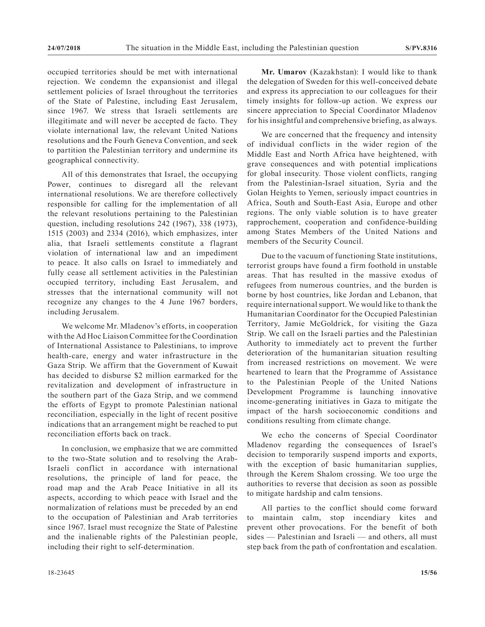occupied territories should be met with international rejection. We condemn the expansionist and illegal settlement policies of Israel throughout the territories of the State of Palestine, including East Jerusalem, since 1967. We stress that Israeli settlements are illegitimate and will never be accepted de facto. They violate international law, the relevant United Nations resolutions and the Fourh Geneva Convention, and seek to partition the Palestinian territory and undermine its geographical connectivity.

All of this demonstrates that Israel, the occupying Power, continues to disregard all the relevant international resolutions. We are therefore collectively responsible for calling for the implementation of all the relevant resolutions pertaining to the Palestinian question, including resolutions 242 (1967), 338 (1973), 1515 (2003) and 2334 (2016), which emphasizes, inter alia, that Israeli settlements constitute a flagrant violation of international law and an impediment to peace. It also calls on Israel to immediately and fully cease all settlement activities in the Palestinian occupied territory, including East Jerusalem, and stresses that the international community will not recognize any changes to the 4 June 1967 borders, including Jerusalem.

We welcome Mr. Mladenov's efforts, in cooperation with the Ad Hoc Liaison Committee for the Coordination of International Assistance to Palestinians, to improve health-care, energy and water infrastructure in the Gaza Strip. We affirm that the Government of Kuwait has decided to disburse \$2 million earmarked for the revitalization and development of infrastructure in the southern part of the Gaza Strip, and we commend the efforts of Egypt to promote Palestinian national reconciliation, especially in the light of recent positive indications that an arrangement might be reached to put reconciliation efforts back on track.

In conclusion, we emphasize that we are committed to the two-State solution and to resolving the Arab-Israeli conflict in accordance with international resolutions, the principle of land for peace, the road map and the Arab Peace Initiative in all its aspects, according to which peace with Israel and the normalization of relations must be preceded by an end to the occupation of Palestinian and Arab territories since 1967. Israel must recognize the State of Palestine and the inalienable rights of the Palestinian people, including their right to self-determination.

**Mr. Umarov** (Kazakhstan): I would like to thank the delegation of Sweden for this well-conceived debate and express its appreciation to our colleagues for their timely insights for follow-up action. We express our sincere appreciation to Special Coordinator Mladenov for his insightful and comprehensive briefing, as always.

We are concerned that the frequency and intensity of individual conflicts in the wider region of the Middle East and North Africa have heightened, with grave consequences and with potential implications for global insecurity. Those violent conflicts, ranging from the Palestinian-Israel situation, Syria and the Golan Heights to Yemen, seriously impact countries in Africa, South and South-East Asia, Europe and other regions. The only viable solution is to have greater rapprochement, cooperation and confidence-building among States Members of the United Nations and members of the Security Council.

Due to the vacuum of functioning State institutions, terrorist groups have found a firm foothold in unstable areas. That has resulted in the massive exodus of refugees from numerous countries, and the burden is borne by host countries, like Jordan and Lebanon, that require international support. We would like to thank the Humanitarian Coordinator for the Occupied Palestinian Territory, Jamie McGoldrick, for visiting the Gaza Strip. We call on the Israeli parties and the Palestinian Authority to immediately act to prevent the further deterioration of the humanitarian situation resulting from increased restrictions on movement. We were heartened to learn that the Programme of Assistance to the Palestinian People of the United Nations Development Programme is launching innovative income-generating initiatives in Gaza to mitigate the impact of the harsh socioeconomic conditions and conditions resulting from climate change.

We echo the concerns of Special Coordinator Mladenov regarding the consequences of Israel's decision to temporarily suspend imports and exports, with the exception of basic humanitarian supplies, through the Kerem Shalom crossing. We too urge the authorities to reverse that decision as soon as possible to mitigate hardship and calm tensions.

All parties to the conflict should come forward to maintain calm, stop incendiary kites and prevent other provocations. For the benefit of both sides — Palestinian and Israeli — and others, all must step back from the path of confrontation and escalation.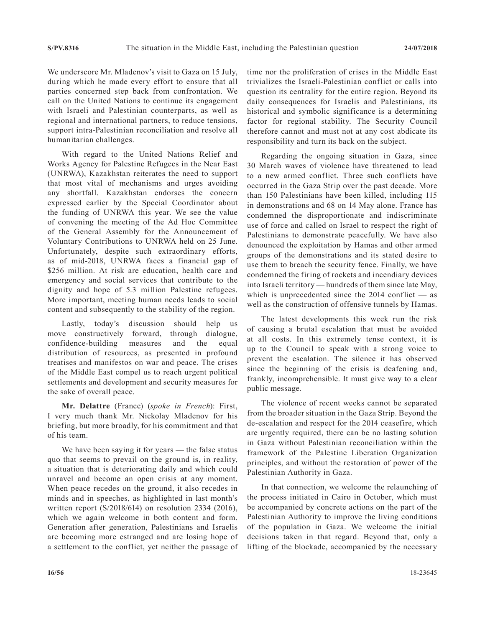We underscore Mr. Mladenov's visit to Gaza on 15 July, during which he made every effort to ensure that all parties concerned step back from confrontation. We call on the United Nations to continue its engagement with Israeli and Palestinian counterparts, as well as regional and international partners, to reduce tensions, support intra-Palestinian reconciliation and resolve all humanitarian challenges.

With regard to the United Nations Relief and Works Agency for Palestine Refugees in the Near East (UNRWA), Kazakhstan reiterates the need to support that most vital of mechanisms and urges avoiding any shortfall. Kazakhstan endorses the concern expressed earlier by the Special Coordinator about the funding of UNRWA this year. We see the value of convening the meeting of the Ad Hoc Committee of the General Assembly for the Announcement of Voluntary Contributions to UNRWA held on 25 June. Unfortunately, despite such extraordinary efforts, as of mid-2018, UNRWA faces a financial gap of \$256 million. At risk are education, health care and emergency and social services that contribute to the dignity and hope of 5.3 million Palestine refugees. More important, meeting human needs leads to social content and subsequently to the stability of the region.

Lastly, today's discussion should help us move constructively forward, through dialogue, confidence-building measures and the equal distribution of resources, as presented in profound treatises and manifestos on war and peace. The crises of the Middle East compel us to reach urgent political settlements and development and security measures for the sake of overall peace.

**Mr. Delattre** (France) (*spoke in French*): First, I very much thank Mr. Nickolay Mladenov for his briefing, but more broadly, for his commitment and that of his team.

We have been saying it for years — the false status quo that seems to prevail on the ground is, in reality, a situation that is deteriorating daily and which could unravel and become an open crisis at any moment. When peace recedes on the ground, it also recedes in minds and in speeches, as highlighted in last month's written report (S/2018/614) on resolution 2334 (2016), which we again welcome in both content and form. Generation after generation, Palestinians and Israelis are becoming more estranged and are losing hope of a settlement to the conflict, yet neither the passage of time nor the proliferation of crises in the Middle East trivializes the Israeli-Palestinian conflict or calls into question its centrality for the entire region. Beyond its daily consequences for Israelis and Palestinians, its historical and symbolic significance is a determining factor for regional stability. The Security Council therefore cannot and must not at any cost abdicate its responsibility and turn its back on the subject.

Regarding the ongoing situation in Gaza, since 30 March waves of violence have threatened to lead to a new armed conflict. Three such conflicts have occurred in the Gaza Strip over the past decade. More than 150 Palestinians have been killed, including 115 in demonstrations and 68 on 14 May alone. France has condemned the disproportionate and indiscriminate use of force and called on Israel to respect the right of Palestinians to demonstrate peacefully. We have also denounced the exploitation by Hamas and other armed groups of the demonstrations and its stated desire to use them to breach the security fence. Finally, we have condemned the firing of rockets and incendiary devices into Israeli territory — hundreds of them since late May, which is unprecedented since the  $2014$  conflict — as well as the construction of offensive tunnels by Hamas.

The latest developments this week run the risk of causing a brutal escalation that must be avoided at all costs. In this extremely tense context, it is up to the Council to speak with a strong voice to prevent the escalation. The silence it has observed since the beginning of the crisis is deafening and, frankly, incomprehensible. It must give way to a clear public message.

The violence of recent weeks cannot be separated from the broader situation in the Gaza Strip. Beyond the de-escalation and respect for the 2014 ceasefire, which are urgently required, there can be no lasting solution in Gaza without Palestinian reconciliation within the framework of the Palestine Liberation Organization principles, and without the restoration of power of the Palestinian Authority in Gaza.

In that connection, we welcome the relaunching of the process initiated in Cairo in October, which must be accompanied by concrete actions on the part of the Palestinian Authority to improve the living conditions of the population in Gaza. We welcome the initial decisions taken in that regard. Beyond that, only a lifting of the blockade, accompanied by the necessary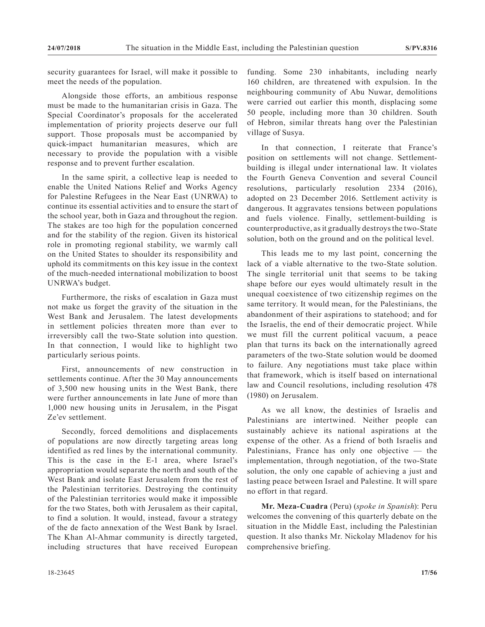security guarantees for Israel, will make it possible to meet the needs of the population.

Alongside those efforts, an ambitious response must be made to the humanitarian crisis in Gaza. The Special Coordinator's proposals for the accelerated implementation of priority projects deserve our full support. Those proposals must be accompanied by quick-impact humanitarian measures, which are necessary to provide the population with a visible response and to prevent further escalation.

In the same spirit, a collective leap is needed to enable the United Nations Relief and Works Agency for Palestine Refugees in the Near East (UNRWA) to continue its essential activities and to ensure the start of the school year, both in Gaza and throughout the region. The stakes are too high for the population concerned and for the stability of the region. Given its historical role in promoting regional stability, we warmly call on the United States to shoulder its responsibility and uphold its commitments on this key issue in the context of the much-needed international mobilization to boost UNRWA's budget.

Furthermore, the risks of escalation in Gaza must not make us forget the gravity of the situation in the West Bank and Jerusalem. The latest developments in settlement policies threaten more than ever to irreversibly call the two-State solution into question. In that connection, I would like to highlight two particularly serious points.

First, announcements of new construction in settlements continue. After the 30 May announcements of 3,500 new housing units in the West Bank, there were further announcements in late June of more than 1,000 new housing units in Jerusalem, in the Pisgat Ze'ev settlement.

Secondly, forced demolitions and displacements of populations are now directly targeting areas long identified as red lines by the international community. This is the case in the E-1 area, where Israel's appropriation would separate the north and south of the West Bank and isolate East Jerusalem from the rest of the Palestinian territories. Destroying the continuity of the Palestinian territories would make it impossible for the two States, both with Jerusalem as their capital, to find a solution. It would, instead, favour a strategy of the de facto annexation of the West Bank by Israel. The Khan Al-Ahmar community is directly targeted, including structures that have received European

funding. Some 230 inhabitants, including nearly 160 children, are threatened with expulsion. In the neighbouring community of Abu Nuwar, demolitions were carried out earlier this month, displacing some 50 people, including more than 30 children. South of Hebron, similar threats hang over the Palestinian village of Susya.

In that connection, I reiterate that France's position on settlements will not change. Settlementbuilding is illegal under international law. It violates the Fourth Geneva Convention and several Council resolutions, particularly resolution 2334 (2016), adopted on 23 December 2016. Settlement activity is dangerous. It aggravates tensions between populations and fuels violence. Finally, settlement-building is counterproductive, as it gradually destroys the two-State solution, both on the ground and on the political level.

This leads me to my last point, concerning the lack of a viable alternative to the two-State solution. The single territorial unit that seems to be taking shape before our eyes would ultimately result in the unequal coexistence of two citizenship regimes on the same territory. It would mean, for the Palestinians, the abandonment of their aspirations to statehood; and for the Israelis, the end of their democratic project. While we must fill the current political vacuum, a peace plan that turns its back on the internationally agreed parameters of the two-State solution would be doomed to failure. Any negotiations must take place within that framework, which is itself based on international law and Council resolutions, including resolution 478 (1980) on Jerusalem.

As we all know, the destinies of Israelis and Palestinians are intertwined. Neither people can sustainably achieve its national aspirations at the expense of the other. As a friend of both Israelis and Palestinians, France has only one objective — the implementation, through negotiation, of the two-State solution, the only one capable of achieving a just and lasting peace between Israel and Palestine. It will spare no effort in that regard.

**Mr. Meza-Cuadra** (Peru) (*spoke in Spanish*): Peru welcomes the convening of this quarterly debate on the situation in the Middle East, including the Palestinian question. It also thanks Mr. Nickolay Mladenov for his comprehensive briefing.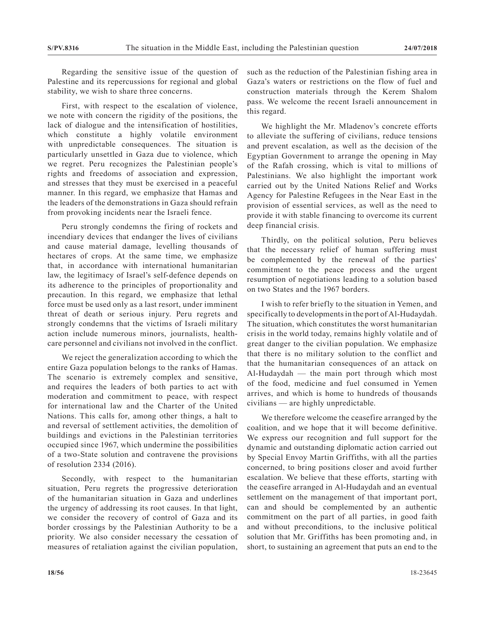Regarding the sensitive issue of the question of Palestine and its repercussions for regional and global stability, we wish to share three concerns.

First, with respect to the escalation of violence, we note with concern the rigidity of the positions, the lack of dialogue and the intensification of hostilities, which constitute a highly volatile environment with unpredictable consequences. The situation is particularly unsettled in Gaza due to violence, which we regret. Peru recognizes the Palestinian people's rights and freedoms of association and expression, and stresses that they must be exercised in a peaceful manner. In this regard, we emphasize that Hamas and the leaders of the demonstrations in Gaza should refrain from provoking incidents near the Israeli fence.

Peru strongly condemns the firing of rockets and incendiary devices that endanger the lives of civilians and cause material damage, levelling thousands of hectares of crops. At the same time, we emphasize that, in accordance with international humanitarian law, the legitimacy of Israel's self-defence depends on its adherence to the principles of proportionality and precaution. In this regard, we emphasize that lethal force must be used only as a last resort, under imminent threat of death or serious injury. Peru regrets and strongly condemns that the victims of Israeli military action include numerous minors, journalists, healthcare personnel and civilians not involved in the conflict.

We reject the generalization according to which the entire Gaza population belongs to the ranks of Hamas. The scenario is extremely complex and sensitive, and requires the leaders of both parties to act with moderation and commitment to peace, with respect for international law and the Charter of the United Nations. This calls for, among other things, a halt to and reversal of settlement activities, the demolition of buildings and evictions in the Palestinian territories occupied since 1967, which undermine the possibilities of a two-State solution and contravene the provisions of resolution 2334 (2016).

Secondly, with respect to the humanitarian situation, Peru regrets the progressive deterioration of the humanitarian situation in Gaza and underlines the urgency of addressing its root causes. In that light, we consider the recovery of control of Gaza and its border crossings by the Palestinian Authority to be a priority. We also consider necessary the cessation of measures of retaliation against the civilian population, such as the reduction of the Palestinian fishing area in Gaza's waters or restrictions on the flow of fuel and construction materials through the Kerem Shalom pass. We welcome the recent Israeli announcement in this regard.

We highlight the Mr. Mladenov's concrete efforts to alleviate the suffering of civilians, reduce tensions and prevent escalation, as well as the decision of the Egyptian Government to arrange the opening in May of the Rafah crossing, which is vital to millions of Palestinians. We also highlight the important work carried out by the United Nations Relief and Works Agency for Palestine Refugees in the Near East in the provision of essential services, as well as the need to provide it with stable financing to overcome its current deep financial crisis.

Thirdly, on the political solution, Peru believes that the necessary relief of human suffering must be complemented by the renewal of the parties' commitment to the peace process and the urgent resumption of negotiations leading to a solution based on two States and the 1967 borders.

I wish to refer briefly to the situation in Yemen, and specifically to developments in the port of Al-Hudaydah. The situation, which constitutes the worst humanitarian crisis in the world today, remains highly volatile and of great danger to the civilian population. We emphasize that there is no military solution to the conflict and that the humanitarian consequences of an attack on Al-Hudaydah — the main port through which most of the food, medicine and fuel consumed in Yemen arrives, and which is home to hundreds of thousands civilians — are highly unpredictable.

We therefore welcome the ceasefire arranged by the coalition, and we hope that it will become definitive. We express our recognition and full support for the dynamic and outstanding diplomatic action carried out by Special Envoy Martin Griffiths, with all the parties concerned, to bring positions closer and avoid further escalation. We believe that these efforts, starting with the ceasefire arranged in Al-Hudaydah and an eventual settlement on the management of that important port, can and should be complemented by an authentic commitment on the part of all parties, in good faith and without preconditions, to the inclusive political solution that Mr. Griffiths has been promoting and, in short, to sustaining an agreement that puts an end to the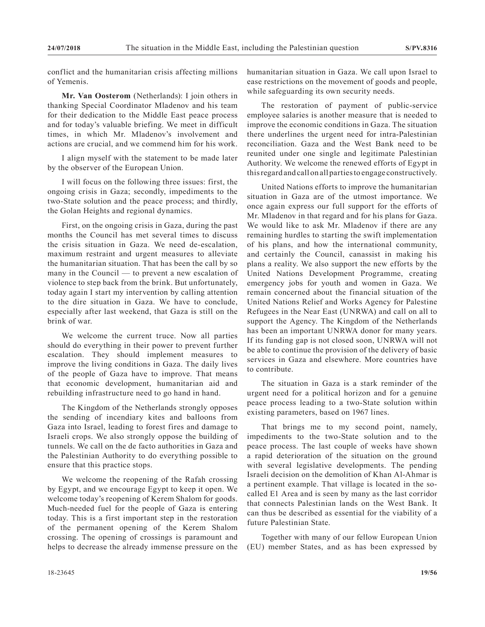conflict and the humanitarian crisis affecting millions of Yemenis.

**Mr. Van Oosterom** (Netherlands): I join others in thanking Special Coordinator Mladenov and his team for their dedication to the Middle East peace process and for today's valuable briefing. We meet in difficult times, in which Mr. Mladenov's involvement and actions are crucial, and we commend him for his work.

I align myself with the statement to be made later by the observer of the European Union.

I will focus on the following three issues: first, the ongoing crisis in Gaza; secondly, impediments to the two-State solution and the peace process; and thirdly, the Golan Heights and regional dynamics.

First, on the ongoing crisis in Gaza, during the past months the Council has met several times to discuss the crisis situation in Gaza. We need de-escalation, maximum restraint and urgent measures to alleviate the humanitarian situation. That has been the call by so many in the Council — to prevent a new escalation of violence to step back from the brink. But unfortunately, today again I start my intervention by calling attention to the dire situation in Gaza. We have to conclude, especially after last weekend, that Gaza is still on the brink of war.

We welcome the current truce. Now all parties should do everything in their power to prevent further escalation. They should implement measures to improve the living conditions in Gaza. The daily lives of the people of Gaza have to improve. That means that economic development, humanitarian aid and rebuilding infrastructure need to go hand in hand.

The Kingdom of the Netherlands strongly opposes the sending of incendiary kites and balloons from Gaza into Israel, leading to forest fires and damage to Israeli crops. We also strongly oppose the building of tunnels. We call on the de facto authorities in Gaza and the Palestinian Authority to do everything possible to ensure that this practice stops.

We welcome the reopening of the Rafah crossing by Egypt, and we encourage Egypt to keep it open. We welcome today's reopening of Kerem Shalom for goods. Much-needed fuel for the people of Gaza is entering today. This is a first important step in the restoration of the permanent opening of the Kerem Shalom crossing. The opening of crossings is paramount and helps to decrease the already immense pressure on the humanitarian situation in Gaza. We call upon Israel to ease restrictions on the movement of goods and people, while safeguarding its own security needs.

The restoration of payment of public-service employee salaries is another measure that is needed to improve the economic conditions in Gaza. The situation there underlines the urgent need for intra-Palestinian reconciliation. Gaza and the West Bank need to be reunited under one single and legitimate Palestinian Authority. We welcome the renewed efforts of Egypt in this regard and call on all parties to engage constructively.

United Nations efforts to improve the humanitarian situation in Gaza are of the utmost importance. We once again express our full support for the efforts of Mr. Mladenov in that regard and for his plans for Gaza. We would like to ask Mr. Mladenov if there are any remaining hurdles to starting the swift implementation of his plans, and how the international community, and certainly the Council, canassist in making his plans a reality. We also support the new efforts by the United Nations Development Programme, creating emergency jobs for youth and women in Gaza. We remain concerned about the financial situation of the United Nations Relief and Works Agency for Palestine Refugees in the Near East (UNRWA) and call on all to support the Agency. The Kingdom of the Netherlands has been an important UNRWA donor for many years. If its funding gap is not closed soon, UNRWA will not be able to continue the provision of the delivery of basic services in Gaza and elsewhere. More countries have to contribute.

The situation in Gaza is a stark reminder of the urgent need for a political horizon and for a genuine peace process leading to a two-State solution within existing parameters, based on 1967 lines.

That brings me to my second point, namely, impediments to the two-State solution and to the peace process. The last couple of weeks have shown a rapid deterioration of the situation on the ground with several legislative developments. The pending Israeli decision on the demolition of Khan Al-Ahmar is a pertinent example. That village is located in the socalled E1 Area and is seen by many as the last corridor that connects Palestinian lands on the West Bank. It can thus be described as essential for the viability of a future Palestinian State.

Together with many of our fellow European Union (EU) member States, and as has been expressed by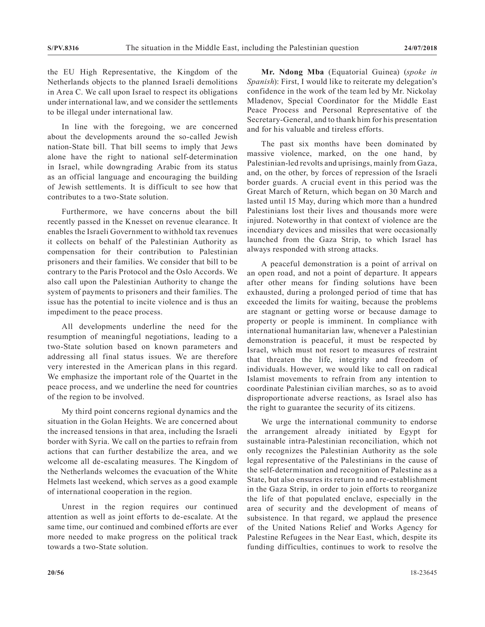the EU High Representative, the Kingdom of the Netherlands objects to the planned Israeli demolitions in Area C. We call upon Israel to respect its obligations under international law, and we consider the settlements to be illegal under international law.

In line with the foregoing, we are concerned about the developments around the so-called Jewish nation-State bill. That bill seems to imply that Jews alone have the right to national self-determination in Israel, while downgrading Arabic from its status as an official language and encouraging the building of Jewish settlements. It is difficult to see how that contributes to a two-State solution.

Furthermore, we have concerns about the bill recently passed in the Knesset on revenue clearance. It enables the Israeli Government to withhold tax revenues it collects on behalf of the Palestinian Authority as compensation for their contribution to Palestinian prisoners and their families. We consider that bill to be contrary to the Paris Protocol and the Oslo Accords. We also call upon the Palestinian Authority to change the system of payments to prisoners and their families. The issue has the potential to incite violence and is thus an impediment to the peace process.

All developments underline the need for the resumption of meaningful negotiations, leading to a two-State solution based on known parameters and addressing all final status issues. We are therefore very interested in the American plans in this regard. We emphasize the important role of the Quartet in the peace process, and we underline the need for countries of the region to be involved.

My third point concerns regional dynamics and the situation in the Golan Heights. We are concerned about the increased tensions in that area, including the Israeli border with Syria. We call on the parties to refrain from actions that can further destabilize the area, and we welcome all de-escalating measures. The Kingdom of the Netherlands welcomes the evacuation of the White Helmets last weekend, which serves as a good example of international cooperation in the region.

Unrest in the region requires our continued attention as well as joint efforts to de-escalate. At the same time, our continued and combined efforts are ever more needed to make progress on the political track towards a two-State solution.

**Mr. Ndong Mba** (Equatorial Guinea) (*spoke in Spanish*): First, I would like to reiterate my delegation's confidence in the work of the team led by Mr. Nickolay Mladenov, Special Coordinator for the Middle East Peace Process and Personal Representative of the Secretary-General, and to thank him for his presentation and for his valuable and tireless efforts.

The past six months have been dominated by massive violence, marked, on the one hand, by Palestinian-led revolts and uprisings, mainly from Gaza, and, on the other, by forces of repression of the Israeli border guards. A crucial event in this period was the Great March of Return, which began on 30 March and lasted until 15 May, during which more than a hundred Palestinians lost their lives and thousands more were injured. Noteworthy in that context of violence are the incendiary devices and missiles that were occasionally launched from the Gaza Strip, to which Israel has always responded with strong attacks.

A peaceful demonstration is a point of arrival on an open road, and not a point of departure. It appears after other means for finding solutions have been exhausted, during a prolonged period of time that has exceeded the limits for waiting, because the problems are stagnant or getting worse or because damage to property or people is imminent. In compliance with international humanitarian law, whenever a Palestinian demonstration is peaceful, it must be respected by Israel, which must not resort to measures of restraint that threaten the life, integrity and freedom of individuals. However, we would like to call on radical Islamist movements to refrain from any intention to coordinate Palestinian civilian marches, so as to avoid disproportionate adverse reactions, as Israel also has the right to guarantee the security of its citizens.

We urge the international community to endorse the arrangement already initiated by Egypt for sustainable intra-Palestinian reconciliation, which not only recognizes the Palestinian Authority as the sole legal representative of the Palestinians in the cause of the self-determination and recognition of Palestine as a State, but also ensures its return to and re-establishment in the Gaza Strip, in order to join efforts to reorganize the life of that populated enclave, especially in the area of security and the development of means of subsistence. In that regard, we applaud the presence of the United Nations Relief and Works Agency for Palestine Refugees in the Near East, which, despite its funding difficulties, continues to work to resolve the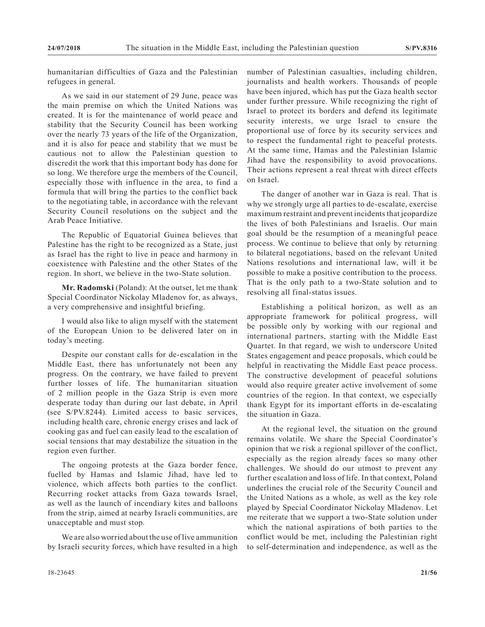humanitarian difficulties of Gaza and the Palestinian refugees in general.

As we said in our statement of 29 June, peace was the main premise on which the United Nations was created. It is for the maintenance of world peace and stability that the Security Council has been working over the nearly 73 years of the life of the Organization, and it is also for peace and stability that we must be cautious not to allow the Palestinian question to discredit the work that this important body has done for so long. We therefore urge the members of the Council, especially those with influence in the area, to find a formula that will bring the parties to the conflict back to the negotiating table, in accordance with the relevant Security Council resolutions on the subject and the Arab Peace Initiative.

The Republic of Equatorial Guinea believes that Palestine has the right to be recognized as a State, just as Israel has the right to live in peace and harmony in coexistence with Palestine and the other States of the region. In short, we believe in the two-State solution.

**Mr. Radomski** (Poland): At the outset, let me thank Special Coordinator Nickolay Mladenov for, as always, a very comprehensive and insightful briefing.

I would also like to align myself with the statement of the European Union to be delivered later on in today's meeting.

Despite our constant calls for de-escalation in the Middle East, there has unfortunately not been any progress. On the contrary, we have failed to prevent further losses of life. The humanitarian situation of 2 million people in the Gaza Strip is even more desperate today than during our last debate, in April (see S/PV.8244). Limited access to basic services, including health care, chronic energy crises and lack of cooking gas and fuel can easily lead to the escalation of social tensions that may destabilize the situation in the region even further.

The ongoing protests at the Gaza border fence, fuelled by Hamas and Islamic Jihad, have led to violence, which affects both parties to the conflict. Recurring rocket attacks from Gaza towards Israel, as well as the launch of incendiary kites and balloons from the strip, aimed at nearby Israeli communities, are unacceptable and must stop.

We are also worried about the use of live ammunition by Israeli security forces, which have resulted in a high number of Palestinian casualties, including children, journalists and health workers. Thousands of people have been injured, which has put the Gaza health sector under further pressure. While recognizing the right of Israel to protect its borders and defend its legitimate security interests, we urge Israel to ensure the proportional use of force by its security services and to respect the fundamental right to peaceful protests. At the same time, Hamas and the Palestinian Islamic Jihad have the responsibility to avoid provocations. Their actions represent a real threat with direct effects on Israel.

The danger of another war in Gaza is real. That is why we strongly urge all parties to de-escalate, exercise maximum restraint and prevent incidents that jeopardize the lives of both Palestinians and Israelis. Our main goal should be the resumption of a meaningful peace process. We continue to believe that only by returning to bilateral negotiations, based on the relevant United Nations resolutions and international law, will it be possible to make a positive contribution to the process. That is the only path to a two-State solution and to resolving all final-status issues.

Establishing a political horizon, as well as an appropriate framework for political progress, will be possible only by working with our regional and international partners, starting with the Middle East Quartet. In that regard, we wish to underscore United States engagement and peace proposals, which could be helpful in reactivating the Middle East peace process. The constructive development of peaceful solutions would also require greater active involvement of some countries of the region. In that context, we especially thank Egypt for its important efforts in de-escalating the situation in Gaza.

At the regional level, the situation on the ground remains volatile. We share the Special Coordinator's opinion that we risk a regional spillover of the conflict, especially as the region already faces so many other challenges. We should do our utmost to prevent any further escalation and loss of life. In that context, Poland underlines the crucial role of the Security Council and the United Nations as a whole, as well as the key role played by Special Coordinator Nickolay Mladenov. Let me reiterate that we support a two-State solution under which the national aspirations of both parties to the conflict would be met, including the Palestinian right to self-determination and independence, as well as the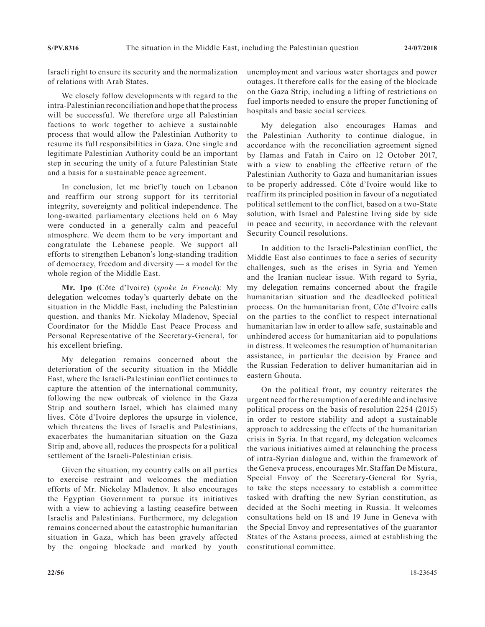Israeli right to ensure its security and the normalization of relations with Arab States.

We closely follow developments with regard to the intra-Palestinian reconciliation and hope that the process will be successful. We therefore urge all Palestinian factions to work together to achieve a sustainable process that would allow the Palestinian Authority to resume its full responsibilities in Gaza. One single and legitimate Palestinian Authority could be an important step in securing the unity of a future Palestinian State and a basis for a sustainable peace agreement.

In conclusion, let me briefly touch on Lebanon and reaffirm our strong support for its territorial integrity, sovereignty and political independence. The long-awaited parliamentary elections held on 6 May were conducted in a generally calm and peaceful atmosphere. We deem them to be very important and congratulate the Lebanese people. We support all efforts to strengthen Lebanon's long-standing tradition of democracy, freedom and diversity — a model for the whole region of the Middle East.

**Mr. Ipo** (Côte d'Ivoire) (*spoke in French*): My delegation welcomes today's quarterly debate on the situation in the Middle East, including the Palestinian question, and thanks Mr. Nickolay Mladenov, Special Coordinator for the Middle East Peace Process and Personal Representative of the Secretary-General, for his excellent briefing.

My delegation remains concerned about the deterioration of the security situation in the Middle East, where the Israeli-Palestinian conflict continues to capture the attention of the international community, following the new outbreak of violence in the Gaza Strip and southern Israel, which has claimed many lives. Côte d'Ivoire deplores the upsurge in violence, which threatens the lives of Israelis and Palestinians, exacerbates the humanitarian situation on the Gaza Strip and, above all, reduces the prospects for a political settlement of the Israeli-Palestinian crisis.

Given the situation, my country calls on all parties to exercise restraint and welcomes the mediation efforts of Mr. Nickolay Mladenov. It also encourages the Egyptian Government to pursue its initiatives with a view to achieving a lasting ceasefire between Israelis and Palestinians. Furthermore, my delegation remains concerned about the catastrophic humanitarian situation in Gaza, which has been gravely affected by the ongoing blockade and marked by youth unemployment and various water shortages and power outages. It therefore calls for the easing of the blockade on the Gaza Strip, including a lifting of restrictions on fuel imports needed to ensure the proper functioning of hospitals and basic social services.

My delegation also encourages Hamas and the Palestinian Authority to continue dialogue, in accordance with the reconciliation agreement signed by Hamas and Fatah in Cairo on 12 October 2017, with a view to enabling the effective return of the Palestinian Authority to Gaza and humanitarian issues to be properly addressed. Côte d'Ivoire would like to reaffirm its principled position in favour of a negotiated political settlement to the conflict, based on a two-State solution, with Israel and Palestine living side by side in peace and security, in accordance with the relevant Security Council resolutions.

In addition to the Israeli-Palestinian conflict, the Middle East also continues to face a series of security challenges, such as the crises in Syria and Yemen and the Iranian nuclear issue. With regard to Syria, my delegation remains concerned about the fragile humanitarian situation and the deadlocked political process. On the humanitarian front, Côte d'Ivoire calls on the parties to the conflict to respect international humanitarian law in order to allow safe, sustainable and unhindered access for humanitarian aid to populations in distress. It welcomes the resumption of humanitarian assistance, in particular the decision by France and the Russian Federation to deliver humanitarian aid in eastern Ghouta.

On the political front, my country reiterates the urgent need for the resumption of a credible and inclusive political process on the basis of resolution 2254 (2015) in order to restore stability and adopt a sustainable approach to addressing the effects of the humanitarian crisis in Syria. In that regard, my delegation welcomes the various initiatives aimed at relaunching the process of intra-Syrian dialogue and, within the framework of the Geneva process, encourages Mr. Staffan De Mistura, Special Envoy of the Secretary-General for Syria, to take the steps necessary to establish a committee tasked with drafting the new Syrian constitution, as decided at the Sochi meeting in Russia. It welcomes consultations held on 18 and 19 June in Geneva with the Special Envoy and representatives of the guarantor States of the Astana process, aimed at establishing the constitutional committee.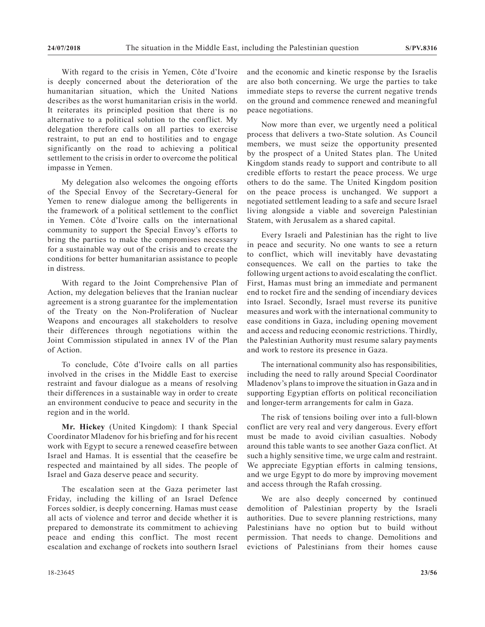With regard to the crisis in Yemen, Côte d'Ivoire is deeply concerned about the deterioration of the humanitarian situation, which the United Nations describes as the worst humanitarian crisis in the world. It reiterates its principled position that there is no alternative to a political solution to the conflict. My delegation therefore calls on all parties to exercise restraint, to put an end to hostilities and to engage significantly on the road to achieving a political settlement to the crisis in order to overcome the political impasse in Yemen.

My delegation also welcomes the ongoing efforts of the Special Envoy of the Secretary-General for Yemen to renew dialogue among the belligerents in the framework of a political settlement to the conflict in Yemen. Côte d'Ivoire calls on the international community to support the Special Envoy's efforts to bring the parties to make the compromises necessary for a sustainable way out of the crisis and to create the conditions for better humanitarian assistance to people in distress.

With regard to the Joint Comprehensive Plan of Action, my delegation believes that the Iranian nuclear agreement is a strong guarantee for the implementation of the Treaty on the Non-Proliferation of Nuclear Weapons and encourages all stakeholders to resolve their differences through negotiations within the Joint Commission stipulated in annex IV of the Plan of Action.

To conclude, Côte d'Ivoire calls on all parties involved in the crises in the Middle East to exercise restraint and favour dialogue as a means of resolving their differences in a sustainable way in order to create an environment conducive to peace and security in the region and in the world.

**Mr. Hickey** (United Kingdom): I thank Special Coordinator Mladenov for his briefing and for his recent work with Egypt to secure a renewed ceasefire between Israel and Hamas. It is essential that the ceasefire be respected and maintained by all sides. The people of Israel and Gaza deserve peace and security.

The escalation seen at the Gaza perimeter last Friday, including the killing of an Israel Defence Forces soldier, is deeply concerning. Hamas must cease all acts of violence and terror and decide whether it is prepared to demonstrate its commitment to achieving peace and ending this conflict. The most recent escalation and exchange of rockets into southern Israel

and the economic and kinetic response by the Israelis are also both concerning. We urge the parties to take immediate steps to reverse the current negative trends on the ground and commence renewed and meaningful peace negotiations.

Now more than ever, we urgently need a political process that delivers a two-State solution. As Council members, we must seize the opportunity presented by the prospect of a United States plan. The United Kingdom stands ready to support and contribute to all credible efforts to restart the peace process. We urge others to do the same. The United Kingdom position on the peace process is unchanged. We support a negotiated settlement leading to a safe and secure Israel living alongside a viable and sovereign Palestinian Statem, with Jerusalem as a shared capital.

Every Israeli and Palestinian has the right to live in peace and security. No one wants to see a return to conflict, which will inevitably have devastating consequences. We call on the parties to take the following urgent actions to avoid escalating the conflict. First, Hamas must bring an immediate and permanent end to rocket fire and the sending of incendiary devices into Israel. Secondly, Israel must reverse its punitive measures and work with the international community to ease conditions in Gaza, including opening movement and access and reducing economic restrictions. Thirdly, the Palestinian Authority must resume salary payments and work to restore its presence in Gaza.

The international community also has responsibilities, including the need to rally around Special Coordinator Mladenov's plans to improve the situation in Gaza and in supporting Egyptian efforts on political reconciliation and longer-term arrangements for calm in Gaza.

The risk of tensions boiling over into a full-blown conflict are very real and very dangerous. Every effort must be made to avoid civilian casualties. Nobody around this table wants to see another Gaza conflict. At such a highly sensitive time, we urge calm and restraint. We appreciate Egyptian efforts in calming tensions, and we urge Egypt to do more by improving movement and access through the Rafah crossing.

We are also deeply concerned by continued demolition of Palestinian property by the Israeli authorities. Due to severe planning restrictions, many Palestinians have no option but to build without permission. That needs to change. Demolitions and evictions of Palestinians from their homes cause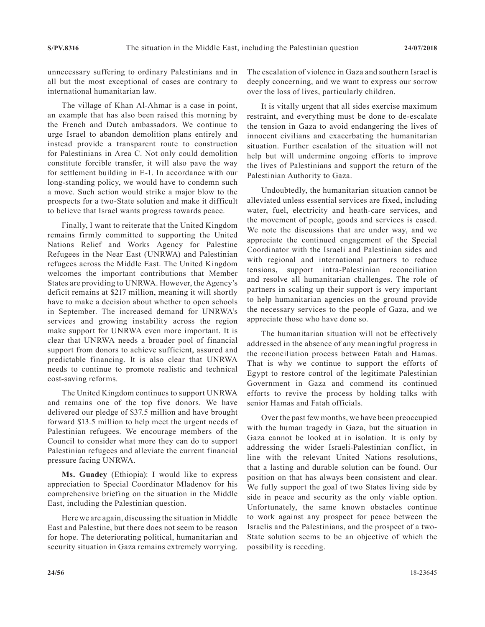unnecessary suffering to ordinary Palestinians and in all but the most exceptional of cases are contrary to international humanitarian law.

The village of Khan Al-Ahmar is a case in point, an example that has also been raised this morning by the French and Dutch ambassadors. We continue to urge Israel to abandon demolition plans entirely and instead provide a transparent route to construction for Palestinians in Area C. Not only could demolition constitute forcible transfer, it will also pave the way for settlement building in E-1. In accordance with our long-standing policy, we would have to condemn such a move. Such action would strike a major blow to the prospects for a two-State solution and make it difficult to believe that Israel wants progress towards peace.

Finally, I want to reiterate that the United Kingdom remains firmly committed to supporting the United Nations Relief and Works Agency for Palestine Refugees in the Near East (UNRWA) and Palestinian refugees across the Middle East. The United Kingdom welcomes the important contributions that Member States are providing to UNRWA. However, the Agency's deficit remains at \$217 million, meaning it will shortly have to make a decision about whether to open schools in September. The increased demand for UNRWA's services and growing instability across the region make support for UNRWA even more important. It is clear that UNRWA needs a broader pool of financial support from donors to achieve sufficient, assured and predictable financing. It is also clear that UNRWA needs to continue to promote realistic and technical cost-saving reforms.

The United Kingdom continues to support UNRWA and remains one of the top five donors. We have delivered our pledge of \$37.5 million and have brought forward \$13.5 million to help meet the urgent needs of Palestinian refugees. We encourage members of the Council to consider what more they can do to support Palestinian refugees and alleviate the current financial pressure facing UNRWA.

**Ms. Guadey** (Ethiopia): I would like to express appreciation to Special Coordinator Mladenov for his comprehensive briefing on the situation in the Middle East, including the Palestinian question.

Here we are again, discussing the situation in Middle East and Palestine, but there does not seem to be reason for hope. The deteriorating political, humanitarian and security situation in Gaza remains extremely worrying. The escalation of violence in Gaza and southern Israel is deeply concerning, and we want to express our sorrow over the loss of lives, particularly children.

It is vitally urgent that all sides exercise maximum restraint, and everything must be done to de-escalate the tension in Gaza to avoid endangering the lives of innocent civilians and exacerbating the humanitarian situation. Further escalation of the situation will not help but will undermine ongoing efforts to improve the lives of Palestinians and support the return of the Palestinian Authority to Gaza.

Undoubtedly, the humanitarian situation cannot be alleviated unless essential services are fixed, including water, fuel, electricity and heath-care services, and the movement of people, goods and services is eased. We note the discussions that are under way, and we appreciate the continued engagement of the Special Coordinator with the Israeli and Palestinian sides and with regional and international partners to reduce tensions, support intra-Palestinian reconciliation and resolve all humanitarian challenges. The role of partners in scaling up their support is very important to help humanitarian agencies on the ground provide the necessary services to the people of Gaza, and we appreciate those who have done so.

The humanitarian situation will not be effectively addressed in the absence of any meaningful progress in the reconciliation process between Fatah and Hamas. That is why we continue to support the efforts of Egypt to restore control of the legitimate Palestinian Government in Gaza and commend its continued efforts to revive the process by holding talks with senior Hamas and Fatah officials.

Over the past few months, we have been preoccupied with the human tragedy in Gaza, but the situation in Gaza cannot be looked at in isolation. It is only by addressing the wider Israeli-Palestinian conflict, in line with the relevant United Nations resolutions, that a lasting and durable solution can be found. Our position on that has always been consistent and clear. We fully support the goal of two States living side by side in peace and security as the only viable option. Unfortunately, the same known obstacles continue to work against any prospect for peace between the Israelis and the Palestinians, and the prospect of a two-State solution seems to be an objective of which the possibility is receding.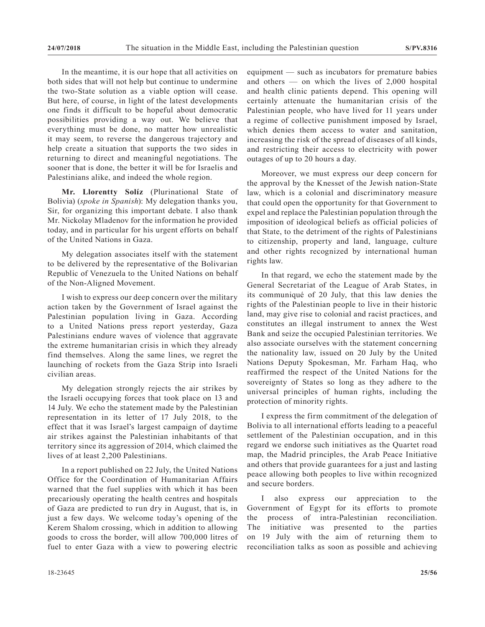In the meantime, it is our hope that all activities on both sides that will not help but continue to undermine the two-State solution as a viable option will cease. But here, of course, in light of the latest developments one finds it difficult to be hopeful about democratic possibilities providing a way out. We believe that everything must be done, no matter how unrealistic it may seem, to reverse the dangerous trajectory and help create a situation that supports the two sides in returning to direct and meaningful negotiations. The sooner that is done, the better it will be for Israelis and Palestinians alike, and indeed the whole region.

**Mr. Llorentty Solíz** (Plurinational State of Bolivia) (*spoke in Spanish*): My delegation thanks you, Sir, for organizing this important debate. I also thank Mr. Nickolay Mladenov for the information he provided today, and in particular for his urgent efforts on behalf of the United Nations in Gaza.

My delegation associates itself with the statement to be delivered by the representative of the Bolivarian Republic of Venezuela to the United Nations on behalf of the Non-Aligned Movement.

I wish to express our deep concern over the military action taken by the Government of Israel against the Palestinian population living in Gaza. According to a United Nations press report yesterday, Gaza Palestinians endure waves of violence that aggravate the extreme humanitarian crisis in which they already find themselves. Along the same lines, we regret the launching of rockets from the Gaza Strip into Israeli civilian areas.

My delegation strongly rejects the air strikes by the Israeli occupying forces that took place on 13 and 14 July. We echo the statement made by the Palestinian representation in its letter of 17 July 2018, to the effect that it was Israel's largest campaign of daytime air strikes against the Palestinian inhabitants of that territory since its aggression of 2014, which claimed the lives of at least 2,200 Palestinians.

In a report published on 22 July, the United Nations Office for the Coordination of Humanitarian Affairs warned that the fuel supplies with which it has been precariously operating the health centres and hospitals of Gaza are predicted to run dry in August, that is, in just a few days. We welcome today's opening of the Kerem Shalom crossing, which in addition to allowing goods to cross the border, will allow 700,000 litres of fuel to enter Gaza with a view to powering electric

equipment — such as incubators for premature babies and others — on which the lives of 2,000 hospital and health clinic patients depend. This opening will certainly attenuate the humanitarian crisis of the Palestinian people, who have lived for 11 years under a regime of collective punishment imposed by Israel, which denies them access to water and sanitation, increasing the risk of the spread of diseases of all kinds, and restricting their access to electricity with power outages of up to 20 hours a day.

Moreover, we must express our deep concern for the approval by the Knesset of the Jewish nation-State law, which is a colonial and discriminatory measure that could open the opportunity for that Government to expel and replace the Palestinian population through the imposition of ideological beliefs as official policies of that State, to the detriment of the rights of Palestinians to citizenship, property and land, language, culture and other rights recognized by international human rights law.

In that regard, we echo the statement made by the General Secretariat of the League of Arab States, in its communiqué of 20 July, that this law denies the rights of the Palestinian people to live in their historic land, may give rise to colonial and racist practices, and constitutes an illegal instrument to annex the West Bank and seize the occupied Palestinian territories. We also associate ourselves with the statement concerning the nationality law, issued on 20 July by the United Nations Deputy Spokesman, Mr. Farham Haq, who reaffirmed the respect of the United Nations for the sovereignty of States so long as they adhere to the universal principles of human rights, including the protection of minority rights.

I express the firm commitment of the delegation of Bolivia to all international efforts leading to a peaceful settlement of the Palestinian occupation, and in this regard we endorse such initiatives as the Quartet road map, the Madrid principles, the Arab Peace Initiative and others that provide guarantees for a just and lasting peace allowing both peoples to live within recognized and secure borders.

I also express our appreciation to the Government of Egypt for its efforts to promote the process of intra-Palestinian reconciliation. The initiative was presented to the parties on 19 July with the aim of returning them to reconciliation talks as soon as possible and achieving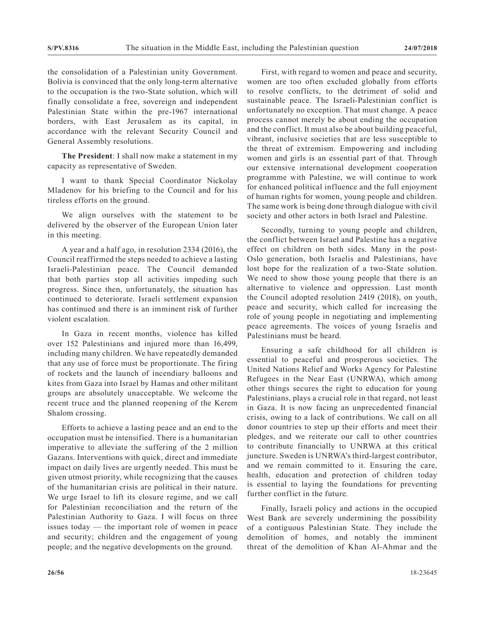the consolidation of a Palestinian unity Government. Bolivia is convinced that the only long-term alternative to the occupation is the two-State solution, which will finally consolidate a free, sovereign and independent Palestinian State within the pre-1967 international borders, with East Jerusalem as its capital, in accordance with the relevant Security Council and General Assembly resolutions.

**The President**: I shall now make a statement in my capacity as representative of Sweden.

I want to thank Special Coordinator Nickolay Mladenov for his briefing to the Council and for his tireless efforts on the ground.

We align ourselves with the statement to be delivered by the observer of the European Union later in this meeting.

A year and a half ago, in resolution 2334 (2016), the Council reaffirmed the steps needed to achieve a lasting Israeli-Palestinian peace. The Council demanded that both parties stop all activities impeding such progress. Since then, unfortunately, the situation has continued to deteriorate. Israeli settlement expansion has continued and there is an imminent risk of further violent escalation.

In Gaza in recent months, violence has killed over 152 Palestinians and injured more than 16,499, including many children. We have repeatedly demanded that any use of force must be proportionate. The firing of rockets and the launch of incendiary balloons and kites from Gaza into Israel by Hamas and other militant groups are absolutely unacceptable. We welcome the recent truce and the planned reopening of the Kerem Shalom crossing.

Efforts to achieve a lasting peace and an end to the occupation must be intensified. There is a humanitarian imperative to alleviate the suffering of the 2 million Gazans. Interventions with quick, direct and immediate impact on daily lives are urgently needed. This must be given utmost priority, while recognizing that the causes of the humanitarian crisis are political in their nature. We urge Israel to lift its closure regime, and we call for Palestinian reconciliation and the return of the Palestinian Authority to Gaza. I will focus on three issues today — the important role of women in peace and security; children and the engagement of young people; and the negative developments on the ground.

First, with regard to women and peace and security, women are too often excluded globally from efforts to resolve conflicts, to the detriment of solid and sustainable peace. The Israeli-Palestinian conflict is unfortunately no exception. That must change. A peace process cannot merely be about ending the occupation and the conflict. It must also be about building peaceful, vibrant, inclusive societies that are less susceptible to the threat of extremism. Empowering and including women and girls is an essential part of that. Through our extensive international development cooperation programme with Palestine, we will continue to work for enhanced political influence and the full enjoyment of human rights for women, young people and children. The same work is being done through dialogue with civil society and other actors in both Israel and Palestine.

Secondly, turning to young people and children, the conflict between Israel and Palestine has a negative effect on children on both sides. Many in the post-Oslo generation, both Israelis and Palestinians, have lost hope for the realization of a two-State solution. We need to show those young people that there is an alternative to violence and oppression. Last month the Council adopted resolution 2419 (2018), on youth, peace and security, which called for increasing the role of young people in negotiating and implementing peace agreements. The voices of young Israelis and Palestinians must be heard.

Ensuring a safe childhood for all children is essential to peaceful and prosperous societies. The United Nations Relief and Works Agency for Palestine Refugees in the Near East (UNRWA), which among other things secures the right to education for young Palestinians, plays a crucial role in that regard, not least in Gaza. It is now facing an unprecedented financial crisis, owing to a lack of contributions. We call on all donor countries to step up their efforts and meet their pledges, and we reiterate our call to other countries to contribute financially to UNRWA at this critical juncture. Sweden is UNRWA's third-largest contributor, and we remain committed to it. Ensuring the care, health, education and protection of children today is essential to laying the foundations for preventing further conflict in the future.

Finally, Israeli policy and actions in the occupied West Bank are severely undermining the possibility of a contiguous Palestinian State. They include the demolition of homes, and notably the imminent threat of the demolition of Khan Al-Ahmar and the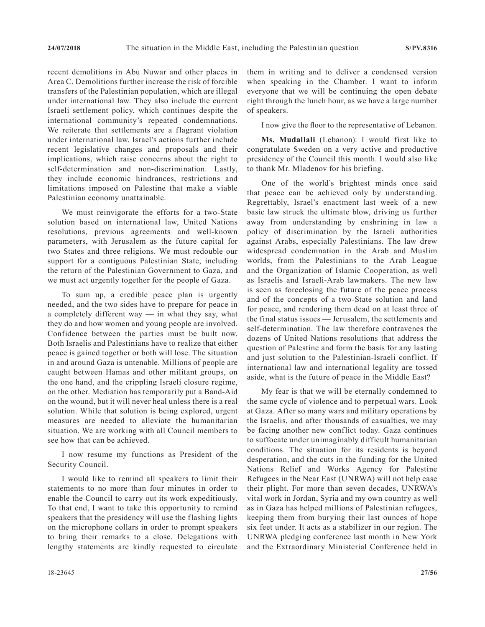recent demolitions in Abu Nuwar and other places in Area C. Demolitions further increase the risk of forcible transfers of the Palestinian population, which are illegal under international law. They also include the current Israeli settlement policy, which continues despite the international community's repeated condemnations. We reiterate that settlements are a flagrant violation under international law. Israel's actions further include recent legislative changes and proposals and their implications, which raise concerns about the right to self-determination and non-discrimination. Lastly, they include economic hindrances, restrictions and limitations imposed on Palestine that make a viable Palestinian economy unattainable.

We must reinvigorate the efforts for a two-State solution based on international law, United Nations resolutions, previous agreements and well-known parameters, with Jerusalem as the future capital for two States and three religions. We must redouble our support for a contiguous Palestinian State, including the return of the Palestinian Government to Gaza, and we must act urgently together for the people of Gaza.

To sum up, a credible peace plan is urgently needed, and the two sides have to prepare for peace in a completely different way  $-$  in what they say, what they do and how women and young people are involved. Confidence between the parties must be built now. Both Israelis and Palestinians have to realize that either peace is gained together or both will lose. The situation in and around Gaza is untenable. Millions of people are caught between Hamas and other militant groups, on the one hand, and the crippling Israeli closure regime, on the other. Mediation has temporarily put a Band-Aid on the wound, but it will never heal unless there is a real solution. While that solution is being explored, urgent measures are needed to alleviate the humanitarian situation. We are working with all Council members to see how that can be achieved.

I now resume my functions as President of the Security Council.

I would like to remind all speakers to limit their statements to no more than four minutes in order to enable the Council to carry out its work expeditiously. To that end, I want to take this opportunity to remind speakers that the presidency will use the flashing lights on the microphone collars in order to prompt speakers to bring their remarks to a close. Delegations with lengthy statements are kindly requested to circulate them in writing and to deliver a condensed version when speaking in the Chamber. I want to inform everyone that we will be continuing the open debate right through the lunch hour, as we have a large number of speakers.

I now give the floor to the representative of Lebanon.

**Ms. Mudallali** (Lebanon): I would first like to congratulate Sweden on a very active and productive presidency of the Council this month. I would also like to thank Mr. Mladenov for his briefing.

One of the world's brightest minds once said that peace can be achieved only by understanding. Regrettably, Israel's enactment last week of a new basic law struck the ultimate blow, driving us further away from understanding by enshrining in law a policy of discrimination by the Israeli authorities against Arabs, especially Palestinians. The law drew widespread condemnation in the Arab and Muslim worlds, from the Palestinians to the Arab League and the Organization of Islamic Cooperation, as well as Israelis and Israeli-Arab lawmakers. The new law is seen as foreclosing the future of the peace process and of the concepts of a two-State solution and land for peace, and rendering them dead on at least three of the final status issues — Jerusalem, the settlements and self-determination. The law therefore contravenes the dozens of United Nations resolutions that address the question of Palestine and form the basis for any lasting and just solution to the Palestinian-Israeli conflict. If international law and international legality are tossed aside, what is the future of peace in the Middle East?

My fear is that we will be eternally condemned to the same cycle of violence and to perpetual wars. Look at Gaza. After so many wars and military operations by the Israelis, and after thousands of casualties, we may be facing another new conflict today. Gaza continues to suffocate under unimaginably difficult humanitarian conditions. The situation for its residents is beyond desperation, and the cuts in the funding for the United Nations Relief and Works Agency for Palestine Refugees in the Near East (UNRWA) will not help ease their plight. For more than seven decades, UNRWA's vital work in Jordan, Syria and my own country as well as in Gaza has helped millions of Palestinian refugees, keeping them from burying their last ounces of hope six feet under. It acts as a stabilizer in our region. The UNRWA pledging conference last month in New York and the Extraordinary Ministerial Conference held in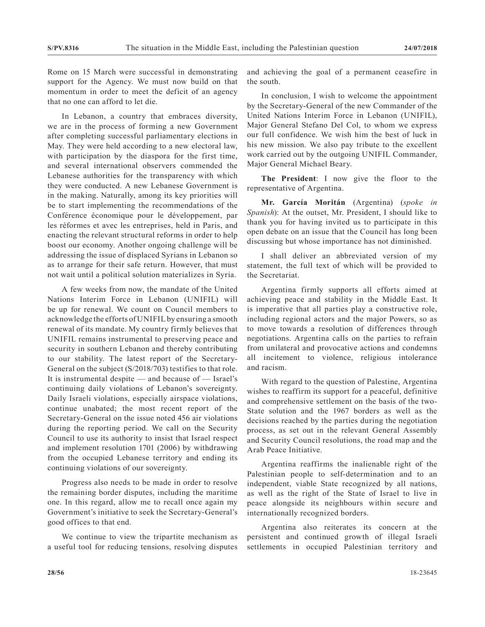Rome on 15 March were successful in demonstrating support for the Agency. We must now build on that momentum in order to meet the deficit of an agency that no one can afford to let die.

In Lebanon, a country that embraces diversity, we are in the process of forming a new Government after completing successful parliamentary elections in May. They were held according to a new electoral law, with participation by the diaspora for the first time, and several international observers commended the Lebanese authorities for the transparency with which they were conducted. A new Lebanese Government is in the making. Naturally, among its key priorities will be to start implementing the recommendations of the Conférence économique pour le développement, par les réformes et avec les entreprises, held in Paris, and enacting the relevant structural reforms in order to help boost our economy. Another ongoing challenge will be addressing the issue of displaced Syrians in Lebanon so as to arrange for their safe return. However, that must not wait until a political solution materializes in Syria.

A few weeks from now, the mandate of the United Nations Interim Force in Lebanon (UNIFIL) will be up for renewal. We count on Council members to acknowledge the efforts of UNIFIL by ensuring a smooth renewal of its mandate. My country firmly believes that UNIFIL remains instrumental to preserving peace and security in southern Lebanon and thereby contributing to our stability. The latest report of the Secretary-General on the subject (S/2018/703) testifies to that role. It is instrumental despite — and because of — Israel's continuing daily violations of Lebanon's sovereignty. Daily Israeli violations, especially airspace violations, continue unabated; the most recent report of the Secretary-General on the issue noted 456 air violations during the reporting period. We call on the Security Council to use its authority to insist that Israel respect and implement resolution 1701 (2006) by withdrawing from the occupied Lebanese territory and ending its continuing violations of our sovereignty.

Progress also needs to be made in order to resolve the remaining border disputes, including the maritime one. In this regard, allow me to recall once again my Government's initiative to seek the Secretary-General's good offices to that end.

We continue to view the tripartite mechanism as a useful tool for reducing tensions, resolving disputes and achieving the goal of a permanent ceasefire in the south.

In conclusion, I wish to welcome the appointment by the Secretary-General of the new Commander of the United Nations Interim Force in Lebanon (UNIFIL), Major General Stefano Del Col, to whom we express our full confidence. We wish him the best of luck in his new mission. We also pay tribute to the excellent work carried out by the outgoing UNIFIL Commander, Major General Michael Beary.

**The President**: I now give the floor to the representative of Argentina.

**Mr. García Moritán** (Argentina) (*spoke in Spanish*): At the outset, Mr. President, I should like to thank you for having invited us to participate in this open debate on an issue that the Council has long been discussing but whose importance has not diminished.

I shall deliver an abbreviated version of my statement, the full text of which will be provided to the Secretariat.

Argentina firmly supports all efforts aimed at achieving peace and stability in the Middle East. It is imperative that all parties play a constructive role, including regional actors and the major Powers, so as to move towards a resolution of differences through negotiations. Argentina calls on the parties to refrain from unilateral and provocative actions and condemns all incitement to violence, religious intolerance and racism.

With regard to the question of Palestine, Argentina wishes to reaffirm its support for a peaceful, definitive and comprehensive settlement on the basis of the two-State solution and the 1967 borders as well as the decisions reached by the parties during the negotiation process, as set out in the relevant General Assembly and Security Council resolutions, the road map and the Arab Peace Initiative.

Argentina reaffirms the inalienable right of the Palestinian people to self-determination and to an independent, viable State recognized by all nations, as well as the right of the State of Israel to live in peace alongside its neighbours within secure and internationally recognized borders.

Argentina also reiterates its concern at the persistent and continued growth of illegal Israeli settlements in occupied Palestinian territory and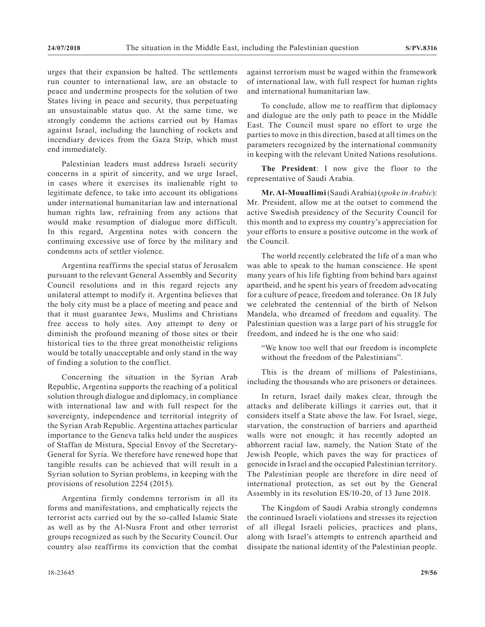urges that their expansion be halted. The settlements run counter to international law, are an obstacle to peace and undermine prospects for the solution of two States living in peace and security, thus perpetuating an unsustainable status quo. At the same time, we strongly condemn the actions carried out by Hamas against Israel, including the launching of rockets and incendiary devices from the Gaza Strip, which must end immediately.

Palestinian leaders must address Israeli security concerns in a spirit of sincerity, and we urge Israel, in cases where it exercises its inalienable right to legitimate defence, to take into account its obligations under international humanitarian law and international human rights law, refraining from any actions that would make resumption of dialogue more difficult. In this regard, Argentina notes with concern the continuing excessive use of force by the military and condemns acts of settler violence.

Argentina reaffirms the special status of Jerusalem pursuant to the relevant General Assembly and Security Council resolutions and in this regard rejects any unilateral attempt to modify it. Argentina believes that the holy city must be a place of meeting and peace and that it must guarantee Jews, Muslims and Christians free access to holy sites. Any attempt to deny or diminish the profound meaning of those sites or their historical ties to the three great monotheistic religions would be totally unacceptable and only stand in the way of finding a solution to the conflict.

Concerning the situation in the Syrian Arab Republic, Argentina supports the reaching of a political solution through dialogue and diplomacy, in compliance with international law and with full respect for the sovereignty, independence and territorial integrity of the Syrian Arab Republic. Argentina attaches particular importance to the Geneva talks held under the auspices of Staffan de Mistura, Special Envoy of the Secretary-General for Syria. We therefore have renewed hope that tangible results can be achieved that will result in a Syrian solution to Syrian problems, in keeping with the provisions of resolution 2254 (2015).

Argentina firmly condemns terrorism in all its forms and manifestations, and emphatically rejects the terrorist acts carried out by the so-called Islamic State as well as by the Al-Nusra Front and other terrorist groups recognized as such by the Security Council. Our country also reaffirms its conviction that the combat against terrorism must be waged within the framework of international law, with full respect for human rights and international humanitarian law.

To conclude, allow me to reaffirm that diplomacy and dialogue are the only path to peace in the Middle East. The Council must spare no effort to urge the parties to move in this direction, based at all times on the parameters recognized by the international community in keeping with the relevant United Nations resolutions.

**The President**: I now give the floor to the representative of Saudi Arabia.

**Mr. Al-Mouallimi** (Saudi Arabia) (*spoke in Arabic*): Mr. President, allow me at the outset to commend the active Swedish presidency of the Security Council for this month and to express my country's appreciation for your efforts to ensure a positive outcome in the work of the Council.

The world recently celebrated the life of a man who was able to speak to the human conscience. He spent many years of his life fighting from behind bars against apartheid, and he spent his years of freedom advocating for a culture of peace, freedom and tolerance. On 18 July we celebrated the centennial of the birth of Nelson Mandela, who dreamed of freedom and equality. The Palestinian question was a large part of his struggle for freedom, and indeed he is the one who said:

"We know too well that our freedom is incomplete without the freedom of the Palestinians".

This is the dream of millions of Palestinians, including the thousands who are prisoners or detainees.

In return, Israel daily makes clear, through the attacks and deliberate killings it carries out, that it considers itself a State above the law. For Israel, siege, starvation, the construction of barriers and apartheid walls were not enough; it has recently adopted an abhorrent racial law, namely, the Nation State of the Jewish People, which paves the way for practices of genocide in Israel and the occupied Palestinian territory. The Palestinian people are therefore in dire need of international protection, as set out by the General Assembly in its resolution ES/10-20, of 13 June 2018.

The Kingdom of Saudi Arabia strongly condemns the continued Israeli violations and stresses its rejection of all illegal Israeli policies, practices and plans, along with Israel's attempts to entrench apartheid and dissipate the national identity of the Palestinian people.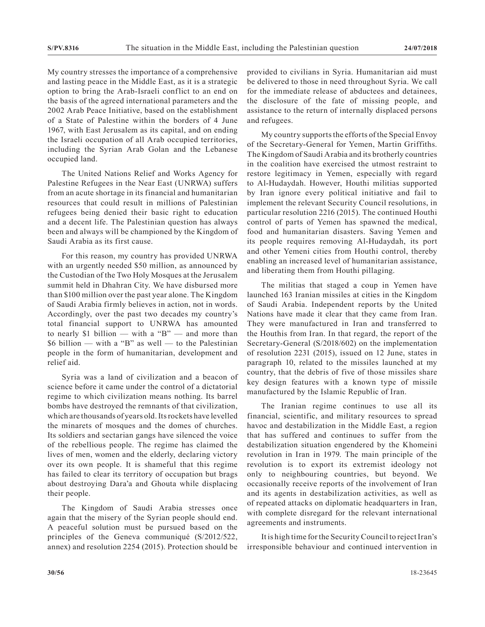My country stresses the importance of a comprehensive and lasting peace in the Middle East, as it is a strategic option to bring the Arab-Israeli conflict to an end on the basis of the agreed international parameters and the 2002 Arab Peace Initiative, based on the establishment of a State of Palestine within the borders of 4 June 1967, with East Jerusalem as its capital, and on ending the Israeli occupation of all Arab occupied territories, including the Syrian Arab Golan and the Lebanese occupied land.

The United Nations Relief and Works Agency for Palestine Refugees in the Near East (UNRWA) suffers from an acute shortage in its financial and humanitarian resources that could result in millions of Palestinian refugees being denied their basic right to education and a decent life. The Palestinian question has always been and always will be championed by the Kingdom of Saudi Arabia as its first cause.

For this reason, my country has provided UNRWA with an urgently needed \$50 million, as announced by the Custodian of the Two Holy Mosques at the Jerusalem summit held in Dhahran City. We have disbursed more than \$100 million over the past year alone. The Kingdom of Saudi Arabia firmly believes in action, not in words. Accordingly, over the past two decades my country's total financial support to UNRWA has amounted to nearly \$1 billion — with a "B" — and more than \$6 billion — with a "B" as well — to the Palestinian people in the form of humanitarian, development and relief aid.

Syria was a land of civilization and a beacon of science before it came under the control of a dictatorial regime to which civilization means nothing. Its barrel bombs have destroyed the remnants of that civilization, which are thousands of years old. Its rockets have levelled the minarets of mosques and the domes of churches. Its soldiers and sectarian gangs have silenced the voice of the rebellious people. The regime has claimed the lives of men, women and the elderly, declaring victory over its own people. It is shameful that this regime has failed to clear its territory of occupation but brags about destroying Dara'a and Ghouta while displacing their people.

The Kingdom of Saudi Arabia stresses once again that the misery of the Syrian people should end. A peaceful solution must be pursued based on the principles of the Geneva communiqué (S/2012/522, annex) and resolution 2254 (2015). Protection should be provided to civilians in Syria. Humanitarian aid must be delivered to those in need throughout Syria. We call for the immediate release of abductees and detainees, the disclosure of the fate of missing people, and assistance to the return of internally displaced persons and refugees.

My country supports the efforts of the Special Envoy of the Secretary-General for Yemen, Martin Griffiths. The Kingdom of Saudi Arabia and its brotherly countries in the coalition have exercised the utmost restraint to restore legitimacy in Yemen, especially with regard to Al-Hudaydah. However, Houthi militias supported by Iran ignore every political initiative and fail to implement the relevant Security Council resolutions, in particular resolution 2216 (2015). The continued Houthi control of parts of Yemen has spawned the medical, food and humanitarian disasters. Saving Yemen and its people requires removing Al-Hudaydah, its port and other Yemeni cities from Houthi control, thereby enabling an increased level of humanitarian assistance, and liberating them from Houthi pillaging.

The militias that staged a coup in Yemen have launched 163 Iranian missiles at cities in the Kingdom of Saudi Arabia. Independent reports by the United Nations have made it clear that they came from Iran. They were manufactured in Iran and transferred to the Houthis from Iran. In that regard, the report of the Secretary-General (S/2018/602) on the implementation of resolution 2231 (2015), issued on 12 June, states in paragraph 10, related to the missiles launched at my country, that the debris of five of those missiles share key design features with a known type of missile manufactured by the Islamic Republic of Iran.

The Iranian regime continues to use all its financial, scientific, and military resources to spread havoc and destabilization in the Middle East, a region that has suffered and continues to suffer from the destabilization situation engendered by the Khomeini revolution in Iran in 1979. The main principle of the revolution is to export its extremist ideology not only to neighbouring countries, but beyond. We occasionally receive reports of the involvement of Iran and its agents in destabilization activities, as well as of repeated attacks on diplomatic headquarters in Iran, with complete disregard for the relevant international agreements and instruments.

It is high time for the Security Council to reject Iran's irresponsible behaviour and continued intervention in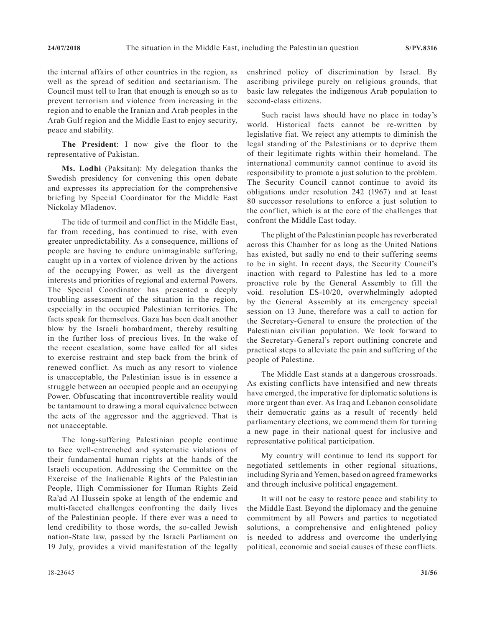the internal affairs of other countries in the region, as well as the spread of sedition and sectarianism. The Council must tell to Iran that enough is enough so as to prevent terrorism and violence from increasing in the region and to enable the Iranian and Arab peoples in the Arab Gulf region and the Middle East to enjoy security, peace and stability.

**The President**: I now give the floor to the representative of Pakistan.

**Ms. Lodhi** (Paksitan): My delegation thanks the Swedish presidency for convening this open debate and expresses its appreciation for the comprehensive briefing by Special Coordinator for the Middle East Nickolay Mladenov.

The tide of turmoil and conflict in the Middle East, far from receding, has continued to rise, with even greater unpredictability. As a consequence, millions of people are having to endure unimaginable suffering, caught up in a vortex of violence driven by the actions of the occupying Power, as well as the divergent interests and priorities of regional and external Powers. The Special Coordinator has presented a deeply troubling assessment of the situation in the region, especially in the occupied Palestinian territories. The facts speak for themselves. Gaza has been dealt another blow by the Israeli bombardment, thereby resulting in the further loss of precious lives. In the wake of the recent escalation, some have called for all sides to exercise restraint and step back from the brink of renewed conflict. As much as any resort to violence is unacceptable, the Palestinian issue is in essence a struggle between an occupied people and an occupying Power. Obfuscating that incontrovertible reality would be tantamount to drawing a moral equivalence between the acts of the aggressor and the aggrieved. That is not unacceptable.

The long-suffering Palestinian people continue to face well-entrenched and systematic violations of their fundamental human rights at the hands of the Israeli occupation. Addressing the Committee on the Exercise of the Inalienable Rights of the Palestinian People, High Commissioner for Human Rights Zeid Ra'ad Al Hussein spoke at length of the endemic and multi-faceted challenges confronting the daily lives of the Palestinian people. If there ever was a need to lend credibility to those words, the so-called Jewish nation-State law, passed by the Israeli Parliament on 19 July, provides a vivid manifestation of the legally

enshrined policy of discrimination by Israel. By ascribing privilege purely on religious grounds, that basic law relegates the indigenous Arab population to second-class citizens.

Such racist laws should have no place in today's world. Historical facts cannot be re-written by legislative fiat. We reject any attempts to diminish the legal standing of the Palestinians or to deprive them of their legitimate rights within their homeland. The international community cannot continue to avoid its responsibility to promote a just solution to the problem. The Security Council cannot continue to avoid its obligations under resolution 242 (1967) and at least 80 successor resolutions to enforce a just solution to the conflict, which is at the core of the challenges that confront the Middle East today.

The plight of the Palestinian people has reverberated across this Chamber for as long as the United Nations has existed, but sadly no end to their suffering seems to be in sight. In recent days, the Security Council's inaction with regard to Palestine has led to a more proactive role by the General Assembly to fill the void. resolution ES-10/20, overwhelmingly adopted by the General Assembly at its emergency special session on 13 June, therefore was a call to action for the Secretary-General to ensure the protection of the Palestinian civilian population. We look forward to the Secretary-General's report outlining concrete and practical steps to alleviate the pain and suffering of the people of Palestine.

The Middle East stands at a dangerous crossroads. As existing conflicts have intensified and new threats have emerged, the imperative for diplomatic solutions is more urgent than ever. As Iraq and Lebanon consolidate their democratic gains as a result of recently held parliamentary elections, we commend them for turning a new page in their national quest for inclusive and representative political participation.

My country will continue to lend its support for negotiated settlements in other regional situations, including Syria and Yemen, based on agreed frameworks and through inclusive political engagement.

It will not be easy to restore peace and stability to the Middle East. Beyond the diplomacy and the genuine commitment by all Powers and parties to negotiated solutions, a comprehensive and enlightened policy is needed to address and overcome the underlying political, economic and social causes of these conflicts.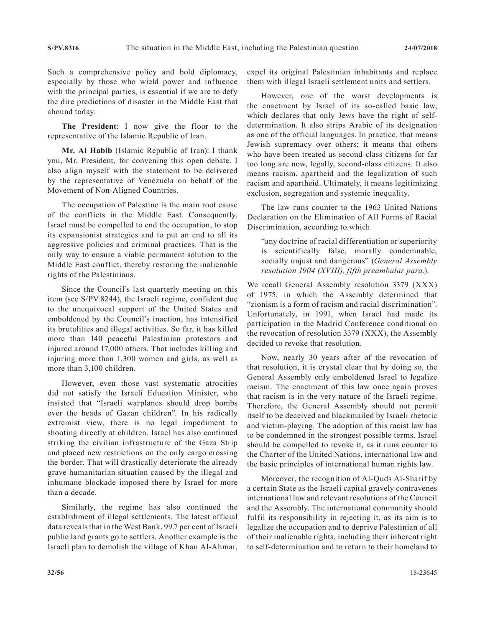Such a comprehensive policy and bold diplomacy, especially by those who wield power and influence with the principal parties, is essential if we are to defy the dire predictions of disaster in the Middle East that abound today.

**The President**: I now give the floor to the representative of the Islamic Republic of Iran.

**Mr. Al Habib** (Islamic Republic of Iran): I thank you, Mr. President, for convening this open debate. I also align myself with the statement to be delivered by the representative of Venezuela on behalf of the Movement of Non-Aligned Countries.

The occupation of Palestine is the main root cause of the conflicts in the Middle East. Consequently, Israel must be compelled to end the occupation, to stop its expansionist strategies and to put an end to all its aggressive policies and criminal practices. That is the only way to ensure a viable permanent solution to the Middle East conflict, thereby restoring the inalienable rights of the Palestinians.

Since the Council's last quarterly meeting on this item (see S/PV.8244), the Israeli regime, confident due to the unequivocal support of the United States and emboldened by the Council's inaction, has intensified its brutalities and illegal activities. So far, it has killed more than 140 peaceful Palestinian protestors and injured around 17,000 others. That includes killing and injuring more than 1,300 women and girls, as well as more than 3,100 children.

However, even those vast systematic atrocities did not satisfy the Israeli Education Minister, who insisted that "Israeli warplanes should drop bombs over the heads of Gazan children". In his radically extremist view, there is no legal impediment to shooting directly at children. Israel has also continued striking the civilian infrastructure of the Gaza Strip and placed new restrictions on the only cargo crossing the border. That will drastically deteriorate the already grave humanitarian situation caused by the illegal and inhumane blockade imposed there by Israel for more than a decade.

Similarly, the regime has also continued the establishment of illegal settlements. The latest official data reveals that in the West Bank, 99.7 per cent of Israeli public land grants go to settlers. Another example is the Israeli plan to demolish the village of Khan Al-Ahmar, expel its original Palestinian inhabitants and replace them with illegal Israeli settlement units and settlers.

However, one of the worst developments is the enactment by Israel of its so-called basic law, which declares that only Jews have the right of selfdetermination. It also strips Arabic of its designation as one of the official languages. In practice, that means Jewish supremacy over others; it means that others who have been treated as second-class citizens for far too long are now, legally, second-class citizens. It also means racism, apartheid and the legalization of such racism and apartheid. Ultimately, it means legitimizing exclusion, segregation and systemic inequality.

The law runs counter to the 1963 United Nations Declaration on the Elimination of All Forms of Racial Discrimination, according to which

"any doctrine of racial differentiation or superiority is scientifically false, morally condemnable, socially unjust and dangerous" (*General Assembly resolution 1904 (XVIII), fifth preambular para.*).

We recall General Assembly resolution 3379 (XXX) of 1975, in which the Assembly determined that "zionism is a form of racism and racial discrimination". Unfortunately, in 1991, when Israel had made its participation in the Madrid Conference conditional on the revocation of resolution 3379 (XXX), the Assembly decided to revoke that resolution.

Now, nearly 30 years after of the revocation of that resolution, it is crystal clear that by doing so, the General Assembly only emboldened Israel to legalize racism. The enactment of this law once again proves that racism is in the very nature of the Israeli regime. Therefore, the General Assembly should not permit itself to be deceived and blackmailed by Israeli rhetoric and victim-playing. The adoption of this racist law has to be condemned in the strongest possible terms. Israel should be compelled to revoke it, as it runs counter to the Charter of the United Nations, international law and the basic principles of international human rights law.

Moreover, the recognition of Al-Quds Al-Sharif by a certain State as the Israeli capital gravely contravenes international law and relevant resolutions of the Council and the Assembly. The international community should fulfil its responsibility in rejecting it, as its aim is to legalize the occupation and to deprive Palestinian of all of their inalienable rights, including their inherent right to self-determination and to return to their homeland to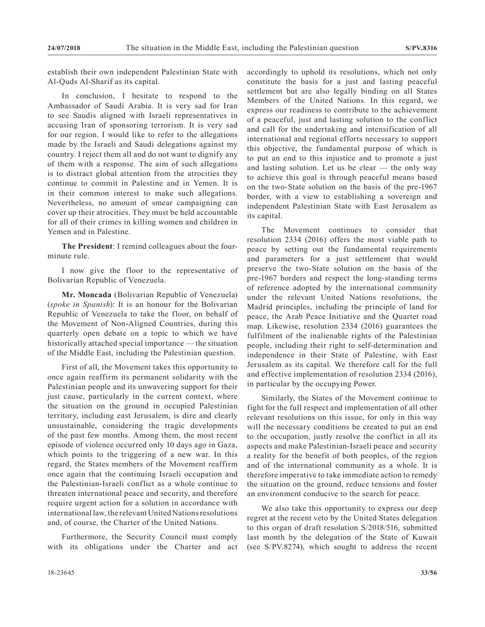establish their own independent Palestinian State with Al-Quds Al-Sharif as its capital.

In conclusion, I hesitate to respond to the Ambassador of Saudi Arabia. It is very sad for Iran to see Saudis aligned with Israeli representatives in accusing Iran of sponsoring terrorism. It is very sad for our region. I would like to refer to the allegations made by the Israeli and Saudi delegations against my country. I reject them all and do not want to dignify any of them with a response. The aim of such allegations is to distract global attention from the atrocities they continue to commit in Palestine and in Yemen. It is in their common interest to make such allegations. Nevertheless, no amount of smear campaigning can cover up their atrocities. They must be held accountable for all of their crimes in killing women and children in Yemen and in Palestine.

**The President**: I remind colleagues about the fourminute rule.

I now give the floor to the representative of Bolivarian Republic of Venezuela.

**Mr. Moncada** (Bolivarian Republic of Venezuela) (*spoke in Spanish*): It is an honour for the Bolivarian Republic of Venezuela to take the floor, on behalf of the Movement of Non-Aligned Countries, during this quarterly open debate on a topic to which we have historically attached special importance — the situation of the Middle East, including the Palestinian question.

First of all, the Movement takes this opportunity to once again reaffirm its permanent solidarity with the Palestinian people and its unwavering support for their just cause, particularly in the current context, where the situation on the ground in occupied Palestinian territory, including east Jerusalem, is dire and clearly unsustainable, considering the tragic developments of the past few months. Among them, the most recent episode of violence occurred only 10 days ago in Gaza, which points to the triggering of a new war. In this regard, the States members of the Movement reaffirm once again that the continuing Israeli occupation and the Palestinian-Israeli conflict as a whole continue to threaten international peace and security, and therefore require urgent action for a solution in accordance with international law, the relevant United Nations resolutions and, of course, the Charter of the United Nations.

Furthermore, the Security Council must comply with its obligations under the Charter and act accordingly to uphold its resolutions, which not only constitute the basis for a just and lasting peaceful settlement but are also legally binding on all States Members of the United Nations. In this regard, we express our readiness to contribute to the achievement of a peaceful, just and lasting solution to the conflict and call for the undertaking and intensification of all international and regional efforts necessary to support this objective, the fundamental purpose of which is to put an end to this injustice and to promote a just and lasting solution. Let us be clear — the only way to achieve this goal is through peaceful means based on the two-State solution on the basis of the pre-1967 border, with a view to establishing a sovereign and independent Palestinian State with East Jerusalem as its capital.

The Movement continues to consider that resolution 2334 (2016) offers the most viable path to peace by setting out the fundamental requirements and parameters for a just settlement that would preserve the two-State solution on the basis of the pre-1967 borders and respect the long-standing terms of reference adopted by the international community under the relevant United Nations resolutions, the Madrid principles, including the principle of land for peace, the Arab Peace Initiative and the Quartet road map. Likewise, resolution 2334 (2016) guarantees the fulfilment of the inalienable rights of the Palestinian people, including their right to self-determination and independence in their State of Palestine, with East Jerusalem as its capital. We therefore call for the full and effective implementation of resolution 2334 (2016), in particular by the occupying Power.

Similarly, the States of the Movement continue to fight for the full respect and implementation of all other relevant resolutions on this issue, for only in this way will the necessary conditions be created to put an end to the occupation, justly resolve the conflict in all its aspects and make Palestinian-Israeli peace and security a reality for the benefit of both peoples, of the region and of the international community as a whole. It is therefore imperative to take immediate action to remedy the situation on the ground, reduce tensions and foster an environment conducive to the search for peace.

We also take this opportunity to express our deep regret at the recent veto by the United States delegation to this organ of draft resolution S/2018/516, submitted last month by the delegation of the State of Kuwait (see S/PV.8274), which sought to address the recent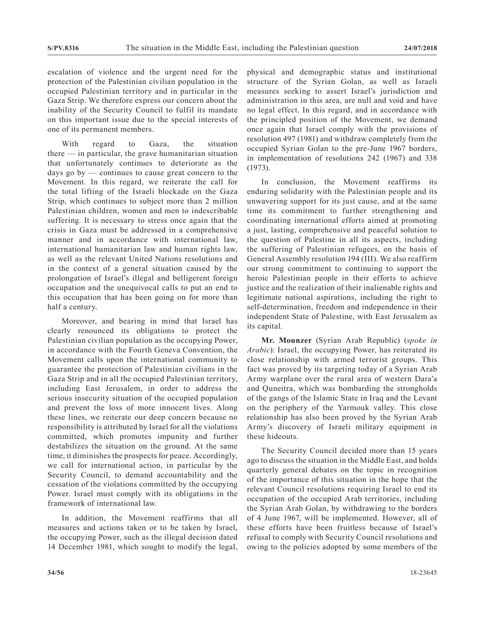escalation of violence and the urgent need for the protection of the Palestinian civilian population in the occupied Palestinian territory and in particular in the Gaza Strip. We therefore express our concern about the inability of the Security Council to fulfil its mandate on this important issue due to the special interests of one of its permanent members.

With regard to Gaza, the situation there — in particular, the grave humanitarian situation that unfortunately continues to deteriorate as the days go by — continues to cause great concern to the Movement. In this regard, we reiterate the call for the total lifting of the Israeli blockade on the Gaza Strip, which continues to subject more than 2 million Palestinian children, women and men to indescribable suffering. It is necessary to stress once again that the crisis in Gaza must be addressed in a comprehensive manner and in accordance with international law, international humanitarian law and human rights law, as well as the relevant United Nations resolutions and in the context of a general situation caused by the prolongation of Israel's illegal and belligerent foreign occupation and the unequivocal calls to put an end to this occupation that has been going on for more than half a century.

Moreover, and bearing in mind that Israel has clearly renounced its obligations to protect the Palestinian civilian population as the occupying Power, in accordance with the Fourth Geneva Convention, the Movement calls upon the international community to guarantee the protection of Palestinian civilians in the Gaza Strip and in all the occupied Palestinian territory, including East Jerusalem, in order to address the serious insecurity situation of the occupied population and prevent the loss of more innocent lives. Along these lines, we reiterate our deep concern because no responsibility is attributed by Israel for all the violations committed, which promotes impunity and further destabilizes the situation on the ground. At the same time, it diminishes the prospects for peace. Accordingly, we call for international action, in particular by the Security Council, to demand accountability and the cessation of the violations committed by the occupying Power. Israel must comply with its obligations in the framework of international law.

In addition, the Movement reaffirms that all measures and actions taken or to be taken by Israel, the occupying Power, such as the illegal decision dated 14 December 1981, which sought to modify the legal, physical and demographic status and institutional structure of the Syrian Golan, as well as Israeli measures seeking to assert Israel's jurisdiction and administration in this area, are null and void and have no legal effect. In this regard, and in accordance with the principled position of the Movement, we demand once again that Israel comply with the provisions of resolution 497 (1981) and withdraw completely from the occupied Syrian Golan to the pre-June 1967 borders, in implementation of resolutions 242 (1967) and 338 (1973).

In conclusion, the Movement reaffirms its enduring solidarity with the Palestinian people and its unwavering support for its just cause, and at the same time its commitment to further strengthening and coordinating international efforts aimed at promoting a just, lasting, comprehensive and peaceful solution to the question of Palestine in all its aspects, including the suffering of Palestinian refugees, on the basis of General Assembly resolution 194 (III). We also reaffirm our strong commitment to continuing to support the heroic Palestinian people in their efforts to achieve justice and the realization of their inalienable rights and legitimate national aspirations, including the right to self-determination, freedom and independence in their independent State of Palestine, with East Jerusalem as its capital.

**Mr. Mounzer** (Syrian Arab Republic) (*spoke in Arabic*): Israel, the occupying Power, has reiterated its close relationship with armed terrorist groups. This fact was proved by its targeting today of a Syrian Arab Army warplane over the rural area of western Dara'a and Quneitra, which was bombarding the strongholds of the gangs of the Islamic State in Iraq and the Levant on the periphery of the Yarmouk valley. This close relationship has also been proved by the Syrian Arab Army's discovery of Israeli military equipment in these hideouts.

The Security Council decided more than 15 years ago to discuss the situation in the Middle East, and holds quarterly general debates on the topic in recognition of the importance of this situation in the hope that the relevant Council resolutions requiring Israel to end its occupation of the occupied Arab territories, including the Syrian Arab Golan, by withdrawing to the borders of 4 June 1967, will be implemented. However, all of these efforts have been fruitless because of Israel's refusal to comply with Security Council resolutions and owing to the policies adopted by some members of the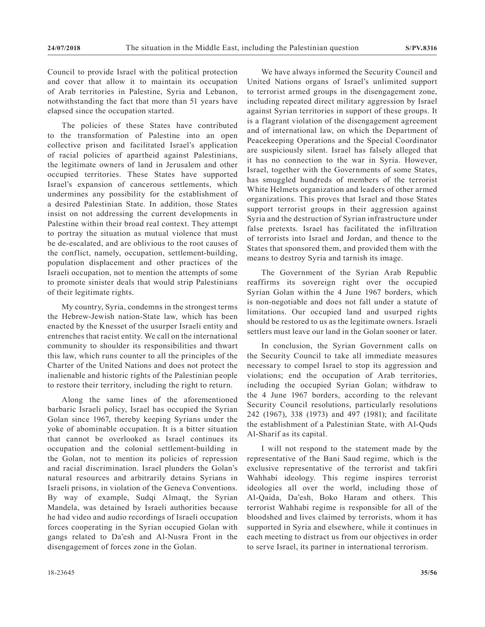Council to provide Israel with the political protection and cover that allow it to maintain its occupation of Arab territories in Palestine, Syria and Lebanon, notwithstanding the fact that more than 51 years have elapsed since the occupation started.

The policies of these States have contributed to the transformation of Palestine into an open collective prison and facilitated Israel's application of racial policies of apartheid against Palestinians, the legitimate owners of land in Jerusalem and other occupied territories. These States have supported Israel's expansion of cancerous settlements, which undermines any possibility for the establishment of a desired Palestinian State. In addition, those States insist on not addressing the current developments in Palestine within their broad real context. They attempt to portray the situation as mutual violence that must be de-escalated, and are oblivious to the root causes of the conflict, namely, occupation, settlement-building, population displacement and other practices of the Israeli occupation, not to mention the attempts of some to promote sinister deals that would strip Palestinians of their legitimate rights.

My country, Syria, condemns in the strongest terms the Hebrew-Jewish nation-State law, which has been enacted by the Knesset of the usurper Israeli entity and entrenches that racist entity. We call on the international community to shoulder its responsibilities and thwart this law, which runs counter to all the principles of the Charter of the United Nations and does not protect the inalienable and historic rights of the Palestinian people to restore their territory, including the right to return.

Along the same lines of the aforementioned barbaric Israeli policy, Israel has occupied the Syrian Golan since 1967, thereby keeping Syrians under the yoke of abominable occupation. It is a bitter situation that cannot be overlooked as Israel continues its occupation and the colonial settlement-building in the Golan, not to mention its policies of repression and racial discrimination. Israel plunders the Golan's natural resources and arbitrarily detains Syrians in Israeli prisons, in violation of the Geneva Conventions. By way of example, Sudqi Almaqt, the Syrian Mandela, was detained by Israeli authorities because he had video and audio recordings of Israeli occupation forces cooperating in the Syrian occupied Golan with gangs related to Da'esh and Al-Nusra Front in the disengagement of forces zone in the Golan.

We have always informed the Security Council and United Nations organs of Israel's unlimited support to terrorist armed groups in the disengagement zone, including repeated direct military aggression by Israel against Syrian territories in support of these groups. It is a flagrant violation of the disengagement agreement and of international law, on which the Department of Peacekeeping Operations and the Special Coordinator are suspiciously silent. Israel has falsely alleged that it has no connection to the war in Syria. However, Israel, together with the Governments of some States, has smuggled hundreds of members of the terrorist White Helmets organization and leaders of other armed organizations. This proves that Israel and those States support terrorist groups in their aggression against Syria and the destruction of Syrian infrastructure under false pretexts. Israel has facilitated the infiltration of terrorists into Israel and Jordan, and thence to the States that sponsored them, and provided them with the means to destroy Syria and tarnish its image.

The Government of the Syrian Arab Republic reaffirms its sovereign right over the occupied Syrian Golan within the 4 June 1967 borders, which is non-negotiable and does not fall under a statute of limitations. Our occupied land and usurped rights should be restored to us as the legitimate owners. Israeli settlers must leave our land in the Golan sooner or later.

In conclusion, the Syrian Government calls on the Security Council to take all immediate measures necessary to compel Israel to stop its aggression and violations; end the occupation of Arab territories, including the occupied Syrian Golan; withdraw to the 4 June 1967 borders, according to the relevant Security Council resolutions, particularly resolutions 242 (1967), 338 (1973) and 497 (1981); and facilitate the establishment of a Palestinian State, with Al-Quds Al-Sharif as its capital.

I will not respond to the statement made by the representative of the Bani Saud regime, which is the exclusive representative of the terrorist and takfiri Wahhabi ideology. This regime inspires terrorist ideologies all over the world, including those of Al-Qaida, Da'esh, Boko Haram and others. This terrorist Wahhabi regime is responsible for all of the bloodshed and lives claimed by terrorists, whom it has supported in Syria and elsewhere, while it continues in each meeting to distract us from our objectives in order to serve Israel, its partner in international terrorism.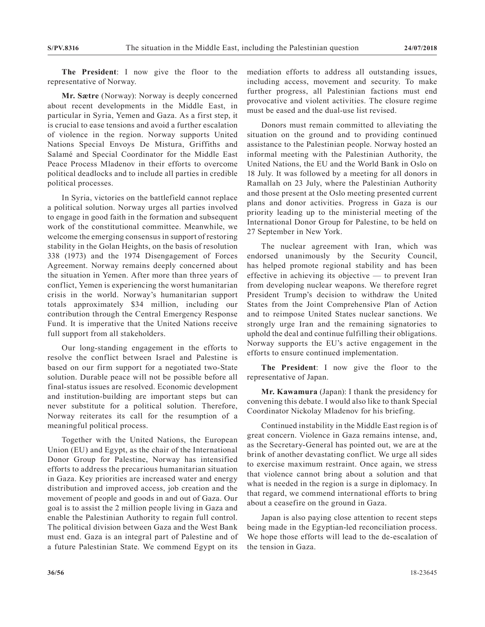**The President**: I now give the floor to the representative of Norway.

**Mr. Sætre** (Norway): Norway is deeply concerned about recent developments in the Middle East, in particular in Syria, Yemen and Gaza. As a first step, it is crucial to ease tensions and avoid a further escalation of violence in the region. Norway supports United Nations Special Envoys De Mistura, Griffiths and Salamé and Special Coordinator for the Middle East Peace Process Mladenov in their efforts to overcome political deadlocks and to include all parties in credible political processes.

In Syria, victories on the battlefield cannot replace a political solution. Norway urges all parties involved to engage in good faith in the formation and subsequent work of the constitutional committee. Meanwhile, we welcome the emerging consensus in support of restoring stability in the Golan Heights, on the basis of resolution 338 (1973) and the 1974 Disengagement of Forces Agreement. Norway remains deeply concerned about the situation in Yemen. After more than three years of conflict, Yemen is experiencing the worst humanitarian crisis in the world. Norway's humanitarian support totals approximately \$34 million, including our contribution through the Central Emergency Response Fund. It is imperative that the United Nations receive full support from all stakeholders.

Our long-standing engagement in the efforts to resolve the conflict between Israel and Palestine is based on our firm support for a negotiated two-State solution. Durable peace will not be possible before all final-status issues are resolved. Economic development and institution-building are important steps but can never substitute for a political solution. Therefore, Norway reiterates its call for the resumption of a meaningful political process.

Together with the United Nations, the European Union (EU) and Egypt, as the chair of the International Donor Group for Palestine, Norway has intensified efforts to address the precarious humanitarian situation in Gaza. Key priorities are increased water and energy distribution and improved access, job creation and the movement of people and goods in and out of Gaza. Our goal is to assist the 2 million people living in Gaza and enable the Palestinian Authority to regain full control. The political division between Gaza and the West Bank must end. Gaza is an integral part of Palestine and of a future Palestinian State. We commend Egypt on its mediation efforts to address all outstanding issues, including access, movement and security. To make further progress, all Palestinian factions must end provocative and violent activities. The closure regime must be eased and the dual-use list revised.

Donors must remain committed to alleviating the situation on the ground and to providing continued assistance to the Palestinian people. Norway hosted an informal meeting with the Palestinian Authority, the United Nations, the EU and the World Bank in Oslo on 18 July. It was followed by a meeting for all donors in Ramallah on 23 July, where the Palestinian Authority and those present at the Oslo meeting presented current plans and donor activities. Progress in Gaza is our priority leading up to the ministerial meeting of the International Donor Group for Palestine, to be held on 27 September in New York.

The nuclear agreement with Iran, which was endorsed unanimously by the Security Council, has helped promote regional stability and has been effective in achieving its objective — to prevent Iran from developing nuclear weapons. We therefore regret President Trump's decision to withdraw the United States from the Joint Comprehensive Plan of Action and to reimpose United States nuclear sanctions. We strongly urge Iran and the remaining signatories to uphold the deal and continue fulfilling their obligations. Norway supports the EU's active engagement in the efforts to ensure continued implementation.

**The President**: I now give the floor to the representative of Japan.

**Mr. Kawamura** (Japan): I thank the presidency for convening this debate. I would also like to thank Special Coordinator Nickolay Mladenov for his briefing.

Continued instability in the Middle East region is of great concern. Violence in Gaza remains intense, and, as the Secretary-General has pointed out, we are at the brink of another devastating conflict. We urge all sides to exercise maximum restraint. Once again, we stress that violence cannot bring about a solution and that what is needed in the region is a surge in diplomacy. In that regard, we commend international efforts to bring about a ceasefire on the ground in Gaza.

Japan is also paying close attention to recent steps being made in the Egyptian-led reconciliation process. We hope those efforts will lead to the de-escalation of the tension in Gaza.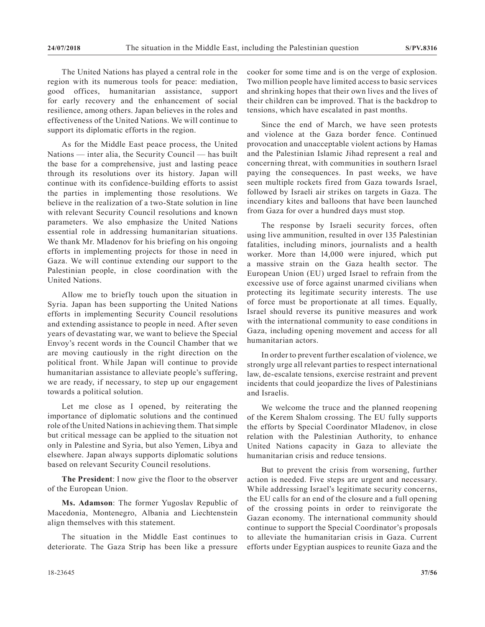The United Nations has played a central role in the region with its numerous tools for peace: mediation, good offices, humanitarian assistance, support for early recovery and the enhancement of social resilience, among others. Japan believes in the roles and effectiveness of the United Nations. We will continue to support its diplomatic efforts in the region.

As for the Middle East peace process, the United Nations — inter alia, the Security Council — has built the base for a comprehensive, just and lasting peace through its resolutions over its history. Japan will continue with its confidence-building efforts to assist the parties in implementing those resolutions. We believe in the realization of a two-State solution in line with relevant Security Council resolutions and known parameters. We also emphasize the United Nations essential role in addressing humanitarian situations. We thank Mr. Mladenov for his briefing on his ongoing efforts in implementing projects for those in need in Gaza. We will continue extending our support to the Palestinian people, in close coordination with the United Nations.

Allow me to briefly touch upon the situation in Syria. Japan has been supporting the United Nations efforts in implementing Security Council resolutions and extending assistance to people in need. After seven years of devastating war, we want to believe the Special Envoy's recent words in the Council Chamber that we are moving cautiously in the right direction on the political front. While Japan will continue to provide humanitarian assistance to alleviate people's suffering, we are ready, if necessary, to step up our engagement towards a political solution.

Let me close as I opened, by reiterating the importance of diplomatic solutions and the continued role of the United Nations in achieving them. That simple but critical message can be applied to the situation not only in Palestine and Syria, but also Yemen, Libya and elsewhere. Japan always supports diplomatic solutions based on relevant Security Council resolutions.

**The President**: I now give the floor to the observer of the European Union.

**Ms. Adamson**: The former Yugoslav Republic of Macedonia, Montenegro, Albania and Liechtenstein align themselves with this statement.

The situation in the Middle East continues to deteriorate. The Gaza Strip has been like a pressure cooker for some time and is on the verge of explosion. Two million people have limited access to basic services and shrinking hopes that their own lives and the lives of their children can be improved. That is the backdrop to tensions, which have escalated in past months.

Since the end of March, we have seen protests and violence at the Gaza border fence. Continued provocation and unacceptable violent actions by Hamas and the Palestinian Islamic Jihad represent a real and concerning threat, with communities in southern Israel paying the consequences. In past weeks, we have seen multiple rockets fired from Gaza towards Israel, followed by Israeli air strikes on targets in Gaza. The incendiary kites and balloons that have been launched from Gaza for over a hundred days must stop.

The response by Israeli security forces, often using live ammunition, resulted in over 135 Palestinian fatalities, including minors, journalists and a health worker. More than 14,000 were injured, which put a massive strain on the Gaza health sector. The European Union (EU) urged Israel to refrain from the excessive use of force against unarmed civilians when protecting its legitimate security interests. The use of force must be proportionate at all times. Equally, Israel should reverse its punitive measures and work with the international community to ease conditions in Gaza, including opening movement and access for all humanitarian actors.

In order to prevent further escalation of violence, we strongly urge all relevant parties to respect international law, de-escalate tensions, exercise restraint and prevent incidents that could jeopardize the lives of Palestinians and Israelis.

We welcome the truce and the planned reopening of the Kerem Shalom crossing. The EU fully supports the efforts by Special Coordinator Mladenov, in close relation with the Palestinian Authority, to enhance United Nations capacity in Gaza to alleviate the humanitarian crisis and reduce tensions.

But to prevent the crisis from worsening, further action is needed. Five steps are urgent and necessary. While addressing Israel's legitimate security concerns, the EU calls for an end of the closure and a full opening of the crossing points in order to reinvigorate the Gazan economy. The international community should continue to support the Special Coordinator's proposals to alleviate the humanitarian crisis in Gaza. Current efforts under Egyptian auspices to reunite Gaza and the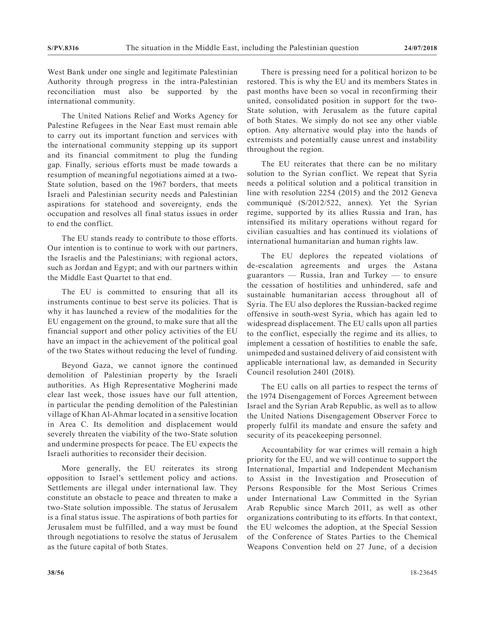West Bank under one single and legitimate Palestinian Authority through progress in the intra-Palestinian reconciliation must also be supported by the international community.

The United Nations Relief and Works Agency for Palestine Refugees in the Near East must remain able to carry out its important function and services with the international community stepping up its support and its financial commitment to plug the funding gap. Finally, serious efforts must be made towards a resumption of meaningful negotiations aimed at a two-State solution, based on the 1967 borders, that meets Israeli and Palestinian security needs and Palestinian aspirations for statehood and sovereignty, ends the occupation and resolves all final status issues in order to end the conflict.

The EU stands ready to contribute to those efforts. Our intention is to continue to work with our partners, the Israelis and the Palestinians; with regional actors, such as Jordan and Egypt; and with our partners within the Middle East Quartet to that end.

The EU is committed to ensuring that all its instruments continue to best serve its policies. That is why it has launched a review of the modalities for the EU engagement on the ground, to make sure that all the financial support and other policy activities of the EU have an impact in the achievement of the political goal of the two States without reducing the level of funding.

Beyond Gaza, we cannot ignore the continued demolition of Palestinian property by the Israeli authorities. As High Representative Mogherini made clear last week, those issues have our full attention, in particular the pending demolition of the Palestinian village of Khan Al-Ahmar located in a sensitive location in Area C. Its demolition and displacement would severely threaten the viability of the two-State solution and undermine prospects for peace. The EU expects the Israeli authorities to reconsider their decision.

More generally, the EU reiterates its strong opposition to Israel's settlement policy and actions. Settlements are illegal under international law. They constitute an obstacle to peace and threaten to make a two-State solution impossible. The status of Jerusalem is a final status issue. The aspirations of both parties for Jerusalem must be fulfilled, and a way must be found through negotiations to resolve the status of Jerusalem as the future capital of both States.

There is pressing need for a political horizon to be restored. This is why the EU and its members States in past months have been so vocal in reconfirming their united, consolidated position in support for the two-State solution, with Jerusalem as the future capital of both States. We simply do not see any other viable option. Any alternative would play into the hands of extremists and potentially cause unrest and instability throughout the region.

The EU reiterates that there can be no military solution to the Syrian conflict. We repeat that Syria needs a political solution and a political transition in line with resolution 2254 (2015) and the 2012 Geneva communiqué (S/2012/522, annex). Yet the Syrian regime, supported by its allies Russia and Iran, has intensified its military operations without regard for civilian casualties and has continued its violations of international humanitarian and human rights law.

The EU deplores the repeated violations of de-escalation agreements and urges the Astana guarantors — Russia, Iran and Turkey — to ensure the cessation of hostilities and unhindered, safe and sustainable humanitarian access throughout all of Syria. The EU also deplores the Russian-backed regime offensive in south-west Syria, which has again led to widespread displacement. The EU calls upon all parties to the conflict, especially the regime and its allies, to implement a cessation of hostilities to enable the safe, unimpeded and sustained delivery of aid consistent with applicable international law, as demanded in Security Council resolution 2401 (2018).

The EU calls on all parties to respect the terms of the 1974 Disengagement of Forces Agreement between Israel and the Syrian Arab Republic, as well as to allow the United Nations Disengagement Observer Force to properly fulfil its mandate and ensure the safety and security of its peacekeeping personnel.

Accountability for war crimes will remain a high priority for the EU, and we will continue to support the International, Impartial and Independent Mechanism to Assist in the Investigation and Prosecution of Persons Responsible for the Most Serious Crimes under International Law Committed in the Syrian Arab Republic since March 2011, as well as other organizations contributing to its efforts. In that context, the EU welcomes the adoption, at the Special Session of the Conference of States Parties to the Chemical Weapons Convention held on 27 June, of a decision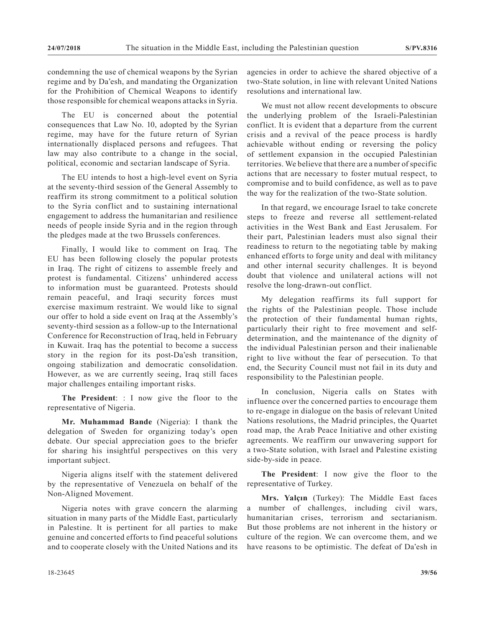condemning the use of chemical weapons by the Syrian regime and by Da'esh, and mandating the Organization for the Prohibition of Chemical Weapons to identify those responsible for chemical weapons attacks in Syria.

The EU is concerned about the potential consequences that Law No. 10, adopted by the Syrian regime, may have for the future return of Syrian internationally displaced persons and refugees. That law may also contribute to a change in the social, political, economic and sectarian landscape of Syria.

The EU intends to host a high-level event on Syria at the seventy-third session of the General Assembly to reaffirm its strong commitment to a political solution to the Syria conflict and to sustaining international engagement to address the humanitarian and resilience needs of people inside Syria and in the region through the pledges made at the two Brussels conferences.

Finally, I would like to comment on Iraq. The EU has been following closely the popular protests in Iraq. The right of citizens to assemble freely and protest is fundamental. Citizens' unhindered access to information must be guaranteed. Protests should remain peaceful, and Iraqi security forces must exercise maximum restraint. We would like to signal our offer to hold a side event on Iraq at the Assembly's seventy-third session as a follow-up to the International Conference for Reconstruction of Iraq, held in February in Kuwait. Iraq has the potential to become a success story in the region for its post-Da'esh transition, ongoing stabilization and democratic consolidation. However, as we are currently seeing, Iraq still faces major challenges entailing important risks.

**The President**: : I now give the floor to the representative of Nigeria.

**Mr. Muhammad Bande** (Nigeria): I thank the delegation of Sweden for organizing today's open debate. Our special appreciation goes to the briefer for sharing his insightful perspectives on this very important subject.

Nigeria aligns itself with the statement delivered by the representative of Venezuela on behalf of the Non-Aligned Movement.

Nigeria notes with grave concern the alarming situation in many parts of the Middle East, particularly in Palestine. It is pertinent for all parties to make genuine and concerted efforts to find peaceful solutions and to cooperate closely with the United Nations and its

agencies in order to achieve the shared objective of a two-State solution, in line with relevant United Nations resolutions and international law.

We must not allow recent developments to obscure the underlying problem of the Israeli-Palestinian conflict. It is evident that a departure from the current crisis and a revival of the peace process is hardly achievable without ending or reversing the policy of settlement expansion in the occupied Palestinian territories. We believe that there are a number of specific actions that are necessary to foster mutual respect, to compromise and to build confidence, as well as to pave the way for the realization of the two-State solution.

In that regard, we encourage Israel to take concrete steps to freeze and reverse all settlement-related activities in the West Bank and East Jerusalem. For their part, Palestinian leaders must also signal their readiness to return to the negotiating table by making enhanced efforts to forge unity and deal with militancy and other internal security challenges. It is beyond doubt that violence and unilateral actions will not resolve the long-drawn-out conflict.

My delegation reaffirms its full support for the rights of the Palestinian people. Those include the protection of their fundamental human rights, particularly their right to free movement and selfdetermination, and the maintenance of the dignity of the individual Palestinian person and their inalienable right to live without the fear of persecution. To that end, the Security Council must not fail in its duty and responsibility to the Palestinian people.

In conclusion, Nigeria calls on States with influence over the concerned parties to encourage them to re-engage in dialogue on the basis of relevant United Nations resolutions, the Madrid principles, the Quartet road map, the Arab Peace Initiative and other existing agreements. We reaffirm our unwavering support for a two-State solution, with Israel and Palestine existing side-by-side in peace.

**The President**: I now give the floor to the representative of Turkey.

**Mrs. Yalçın** (Turkey): The Middle East faces a number of challenges, including civil wars, humanitarian crises, terrorism and sectarianism. But those problems are not inherent in the history or culture of the region. We can overcome them, and we have reasons to be optimistic. The defeat of Da'esh in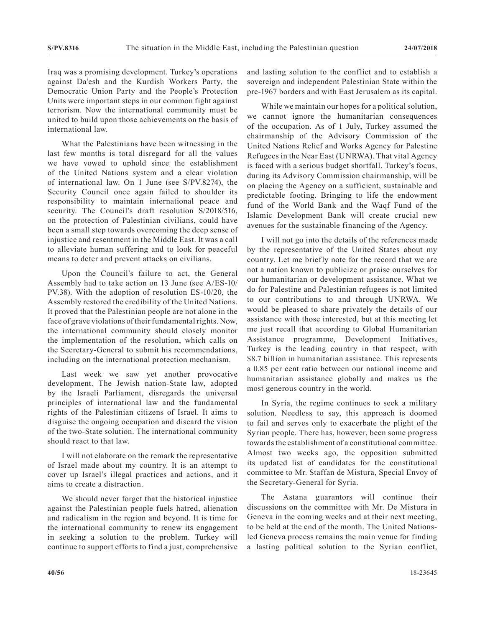Iraq was a promising development. Turkey's operations against Da'esh and the Kurdish Workers Party, the Democratic Union Party and the People's Protection Units were important steps in our common fight against terrorism. Now the international community must be united to build upon those achievements on the basis of international law.

What the Palestinians have been witnessing in the last few months is total disregard for all the values we have vowed to uphold since the establishment of the United Nations system and a clear violation of international law. On 1 June (see S/PV.8274), the Security Council once again failed to shoulder its responsibility to maintain international peace and security. The Council's draft resolution S/2018/516, on the protection of Palestinian civilians, could have been a small step towards overcoming the deep sense of injustice and resentment in the Middle East. It was a call to alleviate human suffering and to look for peaceful means to deter and prevent attacks on civilians.

Upon the Council's failure to act, the General Assembly had to take action on 13 June (see A/ES-10/ PV.38). With the adoption of resolution ES-10/20, the Assembly restored the credibility of the United Nations. It proved that the Palestinian people are not alone in the face of grave violations of their fundamental rights. Now, the international community should closely monitor the implementation of the resolution, which calls on the Secretary-General to submit his recommendations, including on the international protection mechanism.

Last week we saw yet another provocative development. The Jewish nation-State law, adopted by the Israeli Parliament, disregards the universal principles of international law and the fundamental rights of the Palestinian citizens of Israel. It aims to disguise the ongoing occupation and discard the vision of the two-State solution. The international community should react to that law.

I will not elaborate on the remark the representative of Israel made about my country. It is an attempt to cover up Israel's illegal practices and actions, and it aims to create a distraction.

We should never forget that the historical injustice against the Palestinian people fuels hatred, alienation and radicalism in the region and beyond. It is time for the international community to renew its engagement in seeking a solution to the problem. Turkey will continue to support efforts to find a just, comprehensive and lasting solution to the conflict and to establish a sovereign and independent Palestinian State within the pre-1967 borders and with East Jerusalem as its capital.

While we maintain our hopes for a political solution, we cannot ignore the humanitarian consequences of the occupation. As of 1 July, Turkey assumed the chairmanship of the Advisory Commission of the United Nations Relief and Works Agency for Palestine Refugees in the Near East (UNRWA). That vital Agency is faced with a serious budget shortfall. Turkey's focus, during its Advisory Commission chairmanship, will be on placing the Agency on a sufficient, sustainable and predictable footing. Bringing to life the endowment fund of the World Bank and the Waqf Fund of the Islamic Development Bank will create crucial new avenues for the sustainable financing of the Agency.

I will not go into the details of the references made by the representative of the United States about my country. Let me briefly note for the record that we are not a nation known to publicize or praise ourselves for our humanitarian or development assistance. What we do for Palestine and Palestinian refugees is not limited to our contributions to and through UNRWA. We would be pleased to share privately the details of our assistance with those interested, but at this meeting let me just recall that according to Global Humanitarian Assistance programme, Development Initiatives, Turkey is the leading country in that respect, with \$8.7 billion in humanitarian assistance. This represents a 0.85 per cent ratio between our national income and humanitarian assistance globally and makes us the most generous country in the world.

In Syria, the regime continues to seek a military solution. Needless to say, this approach is doomed to fail and serves only to exacerbate the plight of the Syrian people. There has, however, been some progress towards the establishment of a constitutional committee. Almost two weeks ago, the opposition submitted its updated list of candidates for the constitutional committee to Mr. Staffan de Mistura, Special Envoy of the Secretary-General for Syria.

The Astana guarantors will continue their discussions on the committee with Mr. De Mistura in Geneva in the coming weeks and at their next meeting, to be held at the end of the month. The United Nationsled Geneva process remains the main venue for finding a lasting political solution to the Syrian conflict,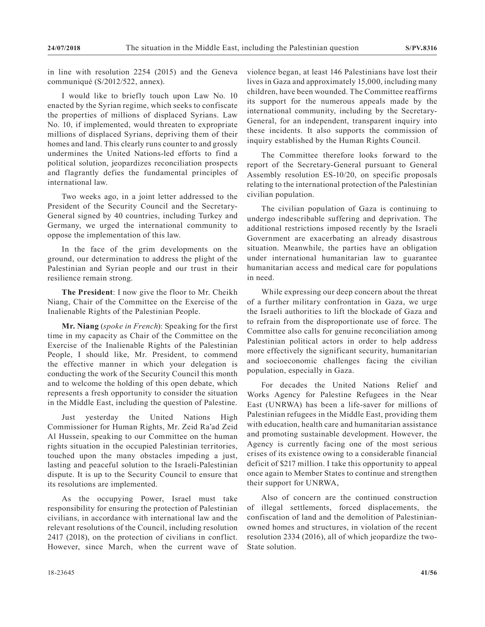in line with resolution 2254 (2015) and the Geneva communiqué (S/2012/522, annex).

I would like to briefly touch upon Law No. 10 enacted by the Syrian regime, which seeks to confiscate the properties of millions of displaced Syrians. Law No. 10, if implemented, would threaten to expropriate millions of displaced Syrians, depriving them of their homes and land. This clearly runs counter to and grossly undermines the United Nations-led efforts to find a political solution, jeopardizes reconciliation prospects and flagrantly defies the fundamental principles of international law.

Two weeks ago, in a joint letter addressed to the President of the Security Council and the Secretary-General signed by 40 countries, including Turkey and Germany, we urged the international community to oppose the implementation of this law.

In the face of the grim developments on the ground, our determination to address the plight of the Palestinian and Syrian people and our trust in their resilience remain strong.

**The President**: I now give the floor to Mr. Cheikh Niang, Chair of the Committee on the Exercise of the Inalienable Rights of the Palestinian People.

**Mr. Niang** (*spoke in French*): Speaking for the first time in my capacity as Chair of the Committee on the Exercise of the Inalienable Rights of the Palestinian People, I should like, Mr. President, to commend the effective manner in which your delegation is conducting the work of the Security Council this month and to welcome the holding of this open debate, which represents a fresh opportunity to consider the situation in the Middle East, including the question of Palestine.

Just yesterday the United Nations High Commissioner for Human Rights, Mr. Zeid Ra'ad Zeid Al Hussein, speaking to our Committee on the human rights situation in the occupied Palestinian territories, touched upon the many obstacles impeding a just, lasting and peaceful solution to the Israeli-Palestinian dispute. It is up to the Security Council to ensure that its resolutions are implemented.

As the occupying Power, Israel must take responsibility for ensuring the protection of Palestinian civilians, in accordance with international law and the relevant resolutions of the Council, including resolution 2417 (2018), on the protection of civilians in conflict. However, since March, when the current wave of violence began, at least 146 Palestinians have lost their lives in Gaza and approximately 15,000, including many children, have been wounded. The Committee reaffirms its support for the numerous appeals made by the international community, including by the Secretary-General, for an independent, transparent inquiry into these incidents. It also supports the commission of inquiry established by the Human Rights Council.

The Committee therefore looks forward to the report of the Secretary-General pursuant to General Assembly resolution ES-10/20, on specific proposals relating to the international protection of the Palestinian civilian population.

The civilian population of Gaza is continuing to undergo indescribable suffering and deprivation. The additional restrictions imposed recently by the Israeli Government are exacerbating an already disastrous situation. Meanwhile, the parties have an obligation under international humanitarian law to guarantee humanitarian access and medical care for populations in need.

While expressing our deep concern about the threat of a further military confrontation in Gaza, we urge the Israeli authorities to lift the blockade of Gaza and to refrain from the disproportionate use of force. The Committee also calls for genuine reconciliation among Palestinian political actors in order to help address more effectively the significant security, humanitarian and socioeconomic challenges facing the civilian population, especially in Gaza.

For decades the United Nations Relief and Works Agency for Palestine Refugees in the Near East (UNRWA) has been a life-saver for millions of Palestinian refugees in the Middle East, providing them with education, health care and humanitarian assistance and promoting sustainable development. However, the Agency is currently facing one of the most serious crises of its existence owing to a considerable financial deficit of \$217 million. I take this opportunity to appeal once again to Member States to continue and strengthen their support for UNRWA,

Also of concern are the continued construction of illegal settlements, forced displacements, the confiscation of land and the demolition of Palestinianowned homes and structures, in violation of the recent resolution 2334 (2016), all of which jeopardize the two-State solution.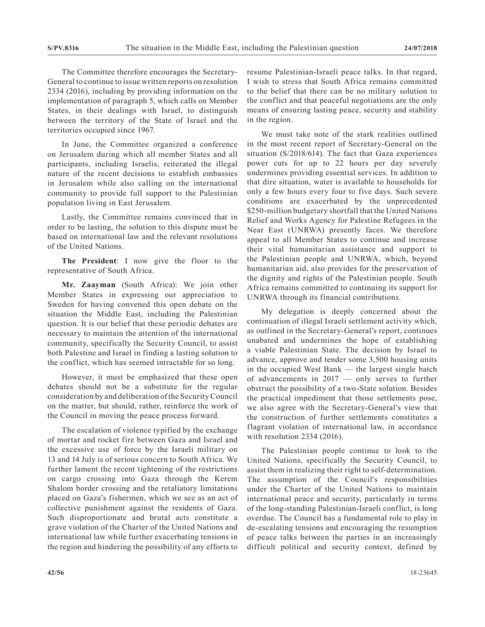The Committee therefore encourages the Secretary-General to continue to issue written reports on resolution 2334 (2016), including by providing information on the implementation of paragraph 5, which calls on Member States, in their dealings with Israel, to distinguish between the territory of the State of Israel and the territories occupied since 1967.

In June, the Committee organized a conference on Jerusalem during which all member States and all participants, including Israelis, reiterated the illegal nature of the recent decisions to establish embassies in Jerusalem while also calling on the international community to provide full support to the Palestinian population living in East Jerusalem.

Lastly, the Committee remains convinced that in order to be lasting, the solution to this dispute must be based on international law and the relevant resolutions of the United Nations.

**The President**: I now give the floor to the representative of South Africa.

**Mr. Zaayman** (South Africa): We join other Member States in expressing our appreciation to Sweden for having convened this open debate on the situation the Middle East, including the Palestinian question. It is our belief that these periodic debates are necessary to maintain the attention of the international community, specifically the Security Council, to assist both Palestine and Israel in finding a lasting solution to the conflict, which has seemed intractable for so long.

However, it must be emphasized that these open debates should not be a substitute for the regular consideration by and deliberation of the Security Council on the matter, but should, rather, reinforce the work of the Council in moving the peace process forward.

The escalation of violence typified by the exchange of mortar and rocket fire between Gaza and Israel and the excessive use of force by the Israeli military on 13 and 14 July is of serious concern to South Africa. We further lament the recent tightening of the restrictions on cargo crossing into Gaza through the Kerem Shalom border crossing and the retaliatory limitations placed on Gaza's fishermen, which we see as an act of collective punishment against the residents of Gaza. Such disproportionate and brutal acts constitute a grave violation of the Charter of the United Nations and international law while further exacerbating tensions in the region and hindering the possibility of any efforts to

resume Palestinian-Israeli peace talks. In that regard, I wish to stress that South Africa remains committed to the belief that there can be no military solution to the conflict and that peaceful negotiations are the only means of ensuring lasting peace, security and stability in the region.

We must take note of the stark realities outlined in the most recent report of Secretary-General on the situation (S/2018/614). The fact that Gaza experiences power cuts for up to 22 hours per day severely undermines providing essential services. In addition to that dire situation, water is available to households for only a few hours every four to five days. Such severe conditions are exacerbated by the unprecedented \$250-million budgetary shortfall that the United Nations Relief and Works Agency for Palestine Refugees in the Near East (UNRWA) presently faces. We therefore appeal to all Member States to continue and increase their vital humanitarian assistance and support to the Palestinian people and UNRWA, which, beyond humanitarian aid, also provides for the preservation of the dignity and rights of the Palestinian people. South Africa remains committed to continuing its support for UNRWA through its financial contributions.

My delegation is deeply concerned about the continuation of illegal Israeli settlement activity which, as outlined in the Secretary-General's report, continues unabated and undermines the hope of establishing a viable Palestinian State. The decision by Israel to advance, approve and tender some 3,500 housing units in the occupied West Bank — the largest single batch of advancements in 2017 — only serves to further obstruct the possibility of a two-State solution. Besides the practical impediment that those settlements pose, we also agree with the Secretary-General's view that the construction of further settlements constitutes a flagrant violation of international law, in accordance with resolution 2334 (2016).

The Palestinian people continue to look to the United Nations, specifically the Security Council, to assist them in realizing their right to self-determination. The assumption of the Council's responsibilities under the Charter of the United Nations to maintain international peace and security, particularly in terms of the long-standing Palestinian-Israeli conflict, is long overdue. The Council has a fundamental role to play in de-escalating tensions and encouraging the resumption of peace talks between the parties in an increasingly difficult political and security context, defined by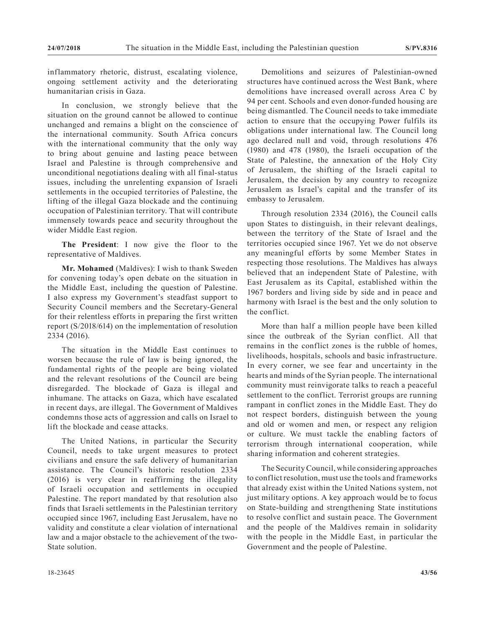inflammatory rhetoric, distrust, escalating violence, ongoing settlement activity and the deteriorating humanitarian crisis in Gaza.

In conclusion, we strongly believe that the situation on the ground cannot be allowed to continue unchanged and remains a blight on the conscience of the international community. South Africa concurs with the international community that the only way to bring about genuine and lasting peace between Israel and Palestine is through comprehensive and unconditional negotiations dealing with all final-status issues, including the unrelenting expansion of Israeli settlements in the occupied territories of Palestine, the lifting of the illegal Gaza blockade and the continuing occupation of Palestinian territory. That will contribute immensely towards peace and security throughout the wider Middle East region.

**The President**: I now give the floor to the representative of Maldives.

**Mr. Mohamed** (Maldives): I wish to thank Sweden for convening today's open debate on the situation in the Middle East, including the question of Palestine. I also express my Government's steadfast support to Security Council members and the Secretary-General for their relentless efforts in preparing the first written report (S/2018/614) on the implementation of resolution 2334 (2016).

The situation in the Middle East continues to worsen because the rule of law is being ignored, the fundamental rights of the people are being violated and the relevant resolutions of the Council are being disregarded. The blockade of Gaza is illegal and inhumane. The attacks on Gaza, which have escalated in recent days, are illegal. The Government of Maldives condemns those acts of aggression and calls on Israel to lift the blockade and cease attacks.

The United Nations, in particular the Security Council, needs to take urgent measures to protect civilians and ensure the safe delivery of humanitarian assistance. The Council's historic resolution 2334 (2016) is very clear in reaffirming the illegality of Israeli occupation and settlements in occupied Palestine. The report mandated by that resolution also finds that Israeli settlements in the Palestinian territory occupied since 1967, including East Jerusalem, have no validity and constitute a clear violation of international law and a major obstacle to the achievement of the two-State solution.

Demolitions and seizures of Palestinian-owned structures have continued across the West Bank, where demolitions have increased overall across Area C by 94 per cent. Schools and even donor-funded housing are being dismantled. The Council needs to take immediate action to ensure that the occupying Power fulfils its obligations under international law. The Council long ago declared null and void, through resolutions 476 (1980) and 478 (1980), the Israeli occupation of the State of Palestine, the annexation of the Holy City of Jerusalem, the shifting of the Israeli capital to Jerusalem, the decision by any country to recognize Jerusalem as Israel's capital and the transfer of its embassy to Jerusalem.

Through resolution 2334 (2016), the Council calls upon States to distinguish, in their relevant dealings, between the territory of the State of Israel and the territories occupied since 1967. Yet we do not observe any meaningful efforts by some Member States in respecting those resolutions. The Maldives has always believed that an independent State of Palestine, with East Jerusalem as its Capital, established within the 1967 borders and living side by side and in peace and harmony with Israel is the best and the only solution to the conflict.

More than half a million people have been killed since the outbreak of the Syrian conflict. All that remains in the conflict zones is the rubble of homes, livelihoods, hospitals, schools and basic infrastructure. In every corner, we see fear and uncertainty in the hearts and minds of the Syrian people. The international community must reinvigorate talks to reach a peaceful settlement to the conflict. Terrorist groups are running rampant in conflict zones in the Middle East. They do not respect borders, distinguish between the young and old or women and men, or respect any religion or culture. We must tackle the enabling factors of terrorism through international cooperation, while sharing information and coherent strategies.

The Security Council, while considering approaches to conflict resolution, must use the tools and frameworks that already exist within the United Nations system, not just military options. A key approach would be to focus on State-building and strengthening State institutions to resolve conflict and sustain peace. The Government and the people of the Maldives remain in solidarity with the people in the Middle East, in particular the Government and the people of Palestine.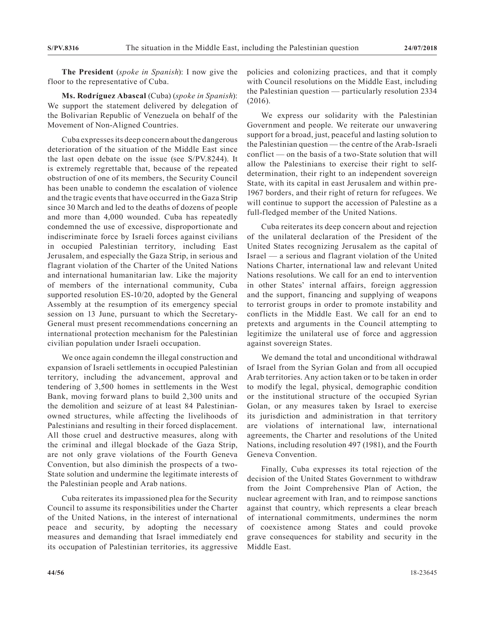**The President** (*spoke in Spanish*): I now give the floor to the representative of Cuba.

**Ms. Rodríguez Abascal** (Cuba) (*spoke in Spanish*): We support the statement delivered by delegation of the Bolivarian Republic of Venezuela on behalf of the Movement of Non-Aligned Countries.

Cuba expresses its deep concern about the dangerous deterioration of the situation of the Middle East since the last open debate on the issue (see S/PV.8244). It is extremely regrettable that, because of the repeated obstruction of one of its members, the Security Council has been unable to condemn the escalation of violence and the tragic events that have occurred in the Gaza Strip since 30 March and led to the deaths of dozens of people and more than 4,000 wounded. Cuba has repeatedly condemned the use of excessive, disproportionate and indiscriminate force by Israeli forces against civilians in occupied Palestinian territory, including East Jerusalem, and especially the Gaza Strip, in serious and flagrant violation of the Charter of the United Nations and international humanitarian law. Like the majority of members of the international community, Cuba supported resolution ES-10/20, adopted by the General Assembly at the resumption of its emergency special session on 13 June, pursuant to which the Secretary-General must present recommendations concerning an international protection mechanism for the Palestinian civilian population under Israeli occupation.

We once again condemn the illegal construction and expansion of Israeli settlements in occupied Palestinian territory, including the advancement, approval and tendering of 3,500 homes in settlements in the West Bank, moving forward plans to build 2,300 units and the demolition and seizure of at least 84 Palestinianowned structures, while affecting the livelihoods of Palestinians and resulting in their forced displacement. All those cruel and destructive measures, along with the criminal and illegal blockade of the Gaza Strip, are not only grave violations of the Fourth Geneva Convention, but also diminish the prospects of a two-State solution and undermine the legitimate interests of the Palestinian people and Arab nations.

Cuba reiterates its impassioned plea for the Security Council to assume its responsibilities under the Charter of the United Nations, in the interest of international peace and security, by adopting the necessary measures and demanding that Israel immediately end its occupation of Palestinian territories, its aggressive policies and colonizing practices, and that it comply with Council resolutions on the Middle East, including the Palestinian question — particularly resolution 2334 (2016).

We express our solidarity with the Palestinian Government and people. We reiterate our unwavering support for a broad, just, peaceful and lasting solution to the Palestinian question — the centre of the Arab-Israeli conflict — on the basis of a two-State solution that will allow the Palestinians to exercise their right to selfdetermination, their right to an independent sovereign State, with its capital in east Jerusalem and within pre-1967 borders, and their right of return for refugees. We will continue to support the accession of Palestine as a full-fledged member of the United Nations.

Cuba reiterates its deep concern about and rejection of the unilateral declaration of the President of the United States recognizing Jerusalem as the capital of Israel — a serious and flagrant violation of the United Nations Charter, international law and relevant United Nations resolutions. We call for an end to intervention in other States' internal affairs, foreign aggression and the support, financing and supplying of weapons to terrorist groups in order to promote instability and conflicts in the Middle East. We call for an end to pretexts and arguments in the Council attempting to legitimize the unilateral use of force and aggression against sovereign States.

We demand the total and unconditional withdrawal of Israel from the Syrian Golan and from all occupied Arab territories. Any action taken or to be taken in order to modify the legal, physical, demographic condition or the institutional structure of the occupied Syrian Golan, or any measures taken by Israel to exercise its jurisdiction and administration in that territory are violations of international law, international agreements, the Charter and resolutions of the United Nations, including resolution 497 (1981), and the Fourth Geneva Convention.

Finally, Cuba expresses its total rejection of the decision of the United States Government to withdraw from the Joint Comprehensive Plan of Action, the nuclear agreement with Iran, and to reimpose sanctions against that country, which represents a clear breach of international commitments, undermines the norm of coexistence among States and could provoke grave consequences for stability and security in the Middle East.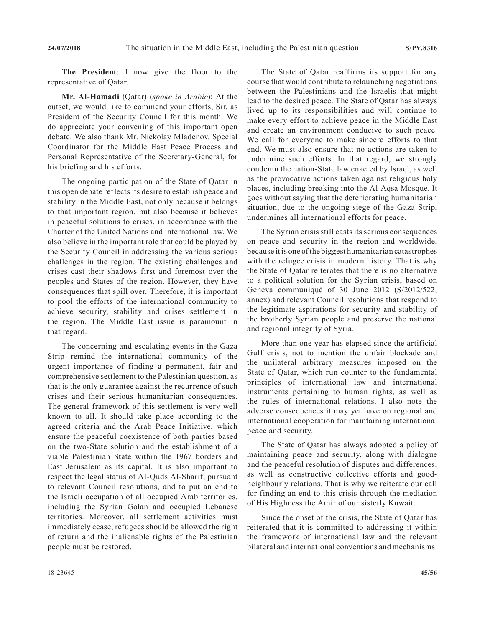**The President**: I now give the floor to the representative of Qatar.

**Mr. Al-Hamadi** (Qatar) (*spoke in Arabic*): At the outset, we would like to commend your efforts, Sir, as President of the Security Council for this month. We do appreciate your convening of this important open debate. We also thank Mr. Nickolay Mladenov, Special Coordinator for the Middle East Peace Process and Personal Representative of the Secretary-General, for his briefing and his efforts.

The ongoing participation of the State of Qatar in this open debate reflects its desire to establish peace and stability in the Middle East, not only because it belongs to that important region, but also because it believes in peaceful solutions to crises, in accordance with the Charter of the United Nations and international law. We also believe in the important role that could be played by the Security Council in addressing the various serious challenges in the region. The existing challenges and crises cast their shadows first and foremost over the peoples and States of the region. However, they have consequences that spill over. Therefore, it is important to pool the efforts of the international community to achieve security, stability and crises settlement in the region. The Middle East issue is paramount in that regard.

The concerning and escalating events in the Gaza Strip remind the international community of the urgent importance of finding a permanent, fair and comprehensive settlement to the Palestinian question, as that is the only guarantee against the recurrence of such crises and their serious humanitarian consequences. The general framework of this settlement is very well known to all. It should take place according to the agreed criteria and the Arab Peace Initiative, which ensure the peaceful coexistence of both parties based on the two-State solution and the establishment of a viable Palestinian State within the 1967 borders and East Jerusalem as its capital. It is also important to respect the legal status of Al-Quds Al-Sharif, pursuant to relevant Council resolutions, and to put an end to the Israeli occupation of all occupied Arab territories, including the Syrian Golan and occupied Lebanese territories. Moreover, all settlement activities must immediately cease, refugees should be allowed the right of return and the inalienable rights of the Palestinian people must be restored.

The State of Qatar reaffirms its support for any course that would contribute to relaunching negotiations between the Palestinians and the Israelis that might lead to the desired peace. The State of Qatar has always lived up to its responsibilities and will continue to make every effort to achieve peace in the Middle East and create an environment conducive to such peace. We call for everyone to make sincere efforts to that end. We must also ensure that no actions are taken to undermine such efforts. In that regard, we strongly condemn the nation-State law enacted by Israel, as well as the provocative actions taken against religious holy places, including breaking into the Al-Aqsa Mosque. It goes without saying that the deteriorating humanitarian situation, due to the ongoing siege of the Gaza Strip, undermines all international efforts for peace.

The Syrian crisis still casts its serious consequences on peace and security in the region and worldwide, because it is one of the biggest humanitarian catastrophes with the refugee crisis in modern history. That is why the State of Qatar reiterates that there is no alternative to a political solution for the Syrian crisis, based on Geneva communiqué of 30 June 2012 (S/2012/522, annex) and relevant Council resolutions that respond to the legitimate aspirations for security and stability of the brotherly Syrian people and preserve the national and regional integrity of Syria.

More than one year has elapsed since the artificial Gulf crisis, not to mention the unfair blockade and the unilateral arbitrary measures imposed on the State of Qatar, which run counter to the fundamental principles of international law and international instruments pertaining to human rights, as well as the rules of international relations. I also note the adverse consequences it may yet have on regional and international cooperation for maintaining international peace and security.

The State of Qatar has always adopted a policy of maintaining peace and security, along with dialogue and the peaceful resolution of disputes and differences, as well as constructive collective efforts and goodneighbourly relations. That is why we reiterate our call for finding an end to this crisis through the mediation of His Highness the Amir of our sisterly Kuwait.

Since the onset of the crisis, the State of Qatar has reiterated that it is committed to addressing it within the framework of international law and the relevant bilateral and international conventions and mechanisms.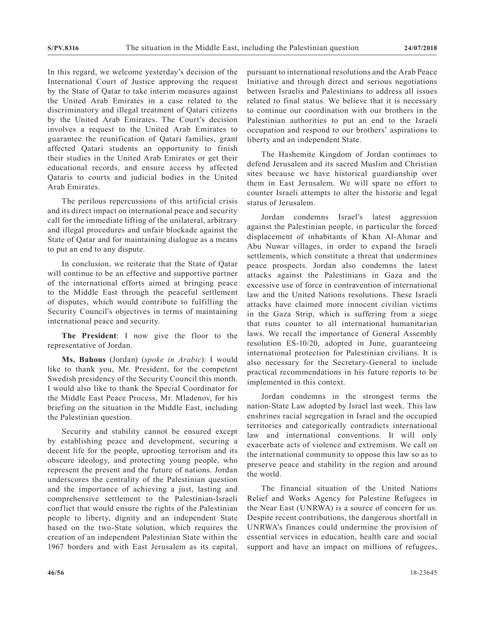In this regard, we welcome yesterday's decision of the International Court of Justice approving the request by the State of Qatar to take interim measures against the United Arab Emirates in a case related to the discriminatory and illegal treatment of Qatari citizens by the United Arab Emirates. The Court's decision involves a request to the United Arab Emirates to guarantee the reunification of Qatari families, grant affected Qatari students an opportunity to finish their studies in the United Arab Emirates or get their educational records, and ensure access by affected Qataris to courts and judicial bodies in the United Arab Emirates.

The perilous repercussions of this artificial crisis and its direct impact on international peace and security call for the immediate lifting of the unilateral, arbitrary and illegal procedures and unfair blockade against the State of Qatar and for maintaining dialogue as a means to put an end to any dispute.

In conclusion, we reiterate that the State of Qatar will continue to be an effective and supportive partner of the international efforts aimed at bringing peace to the Middle East through the peaceful settlement of disputes, which would contribute to fulfilling the Security Council's objectives in terms of maintaining international peace and security.

**The President**: I now give the floor to the representative of Jordan.

**Ms. Bahous** (Jordan) (*spoke in Arabic*): I would like to thank you, Mr. President, for the competent Swedish presidency of the Security Council this month. I would also like to thank the Special Coordinator for the Middle East Peace Process, Mr. Mladenov, for his briefing on the situation in the Middle East, including the Palestinian question.

Security and stability cannot be ensured except by establishing peace and development, securing a decent life for the people, uprooting terrorism and its obscure ideology, and protecting young people, who represent the present and the future of nations. Jordan underscores the centrality of the Palestinian question and the importance of achieving a just, lasting and comprehensive settlement to the Palestinian-Israeli conflict that would ensure the rights of the Palestinian people to liberty, dignity and an independent State based on the two-State solution, which requires the creation of an independent Palestinian State within the 1967 borders and with East Jerusalem as its capital, pursuant to international resolutions and the Arab Peace Initiative and through direct and serious negotiations between Israelis and Palestinians to address all issues related to final status. We believe that it is necessary to continue our coordination with our brothers in the Palestinian authorities to put an end to the Israeli occupation and respond to our brothers' aspirations to liberty and an independent State.

The Hashemite Kingdom of Jordan continues to defend Jerusalem and its sacred Muslim and Christian sites because we have historical guardianship over them in East Jerusalem. We will spare no effort to counter Israeli attempts to alter the historic and legal status of Jerusalem.

Jordan condemns Israel's latest aggression against the Palestinian people, in particular the forced displacement of inhabitants of Khan Al-Ahmar and Abu Nuwar villages, in order to expand the Israeli settlements, which constitute a threat that undermines peace prospects. Jordan also condemns the latest attacks against the Palestinians in Gaza and the excessive use of force in contravention of international law and the United Nations resolutions. These Israeli attacks have claimed more innocent civilian victims in the Gaza Strip, which is suffering from a siege that runs counter to all international humanitarian laws. We recall the importance of General Assembly resolution ES-10/20, adopted in June, guaranteeing international protection for Palestinian civilians. It is also necessary for the Secretary-General to include practical recommendations in his future reports to be implemented in this context.

Jordan condemns in the strongest terms the nation-State Law adopted by Israel last week. This law enshrines racial segregation in Israel and the occupied territories and categorically contradicts international law and international conventions. It will only exacerbate acts of violence and extremism. We call on the international community to oppose this law so as to preserve peace and stability in the region and around the world.

The financial situation of the United Nations Relief and Works Agency for Palestine Refugees in the Near East (UNRWA) is a source of concern for us. Despite recent contributions, the dangerous shortfall in UNRWA's finances could undermine the provision of essential services in education, health care and social support and have an impact on millions of refugees,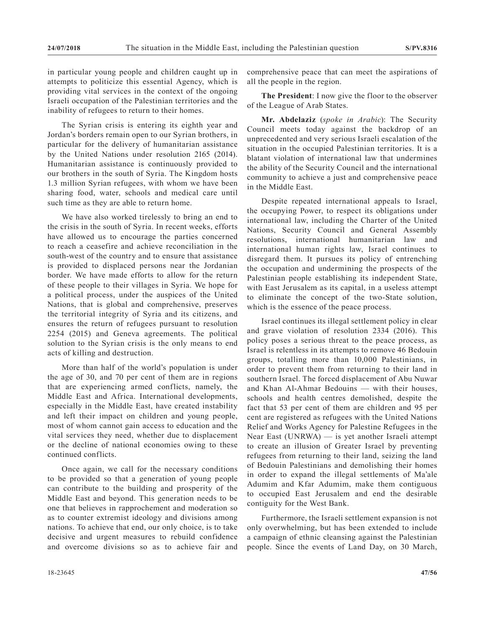in particular young people and children caught up in attempts to politicize this essential Agency, which is providing vital services in the context of the ongoing Israeli occupation of the Palestinian territories and the inability of refugees to return to their homes.

The Syrian crisis is entering its eighth year and Jordan's borders remain open to our Syrian brothers, in particular for the delivery of humanitarian assistance by the United Nations under resolution 2165 (2014). Humanitarian assistance is continuously provided to our brothers in the south of Syria. The Kingdom hosts 1.3 million Syrian refugees, with whom we have been sharing food, water, schools and medical care until such time as they are able to return home.

We have also worked tirelessly to bring an end to the crisis in the south of Syria. In recent weeks, efforts have allowed us to encourage the parties concerned to reach a ceasefire and achieve reconciliation in the south-west of the country and to ensure that assistance is provided to displaced persons near the Jordanian border. We have made efforts to allow for the return of these people to their villages in Syria. We hope for a political process, under the auspices of the United Nations, that is global and comprehensive, preserves the territorial integrity of Syria and its citizens, and ensures the return of refugees pursuant to resolution 2254 (2015) and Geneva agreements. The political solution to the Syrian crisis is the only means to end acts of killing and destruction.

More than half of the world's population is under the age of 30, and 70 per cent of them are in regions that are experiencing armed conflicts, namely, the Middle East and Africa. International developments, especially in the Middle East, have created instability and left their impact on children and young people, most of whom cannot gain access to education and the vital services they need, whether due to displacement or the decline of national economies owing to these continued conflicts.

Once again, we call for the necessary conditions to be provided so that a generation of young people can contribute to the building and prosperity of the Middle East and beyond. This generation needs to be one that believes in rapprochement and moderation so as to counter extremist ideology and divisions among nations. To achieve that end, our only choice, is to take decisive and urgent measures to rebuild confidence and overcome divisions so as to achieve fair and comprehensive peace that can meet the aspirations of all the people in the region.

**The President**: I now give the floor to the observer of the League of Arab States.

**Mr. Abdelaziz** (*spoke in Arabic*): The Security Council meets today against the backdrop of an unprecedented and very serious Israeli escalation of the situation in the occupied Palestinian territories. It is a blatant violation of international law that undermines the ability of the Security Council and the international community to achieve a just and comprehensive peace in the Middle East.

Despite repeated international appeals to Israel, the occupying Power, to respect its obligations under international law, including the Charter of the United Nations, Security Council and General Assembly resolutions, international humanitarian law and international human rights law, Israel continues to disregard them. It pursues its policy of entrenching the occupation and undermining the prospects of the Palestinian people establishing its independent State, with East Jerusalem as its capital, in a useless attempt to eliminate the concept of the two-State solution, which is the essence of the peace process.

Israel continues its illegal settlement policy in clear and grave violation of resolution 2334 (2016). This policy poses a serious threat to the peace process, as Israel is relentless in its attempts to remove 46 Bedouin groups, totalling more than 10,000 Palestinians, in order to prevent them from returning to their land in southern Israel. The forced displacement of Abu Nuwar and Khan Al-Ahmar Bedouins — with their houses, schools and health centres demolished, despite the fact that 53 per cent of them are children and 95 per cent are registered as refugees with the United Nations Relief and Works Agency for Palestine Refugees in the Near East (UNRWA) — is yet another Israeli attempt to create an illusion of Greater Israel by preventing refugees from returning to their land, seizing the land of Bedouin Palestinians and demolishing their homes in order to expand the illegal settlements of Ma'ale Adumim and Kfar Adumim, make them contiguous to occupied East Jerusalem and end the desirable contiguity for the West Bank.

Furthermore, the Israeli settlement expansion is not only overwhelming, but has been extended to include a campaign of ethnic cleansing against the Palestinian people. Since the events of Land Day, on 30 March,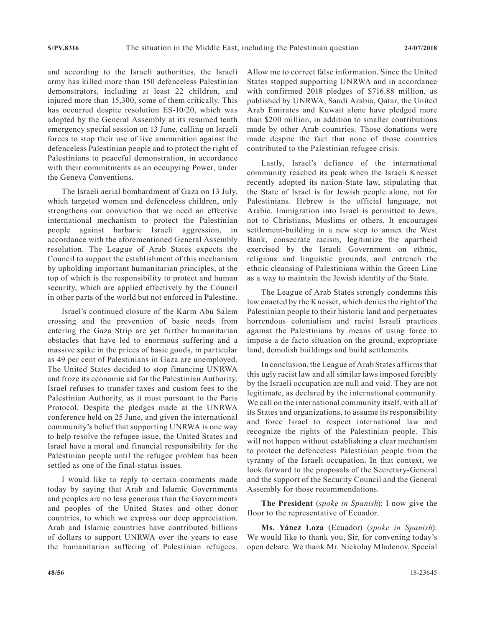and according to the Israeli authorities, the Israeli army has killed more than 150 defenceless Palestinian demonstrators, including at least 22 children, and injured more than 15,300, some of them critically. This has occurred despite resolution ES-10/20, which was adopted by the General Assembly at its resumed tenth emergency special session on 13 June, calling on Israeli forces to stop their use of live ammunition against the defenceless Palestinian people and to protect the right of Palestinians to peaceful demonstration, in accordance with their commitments as an occupying Power, under the Geneva Conventions.

The Israeli aerial bombardment of Gaza on 13 July, which targeted women and defenceless children, only strengthens our conviction that we need an effective international mechanism to protect the Palestinian people against barbaric Israeli aggression, in accordance with the aforementioned General Assembly resolution. The League of Arab States expects the Council to support the establishment of this mechanism by upholding important humanitarian principles, at the top of which is the responsibility to protect and human security, which are applied effectively by the Council in other parts of the world but not enforced in Palestine.

Israel's continued closure of the Karm Abu Salem crossing and the prevention of basic needs from entering the Gaza Strip are yet further humanitarian obstacles that have led to enormous suffering and a massive spike in the prices of basic goods, in particular as 49 per cent of Palestinians in Gaza are unemployed. The United States decided to stop financing UNRWA and froze its economic aid for the Palestinian Authority. Israel refuses to transfer taxes and custom fees to the Palestinian Authority, as it must pursuant to the Paris Protocol. Despite the pledges made at the UNRWA conference held on 25 June, and given the international community's belief that supporting UNRWA is one way to help resolve the refugee issue, the United States and Israel have a moral and financial responsibility for the Palestinian people until the refugee problem has been settled as one of the final-status issues.

I would like to reply to certain comments made today by saying that Arab and Islamic Governments and peoples are no less generous than the Governments and peoples of the United States and other donor countries, to which we express our deep appreciation. Arab and Islamic countries have contributed billions of dollars to support UNRWA over the years to ease the humanitarian suffering of Palestinian refugees. Allow me to correct false information. Since the United States stopped supporting UNRWA and in accordance with confirmed 2018 pledges of \$716.88 million, as published by UNRWA, Saudi Arabia, Qatar, the United Arab Emirates and Kuwait alone have pledged more than \$200 million, in addition to smaller contributions made by other Arab countries. Those donations were made despite the fact that none of those countries contributed to the Palestinian refugee crisis.

Lastly, Israel's defiance of the international community reached its peak when the Israeli Knesset recently adopted its nation-State law, stipulating that the State of Israel is for Jewish people alone, not for Palestinians. Hebrew is the official language, not Arabic. Immigration into Israel is permitted to Jews, not to Christians, Muslims or others. It encourages settlement-building in a new step to annex the West Bank, consecrate racism, legitimize the apartheid exercised by the Israeli Government on ethnic, religious and linguistic grounds, and entrench the ethnic cleansing of Palestinians within the Green Line as a way to maintain the Jewish identity of the State.

The League of Arab States strongly condemns this law enacted by the Knesset, which denies the right of the Palestinian people to their historic land and perpetuates horrendous colonialism and racist Israeli practices against the Palestinians by means of using force to impose a de facto situation on the ground, expropriate land, demolish buildings and build settlements.

In conclusion, the League of Arab States affirms that this ugly racist law and all similar laws imposed forcibly by the Israeli occupation are null and void. They are not legitimate, as declared by the international community. We call on the international community itself, with all of its States and organizations, to assume its responsibility and force Israel to respect international law and recognize the rights of the Palestinian people. This will not happen without establishing a clear mechanism to protect the defenceless Palestinian people from the tyranny of the Israeli occupation. In that context, we look forward to the proposals of the Secretary-General and the support of the Security Council and the General Assembly for those recommendations.

**The President** (*spoke in Spanish*): I now give the floor to the representative of Ecuador.

**Ms. Yánez Loza** (Ecuador) (*spoke in Spanish*): We would like to thank you, Sir, for convening today's open debate. We thank Mr. Nickolay Mladenov, Special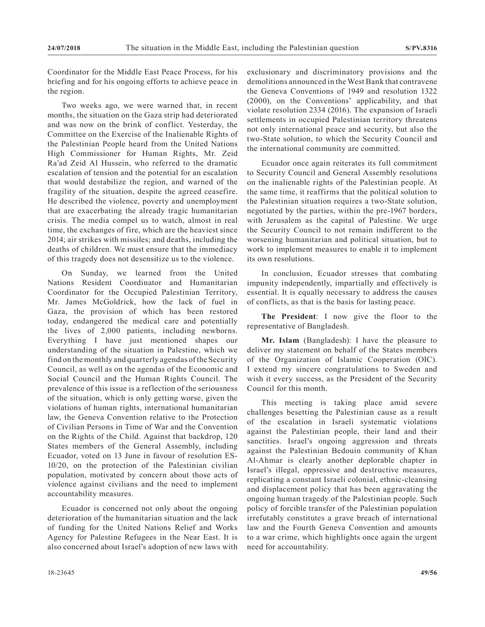Coordinator for the Middle East Peace Process, for his briefing and for his ongoing efforts to achieve peace in the region.

Two weeks ago, we were warned that, in recent months, the situation on the Gaza strip had deteriorated and was now on the brink of conflict. Yesterday, the Committee on the Exercise of the Inalienable Rights of the Palestinian People heard from the United Nations High Commissioner for Human Rights, Mr. Zeid Ra'ad Zeid Al Hussein, who referred to the dramatic escalation of tension and the potential for an escalation that would destabilize the region, and warned of the fragility of the situation, despite the agreed ceasefire. He described the violence, poverty and unemployment that are exacerbating the already tragic humanitarian crisis. The media compel us to watch, almost in real time, the exchanges of fire, which are the heaviest since 2014; air strikes with missiles; and deaths, including the deaths of children. We must ensure that the immediacy of this tragedy does not desensitize us to the violence.

On Sunday, we learned from the United Nations Resident Coordinator and Humanitarian Coordinator for the Occupied Palestinian Territory, Mr. James McGoldrick, how the lack of fuel in Gaza, the provision of which has been restored today, endangered the medical care and potentially the lives of 2,000 patients, including newborns. Everything I have just mentioned shapes our understanding of the situation in Palestine, which we find on the monthly and quarterly agendas of the Security Council, as well as on the agendas of the Economic and Social Council and the Human Rights Council. The prevalence of this issue is a reflection of the seriousness of the situation, which is only getting worse, given the violations of human rights, international humanitarian law, the Geneva Convention relative to the Protection of Civilian Persons in Time of War and the Convention on the Rights of the Child. Against that backdrop, 120 States members of the General Assembly, including Ecuador, voted on 13 June in favour of resolution ES-10/20, on the protection of the Palestinian civilian population, motivated by concern about those acts of violence against civilians and the need to implement accountability measures.

Ecuador is concerned not only about the ongoing deterioration of the humanitarian situation and the lack of funding for the United Nations Relief and Works Agency for Palestine Refugees in the Near East. It is also concerned about Israel's adoption of new laws with exclusionary and discriminatory provisions and the demolitions announced in the West Bank that contravene the Geneva Conventions of 1949 and resolution 1322 (2000), on the Conventions' applicability, and that violate resolution 2334 (2016). The expansion of Israeli settlements in occupied Palestinian territory threatens not only international peace and security, but also the two-State solution, to which the Security Council and the international community are committed.

Ecuador once again reiterates its full commitment to Security Council and General Assembly resolutions on the inalienable rights of the Palestinian people. At the same time, it reaffirms that the political solution to the Palestinian situation requires a two-State solution, negotiated by the parties, within the pre-1967 borders, with Jerusalem as the capital of Palestine. We urge the Security Council to not remain indifferent to the worsening humanitarian and political situation, but to work to implement measures to enable it to implement its own resolutions.

In conclusion, Ecuador stresses that combating impunity independently, impartially and effectively is essential. It is equally necessary to address the causes of conflicts, as that is the basis for lasting peace.

**The President**: I now give the floor to the representative of Bangladesh.

**Mr. Islam** (Bangladesh): I have the pleasure to deliver my statement on behalf of the States members of the Organization of Islamic Cooperation (OIC). I extend my sincere congratulations to Sweden and wish it every success, as the President of the Security Council for this month.

This meeting is taking place amid severe challenges besetting the Palestinian cause as a result of the escalation in Israeli systematic violations against the Palestinian people, their land and their sanctities. Israel's ongoing aggression and threats against the Palestinian Bedouin community of Khan Al-Ahmar is clearly another deplorable chapter in Israel's illegal, oppressive and destructive measures, replicating a constant Israeli colonial, ethnic-cleansing and displacement policy that has been aggravating the ongoing human tragedy of the Palestinian people. Such policy of forcible transfer of the Palestinian population irrefutably constitutes a grave breach of international law and the Fourth Geneva Convention and amounts to a war crime, which highlights once again the urgent need for accountability.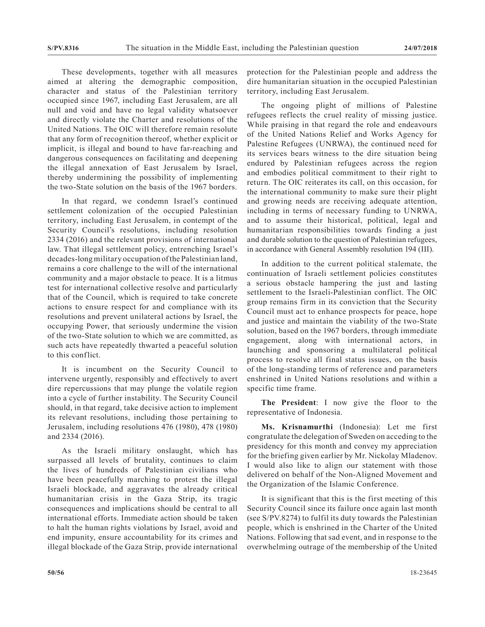These developments, together with all measures aimed at altering the demographic composition, character and status of the Palestinian territory occupied since 1967, including East Jerusalem, are all null and void and have no legal validity whatsoever and directly violate the Charter and resolutions of the United Nations. The OIC will therefore remain resolute that any form of recognition thereof, whether explicit or implicit, is illegal and bound to have far-reaching and dangerous consequences on facilitating and deepening the illegal annexation of East Jerusalem by Israel, thereby undermining the possibility of implementing the two-State solution on the basis of the 1967 borders.

In that regard, we condemn Israel's continued settlement colonization of the occupied Palestinian territory, including East Jerusalem, in contempt of the Security Council's resolutions, including resolution 2334 (2016) and the relevant provisions of international law. That illegal settlement policy, entrenching Israel's decades-long military occupation of the Palestinian land, remains a core challenge to the will of the international community and a major obstacle to peace. It is a litmus test for international collective resolve and particularly that of the Council, which is required to take concrete actions to ensure respect for and compliance with its resolutions and prevent unilateral actions by Israel, the occupying Power, that seriously undermine the vision of the two-State solution to which we are committed, as such acts have repeatedly thwarted a peaceful solution to this conflict.

It is incumbent on the Security Council to intervene urgently, responsibly and effectively to avert dire repercussions that may plunge the volatile region into a cycle of further instability. The Security Council should, in that regard, take decisive action to implement its relevant resolutions, including those pertaining to Jerusalem, including resolutions 476 (1980), 478 (1980) and 2334 (2016).

As the Israeli military onslaught, which has surpassed all levels of brutality, continues to claim the lives of hundreds of Palestinian civilians who have been peacefully marching to protest the illegal Israeli blockade, and aggravates the already critical humanitarian crisis in the Gaza Strip, its tragic consequences and implications should be central to all international efforts. Immediate action should be taken to halt the human rights violations by Israel, avoid and end impunity, ensure accountability for its crimes and illegal blockade of the Gaza Strip, provide international protection for the Palestinian people and address the dire humanitarian situation in the occupied Palestinian territory, including East Jerusalem.

The ongoing plight of millions of Palestine refugees reflects the cruel reality of missing justice. While praising in that regard the role and endeavours of the United Nations Relief and Works Agency for Palestine Refugees (UNRWA), the continued need for its services bears witness to the dire situation being endured by Palestinian refugees across the region and embodies political commitment to their right to return. The OIC reiterates its call, on this occasion, for the international community to make sure their plight and growing needs are receiving adequate attention, including in terms of necessary funding to UNRWA, and to assume their historical, political, legal and humanitarian responsibilities towards finding a just and durable solution to the question of Palestinian refugees, in accordance with General Assembly resolution 194 (III).

In addition to the current political stalemate, the continuation of Israeli settlement policies constitutes a serious obstacle hampering the just and lasting settlement to the Israeli-Palestinian conflict. The OIC group remains firm in its conviction that the Security Council must act to enhance prospects for peace, hope and justice and maintain the viability of the two-State solution, based on the 1967 borders, through immediate engagement, along with international actors, in launching and sponsoring a multilateral political process to resolve all final status issues, on the basis of the long-standing terms of reference and parameters enshrined in United Nations resolutions and within a specific time frame.

**The President**: I now give the floor to the representative of Indonesia.

**Ms. Krisnamurthi** (Indonesia): Let me first congratulate the delegation of Sweden on acceding to the presidency for this month and convey my appreciation for the briefing given earlier by Mr. Nickolay Mladenov. I would also like to align our statement with those delivered on behalf of the Non-Aligned Movement and the Organization of the Islamic Conference.

It is significant that this is the first meeting of this Security Council since its failure once again last month (see S/PV.8274) to fulfil its duty towards the Palestinian people, which is enshrined in the Charter of the United Nations. Following that sad event, and in response to the overwhelming outrage of the membership of the United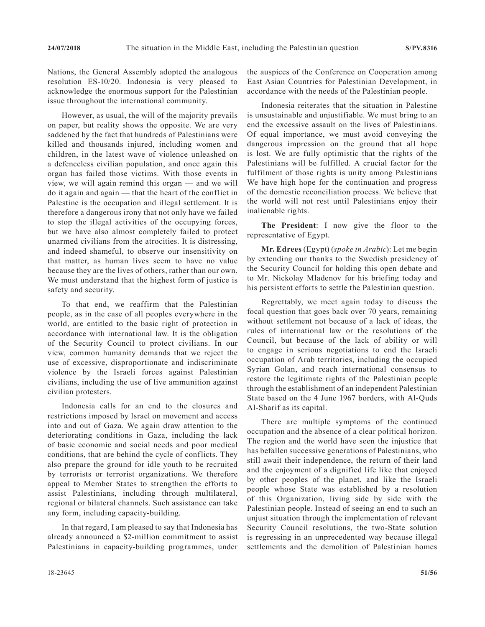Nations, the General Assembly adopted the analogous resolution ES-10/20. Indonesia is very pleased to acknowledge the enormous support for the Palestinian issue throughout the international community.

However, as usual, the will of the majority prevails on paper, but reality shows the opposite. We are very saddened by the fact that hundreds of Palestinians were killed and thousands injured, including women and children, in the latest wave of violence unleashed on a defenceless civilian population, and once again this organ has failed those victims. With those events in view, we will again remind this organ — and we will do it again and again — that the heart of the conflict in Palestine is the occupation and illegal settlement. It is therefore a dangerous irony that not only have we failed to stop the illegal activities of the occupying forces, but we have also almost completely failed to protect unarmed civilians from the atrocities. It is distressing, and indeed shameful, to observe our insensitivity on that matter, as human lives seem to have no value because they are the lives of others, rather than our own. We must understand that the highest form of justice is safety and security.

To that end, we reaffirm that the Palestinian people, as in the case of all peoples everywhere in the world, are entitled to the basic right of protection in accordance with international law. It is the obligation of the Security Council to protect civilians. In our view, common humanity demands that we reject the use of excessive, disproportionate and indiscriminate violence by the Israeli forces against Palestinian civilians, including the use of live ammunition against civilian protesters.

Indonesia calls for an end to the closures and restrictions imposed by Israel on movement and access into and out of Gaza. We again draw attention to the deteriorating conditions in Gaza, including the lack of basic economic and social needs and poor medical conditions, that are behind the cycle of conflicts. They also prepare the ground for idle youth to be recruited by terrorists or terrorist organizations. We therefore appeal to Member States to strengthen the efforts to assist Palestinians, including through multilateral, regional or bilateral channels. Such assistance can take any form, including capacity-building.

In that regard, I am pleased to say that Indonesia has already announced a \$2-million commitment to assist Palestinians in capacity-building programmes, under the auspices of the Conference on Cooperation among East Asian Countries for Palestinian Development, in accordance with the needs of the Palestinian people.

Indonesia reiterates that the situation in Palestine is unsustainable and unjustifiable. We must bring to an end the excessive assault on the lives of Palestinians. Of equal importance, we must avoid conveying the dangerous impression on the ground that all hope is lost. We are fully optimistic that the rights of the Palestinians will be fulfilled. A crucial factor for the fulfilment of those rights is unity among Palestinians We have high hope for the continuation and progress of the domestic reconciliation process. We believe that the world will not rest until Palestinians enjoy their inalienable rights.

**The President**: I now give the floor to the representative of Egypt.

**Mr. Edrees** (Egypt) (*spoke in Arabic*): Let me begin by extending our thanks to the Swedish presidency of the Security Council for holding this open debate and to Mr. Nickolay Mladenov for his briefing today and his persistent efforts to settle the Palestinian question.

Regrettably, we meet again today to discuss the focal question that goes back over 70 years, remaining without settlement not because of a lack of ideas, the rules of international law or the resolutions of the Council, but because of the lack of ability or will to engage in serious negotiations to end the Israeli occupation of Arab territories, including the occupied Syrian Golan, and reach international consensus to restore the legitimate rights of the Palestinian people through the establishment of an independent Palestinian State based on the 4 June 1967 borders, with Al-Quds Al-Sharif as its capital.

There are multiple symptoms of the continued occupation and the absence of a clear political horizon. The region and the world have seen the injustice that has befallen successive generations of Palestinians, who still await their independence, the return of their land and the enjoyment of a dignified life like that enjoyed by other peoples of the planet, and like the Israeli people whose State was established by a resolution of this Organization, living side by side with the Palestinian people. Instead of seeing an end to such an unjust situation through the implementation of relevant Security Council resolutions, the two-State solution is regressing in an unprecedented way because illegal settlements and the demolition of Palestinian homes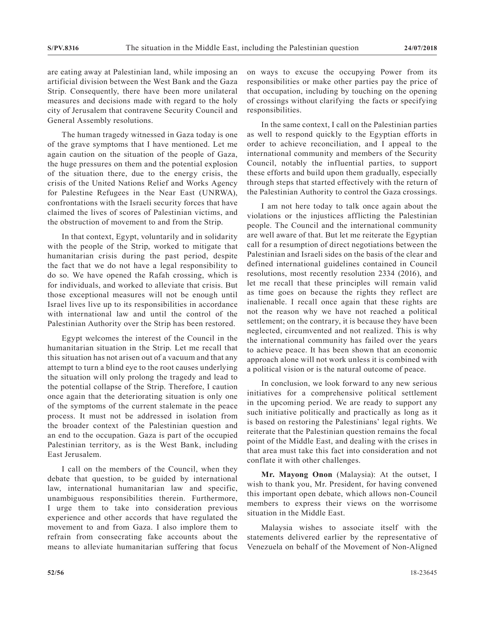are eating away at Palestinian land, while imposing an artificial division between the West Bank and the Gaza Strip. Consequently, there have been more unilateral measures and decisions made with regard to the holy city of Jerusalem that contravene Security Council and General Assembly resolutions.

The human tragedy witnessed in Gaza today is one of the grave symptoms that I have mentioned. Let me again caution on the situation of the people of Gaza, the huge pressures on them and the potential explosion of the situation there, due to the energy crisis, the crisis of the United Nations Relief and Works Agency for Palestine Refugees in the Near East (UNRWA), confrontations with the Israeli security forces that have claimed the lives of scores of Palestinian victims, and the obstruction of movement to and from the Strip.

In that context, Egypt, voluntarily and in solidarity with the people of the Strip, worked to mitigate that humanitarian crisis during the past period, despite the fact that we do not have a legal responsibility to do so. We have opened the Rafah crossing, which is for individuals, and worked to alleviate that crisis. But those exceptional measures will not be enough until Israel lives live up to its responsibilities in accordance with international law and until the control of the Palestinian Authority over the Strip has been restored.

Egypt welcomes the interest of the Council in the humanitarian situation in the Strip. Let me recall that this situation has not arisen out of a vacuum and that any attempt to turn a blind eye to the root causes underlying the situation will only prolong the tragedy and lead to the potential collapse of the Strip. Therefore, I caution once again that the deteriorating situation is only one of the symptoms of the current stalemate in the peace process. It must not be addressed in isolation from the broader context of the Palestinian question and an end to the occupation. Gaza is part of the occupied Palestinian territory, as is the West Bank, including East Jerusalem.

I call on the members of the Council, when they debate that question, to be guided by international law, international humanitarian law and specific, unambiguous responsibilities therein. Furthermore, I urge them to take into consideration previous experience and other accords that have regulated the movement to and from Gaza. I also implore them to refrain from consecrating fake accounts about the means to alleviate humanitarian suffering that focus on ways to excuse the occupying Power from its responsibilities or make other parties pay the price of that occupation, including by touching on the opening of crossings without clarifying the facts or specifying responsibilities.

In the same context, I call on the Palestinian parties as well to respond quickly to the Egyptian efforts in order to achieve reconciliation, and I appeal to the international community and members of the Security Council, notably the influential parties, to support these efforts and build upon them gradually, especially through steps that started effectively with the return of the Palestinian Authority to control the Gaza crossings.

I am not here today to talk once again about the violations or the injustices afflicting the Palestinian people. The Council and the international community are well aware of that. But let me reiterate the Egyptian call for a resumption of direct negotiations between the Palestinian and Israeli sides on the basis of the clear and defined international guidelines contained in Council resolutions, most recently resolution 2334 (2016), and let me recall that these principles will remain valid as time goes on because the rights they reflect are inalienable. I recall once again that these rights are not the reason why we have not reached a political settlement; on the contrary, it is because they have been neglected, circumvented and not realized. This is why the international community has failed over the years to achieve peace. It has been shown that an economic approach alone will not work unless it is combined with a political vision or is the natural outcome of peace.

In conclusion, we look forward to any new serious initiatives for a comprehensive political settlement in the upcoming period. We are ready to support any such initiative politically and practically as long as it is based on restoring the Palestinians' legal rights. We reiterate that the Palestinian question remains the focal point of the Middle East, and dealing with the crises in that area must take this fact into consideration and not conflate it with other challenges.

**Mr. Mayong Onon** (Malaysia): At the outset, I wish to thank you, Mr. President, for having convened this important open debate, which allows non-Council members to express their views on the worrisome situation in the Middle East.

Malaysia wishes to associate itself with the statements delivered earlier by the representative of Venezuela on behalf of the Movement of Non-Aligned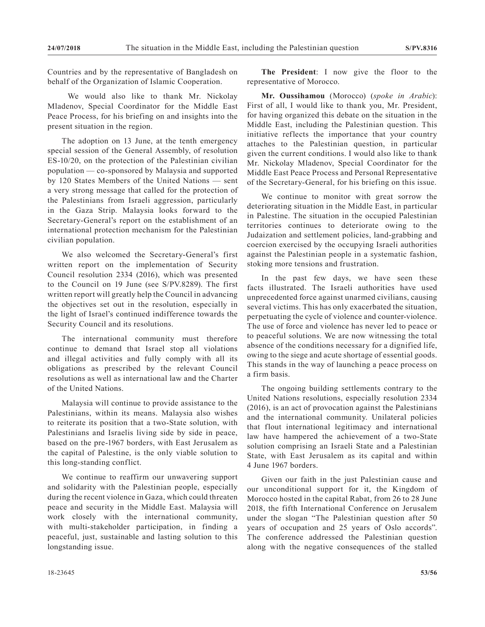Countries and by the representative of Bangladesh on behalf of the Organization of Islamic Cooperation.

 We would also like to thank Mr. Nickolay Mladenov, Special Coordinator for the Middle East Peace Process, for his briefing on and insights into the present situation in the region.

The adoption on 13 June, at the tenth emergency special session of the General Assembly, of resolution ES-10/20, on the protection of the Palestinian civilian population — co-sponsored by Malaysia and supported by 120 States Members of the United Nations — sent a very strong message that called for the protection of the Palestinians from Israeli aggression, particularly in the Gaza Strip. Malaysia looks forward to the Secretary-General's report on the establishment of an international protection mechanism for the Palestinian civilian population.

We also welcomed the Secretary-General's first written report on the implementation of Security Council resolution 2334 (2016), which was presented to the Council on 19 June (see S/PV.8289). The first written report will greatly help the Council in advancing the objectives set out in the resolution, especially in the light of Israel's continued indifference towards the Security Council and its resolutions.

The international community must therefore continue to demand that Israel stop all violations and illegal activities and fully comply with all its obligations as prescribed by the relevant Council resolutions as well as international law and the Charter of the United Nations.

Malaysia will continue to provide assistance to the Palestinians, within its means. Malaysia also wishes to reiterate its position that a two-State solution, with Palestinians and Israelis living side by side in peace, based on the pre-1967 borders, with East Jerusalem as the capital of Palestine, is the only viable solution to this long-standing conflict.

We continue to reaffirm our unwavering support and solidarity with the Palestinian people, especially during the recent violence in Gaza, which could threaten peace and security in the Middle East. Malaysia will work closely with the international community, with multi-stakeholder participation, in finding a peaceful, just, sustainable and lasting solution to this longstanding issue.

**The President**: I now give the floor to the representative of Morocco.

**Mr. Oussihamou** (Morocco) (*spoke in Arabic*): First of all, I would like to thank you, Mr. President, for having organized this debate on the situation in the Middle East, including the Palestinian question. This initiative reflects the importance that your country attaches to the Palestinian question, in particular given the current conditions. I would also like to thank Mr. Nickolay Mladenov, Special Coordinator for the Middle East Peace Process and Personal Representative of the Secretary-General, for his briefing on this issue.

We continue to monitor with great sorrow the deteriorating situation in the Middle East, in particular in Palestine. The situation in the occupied Palestinian territories continues to deteriorate owing to the Judaization and settlement policies, land-grabbing and coercion exercised by the occupying Israeli authorities against the Palestinian people in a systematic fashion, stoking more tensions and frustration.

In the past few days, we have seen these facts illustrated. The Israeli authorities have used unprecedented force against unarmed civilians, causing several victims. This has only exacerbated the situation, perpetuating the cycle of violence and counter-violence. The use of force and violence has never led to peace or to peaceful solutions. We are now witnessing the total absence of the conditions necessary for a dignified life, owing to the siege and acute shortage of essential goods. This stands in the way of launching a peace process on a firm basis.

The ongoing building settlements contrary to the United Nations resolutions, especially resolution 2334 (2016), is an act of provocation against the Palestinians and the international community. Unilateral policies that flout international legitimacy and international law have hampered the achievement of a two-State solution comprising an Israeli State and a Palestinian State, with East Jerusalem as its capital and within 4 June 1967 borders.

Given our faith in the just Palestinian cause and our unconditional support for it, the Kingdom of Morocco hosted in the capital Rabat, from 26 to 28 June 2018, the fifth International Conference on Jerusalem under the slogan "The Palestinian question after 50 years of occupation and 25 years of Oslo accords". The conference addressed the Palestinian question along with the negative consequences of the stalled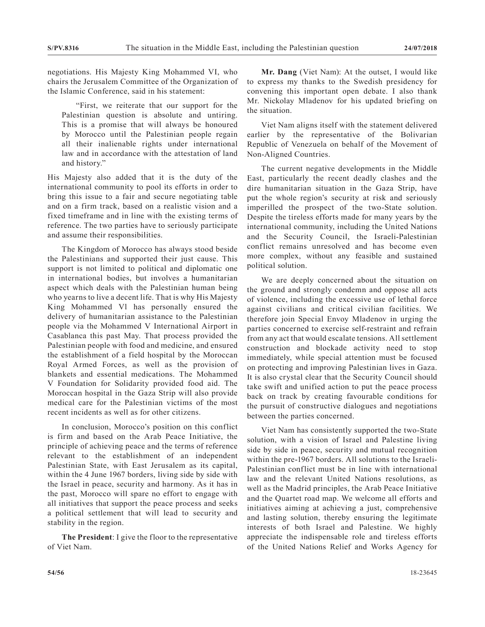negotiations. His Majesty King Mohammed VI, who chairs the Jerusalem Committee of the Organization of the Islamic Conference, said in his statement:

"First, we reiterate that our support for the Palestinian question is absolute and untiring. This is a promise that will always be honoured by Morocco until the Palestinian people regain all their inalienable rights under international law and in accordance with the attestation of land and history."

His Majesty also added that it is the duty of the international community to pool its efforts in order to bring this issue to a fair and secure negotiating table and on a firm track, based on a realistic vision and a fixed timeframe and in line with the existing terms of reference. The two parties have to seriously participate and assume their responsibilities.

The Kingdom of Morocco has always stood beside the Palestinians and supported their just cause. This support is not limited to political and diplomatic one in international bodies, but involves a humanitarian aspect which deals with the Palestinian human being who yearns to live a decent life. That is why His Majesty King Mohammed Vl has personally ensured the delivery of humanitarian assistance to the Palestinian people via the Mohammed V International Airport in Casablanca this past May. That process provided the Palestinian people with food and medicine, and ensured the establishment of a field hospital by the Moroccan Royal Armed Forces, as well as the provision of blankets and essential medications. The Mohammed V Foundation for Solidarity provided food aid. The Moroccan hospital in the Gaza Strip will also provide medical care for the Palestinian victims of the most recent incidents as well as for other citizens.

In conclusion, Morocco's position on this conflict is firm and based on the Arab Peace Initiative, the principle of achieving peace and the terms of reference relevant to the establishment of an independent Palestinian State, with East Jerusalem as its capital, within the 4 June 1967 borders, living side by side with the Israel in peace, security and harmony. As it has in the past, Morocco will spare no effort to engage with all initiatives that support the peace process and seeks a political settlement that will lead to security and stability in the region.

**The President**: I give the floor to the representative of Viet Nam.

**Mr. Dang** (Viet Nam): At the outset, I would like to express my thanks to the Swedish presidency for convening this important open debate. I also thank Mr. Nickolay Mladenov for his updated briefing on the situation.

Viet Nam aligns itself with the statement delivered earlier by the representative of the Bolivarian Republic of Venezuela on behalf of the Movement of Non-Aligned Countries.

The current negative developments in the Middle East, particularly the recent deadly clashes and the dire humanitarian situation in the Gaza Strip, have put the whole region's security at risk and seriously imperilled the prospect of the two-State solution. Despite the tireless efforts made for many years by the international community, including the United Nations and the Security Council, the Israeli-Palestinian conflict remains unresolved and has become even more complex, without any feasible and sustained political solution.

We are deeply concerned about the situation on the ground and strongly condemn and oppose all acts of violence, including the excessive use of lethal force against civilians and critical civilian facilities. We therefore join Special Envoy Mladenov in urging the parties concerned to exercise self-restraint and refrain from any act that would escalate tensions. All settlement construction and blockade activity need to stop immediately, while special attention must be focused on protecting and improving Palestinian lives in Gaza. It is also crystal clear that the Security Council should take swift and unified action to put the peace process back on track by creating favourable conditions for the pursuit of constructive dialogues and negotiations between the parties concerned.

Viet Nam has consistently supported the two-State solution, with a vision of Israel and Palestine living side by side in peace, security and mutual recognition within the pre-1967 borders. All solutions to the Israeli-Palestinian conflict must be in line with international law and the relevant United Nations resolutions, as well as the Madrid principles, the Arab Peace Initiative and the Quartet road map. We welcome all efforts and initiatives aiming at achieving a just, comprehensive and lasting solution, thereby ensuring the legitimate interests of both Israel and Palestine. We highly appreciate the indispensable role and tireless efforts of the United Nations Relief and Works Agency for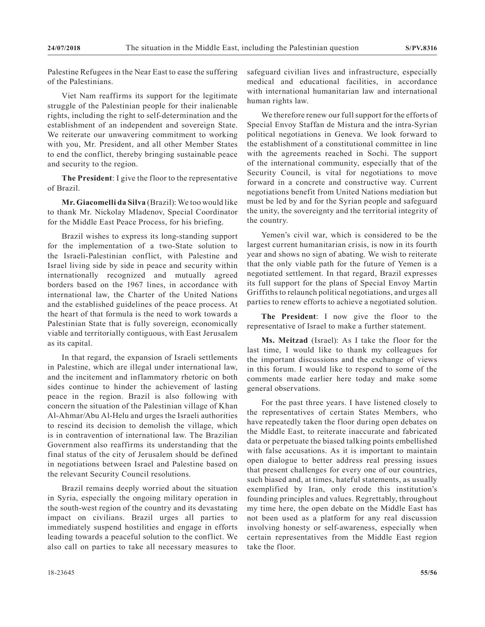Palestine Refugees in the Near East to ease the suffering of the Palestinians.

Viet Nam reaffirms its support for the legitimate struggle of the Palestinian people for their inalienable rights, including the right to self-determination and the establishment of an independent and sovereign State. We reiterate our unwavering commitment to working with you, Mr. President, and all other Member States to end the conflict, thereby bringing sustainable peace and security to the region.

**The President**: I give the floor to the representative of Brazil.

**Mr. Giacomelli da Silva** (Brazil): We too would like to thank Mr. Nickolay Mladenov, Special Coordinator for the Middle East Peace Process, for his briefing.

Brazil wishes to express its long-standing support for the implementation of a two-State solution to the Israeli-Palestinian conflict, with Palestine and Israel living side by side in peace and security within internationally recognized and mutually agreed borders based on the 1967 lines, in accordance with international law, the Charter of the United Nations and the established guidelines of the peace process. At the heart of that formula is the need to work towards a Palestinian State that is fully sovereign, economically viable and territorially contiguous, with East Jerusalem as its capital.

In that regard, the expansion of Israeli settlements in Palestine, which are illegal under international law, and the incitement and inflammatory rhetoric on both sides continue to hinder the achievement of lasting peace in the region. Brazil is also following with concern the situation of the Palestinian village of Khan Al-Ahmar/Abu Al-Helu and urges the Israeli authorities to rescind its decision to demolish the village, which is in contravention of international law. The Brazilian Government also reaffirms its understanding that the final status of the city of Jerusalem should be defined in negotiations between Israel and Palestine based on the relevant Security Council resolutions.

Brazil remains deeply worried about the situation in Syria, especially the ongoing military operation in the south-west region of the country and its devastating impact on civilians. Brazil urges all parties to immediately suspend hostilities and engage in efforts leading towards a peaceful solution to the conflict. We also call on parties to take all necessary measures to safeguard civilian lives and infrastructure, especially medical and educational facilities, in accordance with international humanitarian law and international human rights law.

We therefore renew our full support for the efforts of Special Envoy Staffan de Mistura and the intra-Syrian political negotiations in Geneva. We look forward to the establishment of a constitutional committee in line with the agreements reached in Sochi. The support of the international community, especially that of the Security Council, is vital for negotiations to move forward in a concrete and constructive way. Current negotiations benefit from United Nations mediation but must be led by and for the Syrian people and safeguard the unity, the sovereignty and the territorial integrity of the country.

Yemen's civil war, which is considered to be the largest current humanitarian crisis, is now in its fourth year and shows no sign of abating. We wish to reiterate that the only viable path for the future of Yemen is a negotiated settlement. In that regard, Brazil expresses its full support for the plans of Special Envoy Martin Griffiths to relaunch political negotiations, and urges all parties to renew efforts to achieve a negotiated solution.

**The President**: I now give the floor to the representative of Israel to make a further statement.

**Ms. Meitzad** (Israel): As I take the floor for the last time, I would like to thank my colleagues for the important discussions and the exchange of views in this forum. I would like to respond to some of the comments made earlier here today and make some general observations.

For the past three years. I have listened closely to the representatives of certain States Members, who have repeatedly taken the floor during open debates on the Middle East, to reiterate inaccurate and fabricated data or perpetuate the biased talking points embellished with false accusations. As it is important to maintain open dialogue to better address real pressing issues that present challenges for every one of our countries, such biased and, at times, hateful statements, as usually exemplified by Iran, only erode this institution's founding principles and values. Regrettably, throughout my time here, the open debate on the Middle East has not been used as a platform for any real discussion involving honesty or self-awareness, especially when certain representatives from the Middle East region take the floor.